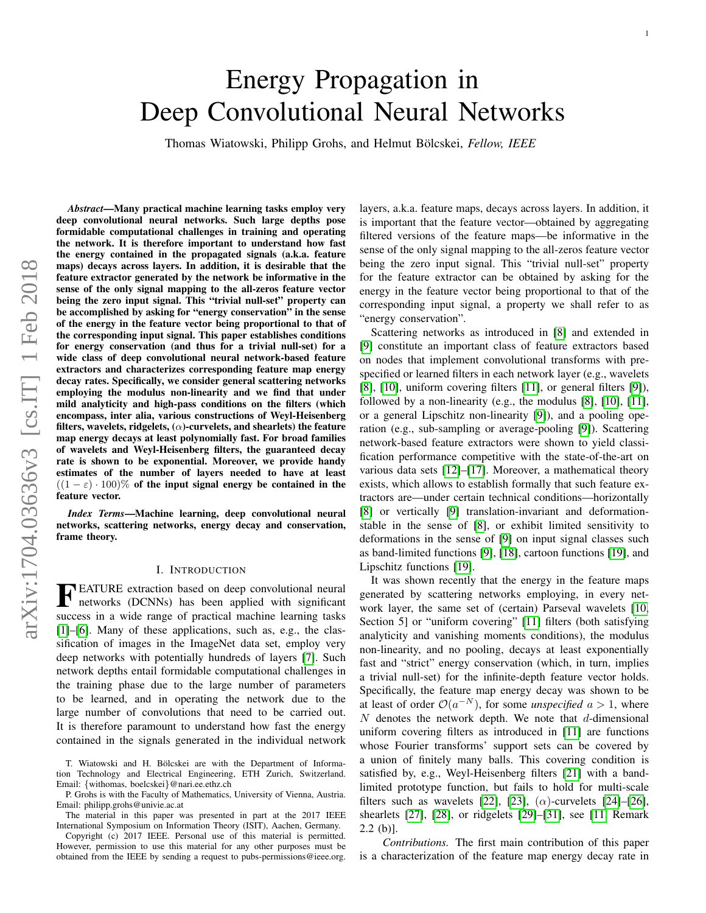# <span id="page-0-0"></span>Energy Propagation in Deep Convolutional Neural Networks

Thomas Wiatowski, Philipp Grohs, and Helmut Bölcskei, Fellow, IEEE

*Abstract*—Many practical machine learning tasks employ very deep convolutional neural networks. Such large depths pose formidable computational challenges in training and operating the network. It is therefore important to understand how fast the energy contained in the propagated signals (a.k.a. feature maps) decays across layers. In addition, it is desirable that the feature extractor generated by the network be informative in the sense of the only signal mapping to the all-zeros feature vector being the zero input signal. This "trivial null-set" property can be accomplished by asking for "energy conservation" in the sense of the energy in the feature vector being proportional to that of the corresponding input signal. This paper establishes conditions for energy conservation (and thus for a trivial null-set) for a wide class of deep convolutional neural network-based feature extractors and characterizes corresponding feature map energy decay rates. Specifically, we consider general scattering networks employing the modulus non-linearity and we find that under mild analyticity and high-pass conditions on the filters (which encompass, inter alia, various constructions of Weyl-Heisenberg filters, wavelets, ridgelets,  $(\alpha)$ -curvelets, and shearlets) the feature map energy decays at least polynomially fast. For broad families of wavelets and Weyl-Heisenberg filters, the guaranteed decay rate is shown to be exponential. Moreover, we provide handy estimates of the number of layers needed to have at least  $((1 - \varepsilon) \cdot 100)$ % of the input signal energy be contained in the feature vector.

*Index Terms*—Machine learning, deep convolutional neural networks, scattering networks, energy decay and conservation, frame theory.

### I. INTRODUCTION

**FEATURE** extraction based on deep convolutional neural<br>networks (DCNNs) has been applied with significant networks (DCNNs) has been applied with significant success in a wide range of practical machine learning tasks [\[1\]](#page-22-0)–[\[6\]](#page-22-1). Many of these applications, such as, e.g., the classification of images in the ImageNet data set, employ very deep networks with potentially hundreds of layers [\[7\]](#page-22-2). Such network depths entail formidable computational challenges in the training phase due to the large number of parameters to be learned, and in operating the network due to the large number of convolutions that need to be carried out. It is therefore paramount to understand how fast the energy contained in the signals generated in the individual network

T. Wiatowski and H. Bölcskei are with the Department of Information Technology and Electrical Engineering, ETH Zurich, Switzerland. Email: {withomas, boelcskei}@nari.ee.ethz.ch

P. Grohs is with the Faculty of Mathematics, University of Vienna, Austria. Email: philipp.grohs@univie.ac.at

The material in this paper was presented in part at the 2017 IEEE International Symposium on Information Theory (ISIT), Aachen, Germany.

Copyright (c) 2017 IEEE. Personal use of this material is permitted. However, permission to use this material for any other purposes must be obtained from the IEEE by sending a request to pubs-permissions@ieee.org.

layers, a.k.a. feature maps, decays across layers. In addition, it is important that the feature vector—obtained by aggregating filtered versions of the feature maps—be informative in the sense of the only signal mapping to the all-zeros feature vector being the zero input signal. This "trivial null-set" property for the feature extractor can be obtained by asking for the energy in the feature vector being proportional to that of the corresponding input signal, a property we shall refer to as "energy conservation".

Scattering networks as introduced in [\[8\]](#page-22-3) and extended in [\[9\]](#page-22-4) constitute an important class of feature extractors based on nodes that implement convolutional transforms with prespecified or learned filters in each network layer (e.g., wavelets [\[8\]](#page-22-3), [\[10\]](#page-22-5), uniform covering filters [\[11\]](#page-22-6), or general filters [\[9\]](#page-22-4)), followed by a non-linearity (e.g., the modulus [\[8\]](#page-22-3), [\[10\]](#page-22-5), [\[11\]](#page-22-6), or a general Lipschitz non-linearity [\[9\]](#page-22-4)), and a pooling operation (e.g., sub-sampling or average-pooling [\[9\]](#page-22-4)). Scattering network-based feature extractors were shown to yield classification performance competitive with the state-of-the-art on various data sets [\[12\]](#page-22-7)–[\[17\]](#page-22-8). Moreover, a mathematical theory exists, which allows to establish formally that such feature extractors are—under certain technical conditions—horizontally [\[8\]](#page-22-3) or vertically [\[9\]](#page-22-4) translation-invariant and deformationstable in the sense of [\[8\]](#page-22-3), or exhibit limited sensitivity to deformations in the sense of [\[9\]](#page-22-4) on input signal classes such as band-limited functions [\[9\]](#page-22-4), [\[18\]](#page-22-9), cartoon functions [\[19\]](#page-22-10), and Lipschitz functions [\[19\]](#page-22-10).

It was shown recently that the energy in the feature maps generated by scattering networks employing, in every network layer, the same set of (certain) Parseval wavelets [\[10,](#page-22-5) Section 5] or "uniform covering" [\[11\]](#page-22-6) filters (both satisfying analyticity and vanishing moments conditions), the modulus non-linearity, and no pooling, decays at least exponentially fast and "strict" energy conservation (which, in turn, implies a trivial null-set) for the infinite-depth feature vector holds. Specifically, the feature map energy decay was shown to be at least of order  $\mathcal{O}(a^{-N})$ , for some *unspecified*  $a > 1$ , where  $N$  denotes the network depth. We note that  $d$ -dimensional uniform covering filters as introduced in [\[11\]](#page-22-6) are functions whose Fourier transforms' support sets can be covered by a union of finitely many balls. This covering condition is satisfied by, e.g., Weyl-Heisenberg filters [\[21\]](#page-22-11) with a bandlimited prototype function, but fails to hold for multi-scale filters such as wavelets [\[22\]](#page-22-12), [\[23\]](#page-22-13),  $(\alpha)$ -curvelets [\[24\]](#page-22-14)–[\[26\]](#page-22-15), shearlets [\[27\]](#page-22-16), [\[28\]](#page-22-17), or ridgelets [\[29\]](#page-22-18)–[\[31\]](#page-22-19), see [\[11,](#page-22-6) Remark  $2.2$  (b)].

*Contributions.* The first main contribution of this paper is a characterization of the feature map energy decay rate in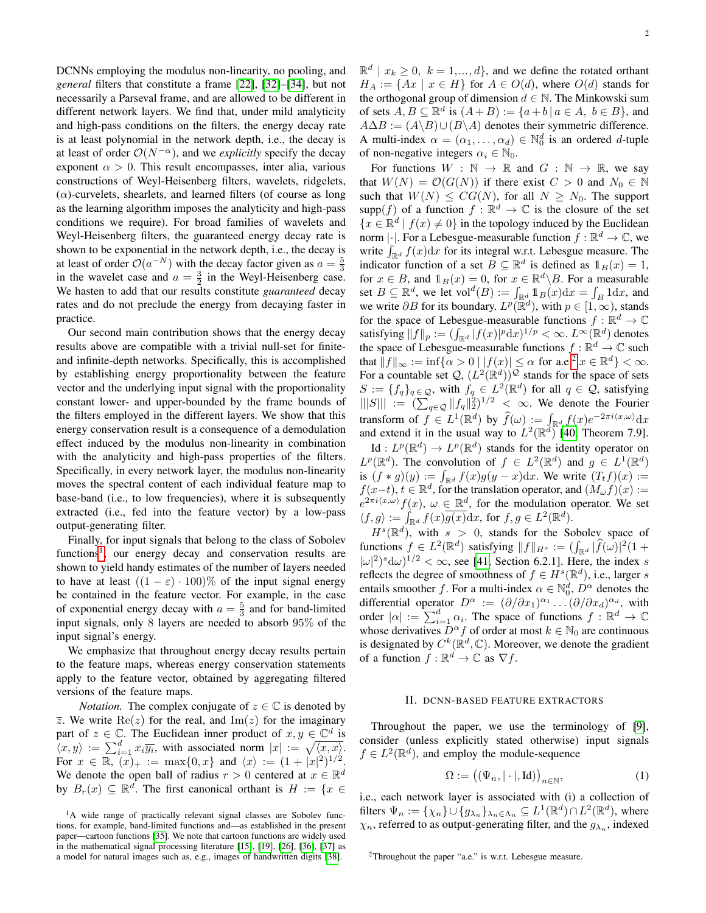DCNNs employing the modulus non-linearity, no pooling, and *general* filters that constitute a frame [\[22\]](#page-22-12), [\[32\]](#page-22-20)–[\[34\]](#page-22-21), but not necessarily a Parseval frame, and are allowed to be different in different network layers. We find that, under mild analyticity and high-pass conditions on the filters, the energy decay rate is at least polynomial in the network depth, i.e., the decay is at least of order  $\mathcal{O}(N^{-\alpha})$ , and we *explicitly* specify the decay exponent  $\alpha > 0$ . This result encompasses, inter alia, various constructions of Weyl-Heisenberg filters, wavelets, ridgelets,  $(\alpha)$ -curvelets, shearlets, and learned filters (of course as long as the learning algorithm imposes the analyticity and high-pass conditions we require). For broad families of wavelets and Weyl-Heisenberg filters, the guaranteed energy decay rate is shown to be exponential in the network depth, i.e., the decay is at least of order  $\mathcal{O}(a^{-N})$  with the decay factor given as  $a = \frac{5}{3}$ in the wavelet case and  $a = \frac{3}{2}$  in the Weyl-Heisenberg case. We hasten to add that our results constitute *guaranteed* decay rates and do not preclude the energy from decaying faster in practice.

Our second main contribution shows that the energy decay results above are compatible with a trivial null-set for finiteand infinite-depth networks. Specifically, this is accomplished by establishing energy proportionality between the feature vector and the underlying input signal with the proportionality constant lower- and upper-bounded by the frame bounds of the filters employed in the different layers. We show that this energy conservation result is a consequence of a demodulation effect induced by the modulus non-linearity in combination with the analyticity and high-pass properties of the filters. Specifically, in every network layer, the modulus non-linearity moves the spectral content of each individual feature map to base-band (i.e., to low frequencies), where it is subsequently extracted (i.e., fed into the feature vector) by a low-pass output-generating filter.

Finally, for input signals that belong to the class of Sobolev functions<sup>[1](#page-1-0)</sup>, our energy decay and conservation results are shown to yield handy estimates of the number of layers needed to have at least  $((1 - \varepsilon) \cdot 100)$ % of the input signal energy be contained in the feature vector. For example, in the case of exponential energy decay with  $a = \frac{5}{3}$  and for band-limited input signals, only 8 layers are needed to absorb 95% of the input signal's energy.

We emphasize that throughout energy decay results pertain to the feature maps, whereas energy conservation statements apply to the feature vector, obtained by aggregating filtered versions of the feature maps.

*Notation.* The complex conjugate of  $z \in \mathbb{C}$  is denoted by  $\overline{z}$ . We write  $\text{Re}(z)$  for the real, and  $\text{Im}(z)$  for the imaginary part of  $z \in \mathbb{C}$ . The Euclidean inner product of  $x, y \in \mathbb{C}^d$  is  $\langle x, y \rangle := \sum_{i=1}^d x_i \overline{y_i}$ , with associated norm  $|x| := \sqrt{\langle x, x \rangle}$ . For  $x \in \mathbb{R}$ ,  $(x)_{+} := \max\{0, x\}$  and  $\langle x \rangle := (1 + |x|^{2})^{1/2}$ . We denote the open ball of radius  $r > 0$  centered at  $x \in \mathbb{R}^d$ by  $B_r(x) \subseteq \mathbb{R}^d$ . The first canonical orthant is  $H := \{x \in$ 

 $\mathbb{R}^d \mid x_k \geq 0, \ k = 1, \ldots, d\},$  and we define the rotated orthant  $H_A := \{Ax \mid x \in H\}$  for  $A \in O(d)$ , where  $O(d)$  stands for the orthogonal group of dimension  $d \in \mathbb{N}$ . The Minkowski sum of sets  $\overline{A}$ ,  $\overline{B} \subseteq \mathbb{R}^d$  is  $(A + B) := \{a + b \mid a \in A, b \in B\}$ , and  $A\Delta B := (A\Bra{B})\cup (B\Bra{A})$  denotes their symmetric difference. A multi-index  $\alpha = (\alpha_1, \dots, \alpha_d) \in \mathbb{N}_0^d$  is an ordered d-tuple of non-negative integers  $\alpha_i \in \mathbb{N}_0$ .

For functions  $W : \mathbb{N} \to \mathbb{R}$  and  $G : \mathbb{N} \to \mathbb{R}$ , we say that  $W(N) = \mathcal{O}(G(N))$  if there exist  $C > 0$  and  $N_0 \in \mathbb{N}$ such that  $W(N) \leq CG(N)$ , for all  $N \geq N_0$ . The support supp(f) of a function  $f : \mathbb{R}^d \to \mathbb{C}$  is the closure of the set  ${x \in \mathbb{R}^d \mid f(x) \neq 0}$  in the topology induced by the Euclidean norm  $|\cdot|$ . For a Lebesgue-measurable function  $f : \mathbb{R}^d \to \mathbb{C}$ , we write  $\int_{\mathbb{R}^d} f(x) dx$  for its integral w.r.t. Lebesgue measure. The indicator function of a set  $B \subseteq \mathbb{R}^d$  is defined as  $1_B(x) = 1$ , for  $x \in B$ , and  $\mathbb{1}_B(x) = 0$ , for  $x \in \mathbb{R}^d \backslash B$ . For a measurable set  $B \subseteq \mathbb{R}^d$ , we let  $\text{vol}^d(B) := \int_{\mathbb{R}^d} \mathbb{1}_B(x) dx = \int_B 1 dx$ , and we write  $\partial B$  for its boundary.  $L^p(\mathbb{R}^d)$ , with  $p \in [1, \infty)$ , stands for the space of Lebesgue-measurable functions  $f : \mathbb{R}^d \to \mathbb{C}$ satisfying  $||f||_p := (\int_{\mathbb{R}^d} |f(x)|^p \mathrm{d}x)^{1/p} < \infty$ .  $L^{\infty}(\mathbb{R}^d)$  denotes the space of Lebesgue-measurable functions  $f : \mathbb{R}^d \to \mathbb{C}$  such that  $||f||_{\infty} := \inf \{ \alpha > 0 \mid |f(x)| \le \alpha \text{ for a.e.}^2 x \in \mathbb{R}^d \} < \infty$  $||f||_{\infty} := \inf \{ \alpha > 0 \mid |f(x)| \le \alpha \text{ for a.e.}^2 x \in \mathbb{R}^d \} < \infty$  $||f||_{\infty} := \inf \{ \alpha > 0 \mid |f(x)| \le \alpha \text{ for a.e.}^2 x \in \mathbb{R}^d \} < \infty$ . For a countable set  $\mathcal{Q}, (L^2(\mathbb{R}^d))^{\mathcal{Q}}$  stands for the space of sets  $S := \{f_q\}_{q \in \mathcal{Q}}$ , with  $f_q \in L^2(\mathbb{R}^d)$  for all  $q \in \mathcal{Q}$ , satisfying  $|||S||| := (\sum_{q \in \mathcal{Q}} ||f_q||_2^2)^{1/2} < \infty$ . We denote the Fourier transform of  $f \in L^1(\mathbb{R}^d)$  by  $\widehat{f}(\omega) := \int_{\mathbb{R}^d} f(x) e^{-2\pi i \langle x, \omega \rangle} dx$ and extend it in the usual way to  $L^2(\mathbb{R}^d)$  [\[40,](#page-22-27) Theorem 7.9].

Id :  $L^p(\mathbb{R}^d) \to L^p(\mathbb{R}^d)$  stands for the identity operator on  $L^p(\mathbb{R}^d)$ . The convolution of  $f \in L^2(\mathbb{R}^d)$  and  $g \in L^1(\mathbb{R}^d)$ is  $(f * g)(y) := \int_{\mathbb{R}^d} f(x)g(y-x)dx$ . We write  $(T_t f)(x) :=$  $f(x-t)$ ,  $t \in \mathbb{R}^d$ , for the translation operator, and  $(M_{\omega} f)(x) :=$  $e^{2\pi i \langle x,\omega \rangle} f(x), \omega \in \mathbb{R}^d$ , for the modulation operator. We set  $\langle f, g \rangle := \int_{\mathbb{R}^d} f(x) \overline{g(x)} dx$ , for  $f, g \in L^2(\mathbb{R}^d)$ .

 $H^s(\mathbb{R}^d)$ , with  $s > 0$ , stands for the Sobolev space of functions  $f \in L^2(\mathbb{R}^d)$  satisfying  $||f||_{H^s} := (\int_{\mathbb{R}^d} |\widehat{f}(\omega)|^2 (1 +$  $|\omega|^2$ <sup>3</sup> $d\omega$ )<sup>1/2</sup> <  $\infty$ , see [\[41,](#page-22-28) Section 6.2.1]. Here, the index *s* reflects the degree of smoothness of  $f \in H^s(\mathbb{R}^d)$ , i.e., larger s entails smoother f. For a multi-index  $\alpha \in \mathbb{N}_0^d$ ,  $D^{\alpha}$  denotes the differential operator  $D^{\alpha} := (\partial/\partial x_1)^{\alpha_1} \dots (\partial/\partial x_d)^{\alpha_d}$ , with order  $|\alpha| := \sum_{i=1}^d \alpha_i$ . The space of functions  $f : \mathbb{R}^d \to \mathbb{C}$ whose derivatives  $D^{\alpha} f$  of order at most  $k \in \mathbb{N}_0$  are continuous is designated by  $C^k(\mathbb{R}^d, \mathbb{C})$ . Moreover, we denote the gradient of a function  $f : \mathbb{R}^d \to \mathbb{C}$  as  $\nabla f$ .

### II. DCNN-BASED FEATURE EXTRACTORS

Throughout the paper, we use the terminology of [\[9\]](#page-22-4), consider (unless explicitly stated otherwise) input signals  $f \in L^2(\mathbb{R}^d)$ , and employ the module-sequence

<span id="page-1-2"></span>
$$
\Omega := ((\Psi_n, |\cdot|, \mathrm{Id}))_{n \in \mathbb{N}},\tag{1}
$$

i.e., each network layer is associated with (i) a collection of filters  $\Psi_n := \{\chi_n\} \cup \{g_{\lambda_n}\}_{\lambda_n \in \Lambda_n} \subseteq L^1(\mathbb{R}^d) \cap L^2(\mathbb{R}^d)$ , where  $\chi_n$ , referred to as output-generating filter, and the  $g_{\lambda_n}$ , indexed

<span id="page-1-0"></span><sup>&</sup>lt;sup>1</sup>A wide range of practically relevant signal classes are Sobolev functions, for example, band-limited functions and—as established in the present paper—cartoon functions [\[35\]](#page-22-22). We note that cartoon functions are widely used in the mathematical signal processing literature [\[15\]](#page-22-23), [\[19\]](#page-22-10), [\[26\]](#page-22-15), [\[36\]](#page-22-24), [\[37\]](#page-22-25) as a model for natural images such as, e.g., images of handwritten digits [\[38\]](#page-22-26).

<span id="page-1-1"></span><sup>2</sup>Throughout the paper "a.e." is w.r.t. Lebesgue measure.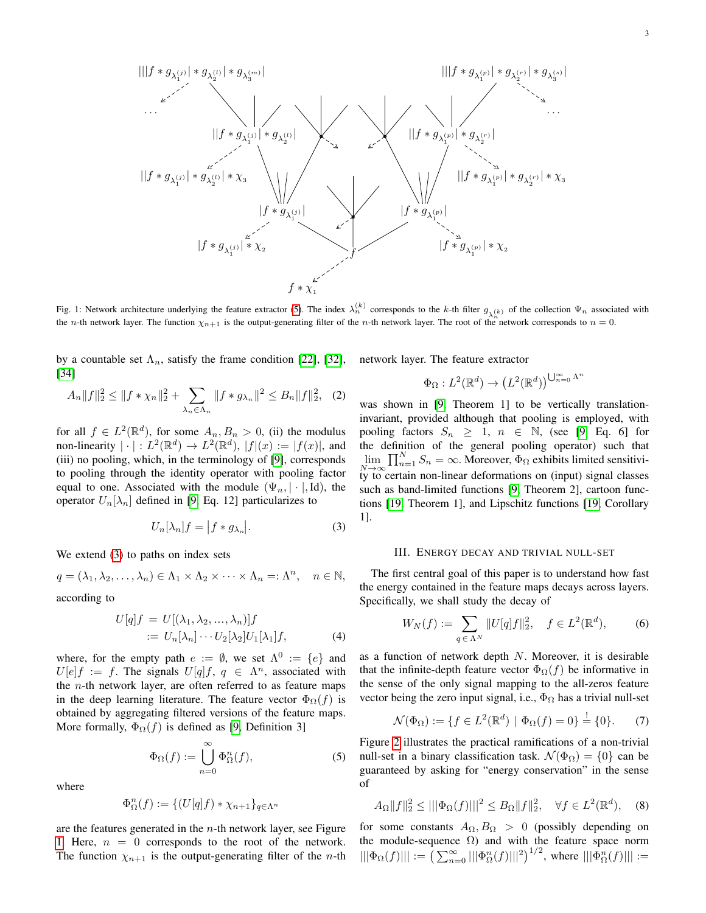<span id="page-2-2"></span>

Fig. 1: Network architecture underlying the feature extractor [\(5\)](#page-2-0). The index  $\lambda_n^{(k)}$  corresponds to the k-th filter  $g_{\lambda_n^{(k)}}$  of the collection  $\Psi_n$  associated with the *n*-th network layer. The function  $\chi_{n+1}$  is the output-generating filter of the *n*-th network layer. The root of the network corresponds to  $n = 0$ .

by a countable set  $\Lambda_n$ , satisfy the frame condition [\[22\]](#page-22-12), [\[32\]](#page-22-20), [\[34\]](#page-22-21)

<span id="page-2-5"></span>
$$
A_n||f||_2^2 \le ||f * \chi_n||_2^2 + \sum_{\lambda_n \in \Lambda_n} ||f * g_{\lambda_n}||^2 \le B_n||f||_2^2, \quad (2)
$$

for all  $f \in L^2(\mathbb{R}^d)$ , for some  $A_n, B_n > 0$ , (ii) the modulus non-linearity  $|\cdot|: L^2(\mathbb{R}^d) \to L^2(\mathbb{R}^d)$ ,  $|f|(x) := |f(x)|$ , and (iii) no pooling, which, in the terminology of [\[9\]](#page-22-4), corresponds to pooling through the identity operator with pooling factor equal to one. Associated with the module  $(\Psi_n, |\cdot|, Id)$ , the operator  $U_n[\lambda_n]$  defined in [\[9,](#page-22-4) Eq. 12] particularizes to

<span id="page-2-1"></span>
$$
U_n[\lambda_n]f = |f * g_{\lambda_n}|. \tag{3}
$$

We extend [\(3\)](#page-2-1) to paths on index sets

$$
q = (\lambda_1, \lambda_2, \dots, \lambda_n) \in \Lambda_1 \times \Lambda_2 \times \dots \times \Lambda_n =: \Lambda^n, \quad n \in \mathbb{N},
$$
  
according to

cording to

$$
U[q]f = U[(\lambda_1, \lambda_2, ..., \lambda_n)]f
$$
  
 :=  $U_n[\lambda_n] \cdots U_2[\lambda_2]U_1[\lambda_1]f$ , (4)

where, for the empty path  $e := \emptyset$ , we set  $\Lambda^0 := \{e\}$  and  $U[e]f := f$ . The signals  $U[q]f, q \in \Lambda^n$ , associated with the  $n$ -th network layer, are often referred to as feature maps in the deep learning literature. The feature vector  $\Phi_{\Omega}(f)$  is obtained by aggregating filtered versions of the feature maps. More formally,  $\Phi_{\Omega}(f)$  is defined as [\[9,](#page-22-4) Definition 3]

<span id="page-2-0"></span>
$$
\Phi_{\Omega}(f) := \bigcup_{n=0}^{\infty} \Phi_{\Omega}^n(f),\tag{5}
$$

where

$$
\Phi_{\Omega}^{n}(f) := \{ (U[q]f) * \chi_{n+1} \}_{q \in \Lambda^{n}}
$$

are the features generated in the  $n$ -th network layer, see Figure [1.](#page-2-2) Here,  $n = 0$  corresponds to the root of the network. The function  $\chi_{n+1}$  is the output-generating filter of the *n*-th network layer. The feature extractor

$$
\Phi_{\Omega}: L^2(\mathbb{R}^d) \to (L^2(\mathbb{R}^d))^{\bigcup_{n=0}^{\infty} \Lambda^n}
$$

was shown in [\[9,](#page-22-4) Theorem 1] to be vertically translationinvariant, provided although that pooling is employed, with pooling factors  $S_n \geq 1$ ,  $n \in \mathbb{N}$ , (see [\[9,](#page-22-4) Eq. 6] for the definition of the general pooling operator) such that  $\lim_{N \to \infty} \prod_{n=1}^{N} S_n = \infty$ . Moreover,  $\Phi_{\Omega}$  exhibits limited sensitivity to certain non-linear deformations on (input) signal classes such as band-limited functions [\[9,](#page-22-4) Theorem 2], cartoon functions [\[19,](#page-22-10) Theorem 1], and Lipschitz functions [\[19,](#page-22-10) Corollary 1].

### III. ENERGY DECAY AND TRIVIAL NULL-SET

<span id="page-2-7"></span>The first central goal of this paper is to understand how fast the energy contained in the feature maps decays across layers. Specifically, we shall study the decay of

<span id="page-2-6"></span>
$$
W_N(f) := \sum_{q \in \Lambda^N} \|U[q]f\|_2^2, \quad f \in L^2(\mathbb{R}^d), \tag{6}
$$

<span id="page-2-8"></span>as a function of network depth N. Moreover, it is desirable that the infinite-depth feature vector  $\Phi_{\Omega}(f)$  be informative in the sense of the only signal mapping to the all-zeros feature vector being the zero input signal, i.e.,  $\Phi_{\Omega}$  has a trivial null-set

<span id="page-2-3"></span>
$$
\mathcal{N}(\Phi_{\Omega}) := \{ f \in L^{2}(\mathbb{R}^{d}) \mid \Phi_{\Omega}(f) = 0 \} \stackrel{!}{=} \{ 0 \}.
$$
 (7)

Figure [2](#page-3-0) illustrates the practical ramifications of a non-trivial null-set in a binary classification task.  $\mathcal{N}(\Phi_{\Omega}) = \{0\}$  can be guaranteed by asking for "energy conservation" in the sense of

<span id="page-2-4"></span>
$$
A_{\Omega}||f||_2^2 \le |||\Phi_{\Omega}(f)|||^2 \le B_{\Omega}||f||_2^2, \quad \forall f \in L^2(\mathbb{R}^d), \quad (8)
$$

for some constants  $A_{\Omega}, B_{\Omega} > 0$  (possibly depending on the module-sequence  $\Omega$ ) and with the feature space norm  $|||\Phi_{\Omega}(f)||| := \left( \sum_{n=0}^{\infty} |||\Phi_{\Omega}^n(f)|||^2 \right)^{1/2}$ , where  $|||\Phi_{\Omega}^n(f)||| :=$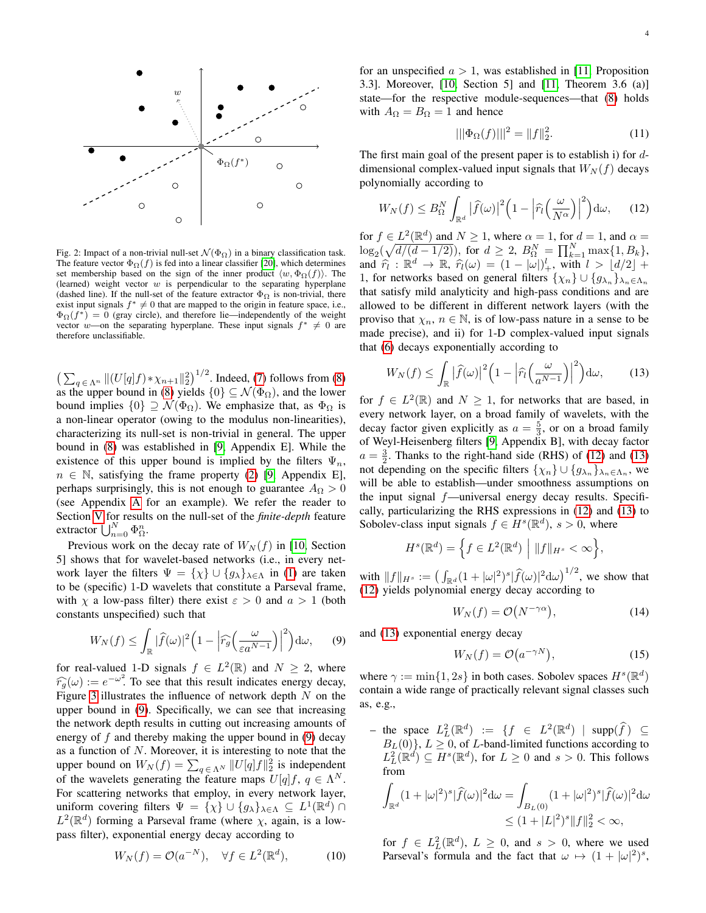<span id="page-3-0"></span>

Fig. 2: Impact of a non-trivial null-set  $\mathcal{N}(\Phi_{\Omega})$  in a binary classification task. The feature vector  $\Phi_{\Omega}(f)$  is fed into a linear classifier [\[20\]](#page-22-29), which determines set membership based on the sign of the inner product  $\langle w, \Phi_{\Omega}(f) \rangle$ . The (learned) weight vector  $w$  is perpendicular to the separating hyperplane (dashed line). If the null-set of the feature extractor  $\Phi_{\Omega}$  is non-trivial, there exist input signals  $f^* \neq 0$  that are mapped to the origin in feature space, i.e.,  $\Phi_{\Omega}(f^*) = 0$  (gray circle), and therefore lie—independently of the weight vector w—on the separating hyperplane. These input signals  $f^* \neq 0$  are therefore unclassifiable.

 $\left(\sum_{q \in \Lambda^n} \|(U[q]f) * \chi_{n+1}\|_2^2\right)^{1/2}$ . Indeed, [\(7\)](#page-2-3) follows from [\(8\)](#page-2-4) as the upper bound in [\(8\)](#page-2-4) yields  $\{0\} \subseteq \mathcal{N}(\Phi_{\Omega})$ , and the lower bound implies  $\{0\} \supseteq \mathcal{N}(\Phi_{\Omega})$ . We emphasize that, as  $\Phi_{\Omega}$  is a non-linear operator (owing to the modulus non-linearities), characterizing its null-set is non-trivial in general. The upper bound in [\(8\)](#page-2-4) was established in [\[9,](#page-22-4) Appendix E]. While the existence of this upper bound is implied by the filters  $\Psi_n$ ,  $n \in \mathbb{N}$ , satisfying the frame property [\(2\)](#page-2-5) [\[9,](#page-22-4) Appendix E], perhaps surprisingly, this is not enough to guarantee  $A_{\Omega} > 0$ (see Appendix [A](#page-9-0) for an example). We refer the reader to Section [V](#page-7-0) for results on the null-set of the *finite-depth* feature extractor  $\bigcup_{n=0}^{N} \Phi_{\Omega}^{n}$ .

Previous work on the decay rate of  $W_N(f)$  in [\[10,](#page-22-5) Section 5] shows that for wavelet-based networks (i.e., in every network layer the filters  $\Psi = {\chi} \cup {\{g_{\lambda}\}}_{\lambda \in \Lambda}$  in [\(1\)](#page-1-2) are taken to be (specific) 1-D wavelets that constitute a Parseval frame, with  $\chi$  a low-pass filter) there exist  $\varepsilon > 0$  and  $a > 1$  (both constants unspecified) such that

<span id="page-3-1"></span>
$$
W_N(f) \leq \int_{\mathbb{R}} |\widehat{f}(\omega)|^2 \Big(1 - \Big| \widehat{r_g}\Big(\frac{\omega}{\varepsilon a^{N-1}}\Big)\Big|^2\Big) d\omega, \qquad (9)
$$

for real-valued 1-D signals  $f \in L^2(\mathbb{R})$  and  $N \geq 2$ , where  $\widehat{r}_g(\omega) := e^{-\omega^2}$ . To see that this result indicates energy decay, Figure [3](#page-4-0) illustrates the influence of network depth  $N$  on the upper bound in [\(9\)](#page-3-1). Specifically, we can see that increasing the network depth results in cutting out increasing amounts of energy of  $f$  and thereby making the upper bound in  $(9)$  decay as a function of  $N$ . Moreover, it is interesting to note that the upper bound on  $W_N(f) = \sum_{q \in \Lambda^N} ||U[q]f||_2^2$  is independent of the wavelets generating the feature maps  $U[q]f, q \in \Lambda^N$ . For scattering networks that employ, in every network layer, uniform covering filters  $\Psi = {\chi} \cup {\{g_\lambda\}}_{\lambda \in \Lambda} \subseteq L^1(\mathbb{R}^d) \cap$  $L^2(\mathbb{R}^d)$  forming a Parseval frame (where  $\chi$ , again, is a lowpass filter), exponential energy decay according to

<span id="page-3-5"></span>
$$
W_N(f) = \mathcal{O}(a^{-N}), \quad \forall f \in L^2(\mathbb{R}^d), \tag{10}
$$

for an unspecified  $a > 1$ , was established in [\[11,](#page-22-6) Proposition 3.3]. Moreover, [\[10,](#page-22-5) Section 5] and [\[11,](#page-22-6) Theorem 3.6 (a)] state—for the respective module-sequences—that [\(8\)](#page-2-4) holds with  $A_{\Omega} = B_{\Omega} = 1$  and hence

<span id="page-3-4"></span>
$$
|||\Phi_{\Omega}(f)|||^{2} = ||f||_{2}^{2}.
$$
 (11)

The first main goal of the present paper is to establish i) for  $d$ dimensional complex-valued input signals that  $W_N(f)$  decays polynomially according to

<span id="page-3-2"></span>
$$
W_N(f) \leq B_{\Omega}^N \int_{\mathbb{R}^d} \left| \widehat{f}(\omega) \right|^2 \left( 1 - \left| \widehat{r}_l \left( \frac{\omega}{N^{\alpha}} \right) \right|^2 \right) d\omega, \qquad (12)
$$

for  $f \in L^2(\mathbb{R}^d)$  and  $N \ge 1$ , where  $\alpha = 1$ , for  $d = 1$ , and  $\alpha =$  $\log_2(\sqrt{d/(d-1/2)})$ , for  $d \geq 2$ ,  $B_{\Omega}^N = \prod_{k=1}^N \max\{1, B_k\},$ and  $\hat{r}_l : \mathbb{R}^d \to \mathbb{R}, \hat{r}_l(\omega) = (1 - |\omega|)_+^l$ , with  $l > \lfloor d/2 \rfloor + 1$ , for naturalised on general filters  $\{\infty, l\}$ 1, for networks based on general filters  $\{\chi_n\} \cup \{g_{\lambda_n}\}_{\lambda_n \in \Lambda_n}$ that satisfy mild analyticity and high-pass conditions and are allowed to be different in different network layers (with the proviso that  $\chi_n$ ,  $n \in \mathbb{N}$ , is of low-pass nature in a sense to be made precise), and ii) for 1-D complex-valued input signals that [\(6\)](#page-2-6) decays exponentially according to

<span id="page-3-3"></span>
$$
W_N(f) \le \int_{\mathbb{R}} \left| \widehat{f}(\omega) \right|^2 \left( 1 - \left| \widehat{r}_l \left( \frac{\omega}{a^{N-1}} \right) \right|^2 \right) d\omega, \tag{13}
$$

for  $f \in L^2(\mathbb{R})$  and  $N \geq 1$ , for networks that are based, in every network layer, on a broad family of wavelets, with the decay factor given explicitly as  $a = \frac{5}{3}$ , or on a broad family of Weyl-Heisenberg filters [\[9,](#page-22-4) Appendix B], with decay factor  $a = \frac{3}{2}$ . Thanks to the right-hand side (RHS) of [\(12\)](#page-3-2) and [\(13\)](#page-3-3) not depending on the specific filters  $\{\chi_n\} \cup \{g_{\lambda_n}\}_{\lambda_n \in \Lambda_n}$ , we will be able to establish—under smoothness assumptions on the input signal  $f$ —universal energy decay results. Specifically, particularizing the RHS expressions in [\(12\)](#page-3-2) and [\(13\)](#page-3-3) to Sobolev-class input signals  $f \in H^s(\mathbb{R}^d)$ ,  $s > 0$ , where

$$
H^{s}(\mathbb{R}^{d}) = \left\{ f \in L^{2}(\mathbb{R}^{d}) \mid ||f||_{H^{s}} < \infty \right\},\
$$

with  $||f||_{H^s} := \left(\int_{\mathbb{R}^d} (1+|\omega|^2)^s |\widehat{f}(\omega)|^2 d\omega\right)^{1/2}$ , we show that [\(12\)](#page-3-2) yields polynomial energy decay according to

$$
W_N(f) = \mathcal{O}(N^{-\gamma \alpha}),\tag{14}
$$

and [\(13\)](#page-3-3) exponential energy decay

$$
W_N(f) = \mathcal{O}\big(a^{-\gamma N}\big),\tag{15}
$$

where  $\gamma := \min\{1, 2s\}$  in both cases. Sobolev spaces  $H^s(\mathbb{R}^d)$ contain a wide range of practically relevant signal classes such as, e.g.,

- the space  $L^2_L(\mathbb{R}^d) := \{f \in L^2(\mathbb{R}^d) \mid \text{supp}(\hat{f}) \subseteq$  $B_L(0)$ ,  $L \geq 0$ , of *L*-band-limited functions according to  $L^2_L(\mathbb{R}^d) \subseteq H^s(\mathbb{R}^d)$ , for  $L \geq 0$  and  $s > 0$ . This follows from

$$
\int_{\mathbb{R}^d} (1+|\omega|^2)^s |\widehat{f}(\omega)|^2 d\omega = \int_{B_L(0)} (1+|\omega|^2)^s |\widehat{f}(\omega)|^2 d\omega
$$
  

$$
\leq (1+|L|^2)^s \|f\|_2^2 < \infty,
$$

for  $f \in L^2_L(\mathbb{R}^d)$ ,  $L \geq 0$ , and  $s > 0$ , where we used Parseval's formula and the fact that  $\omega \mapsto (1 + |\omega|^2)^s$ ,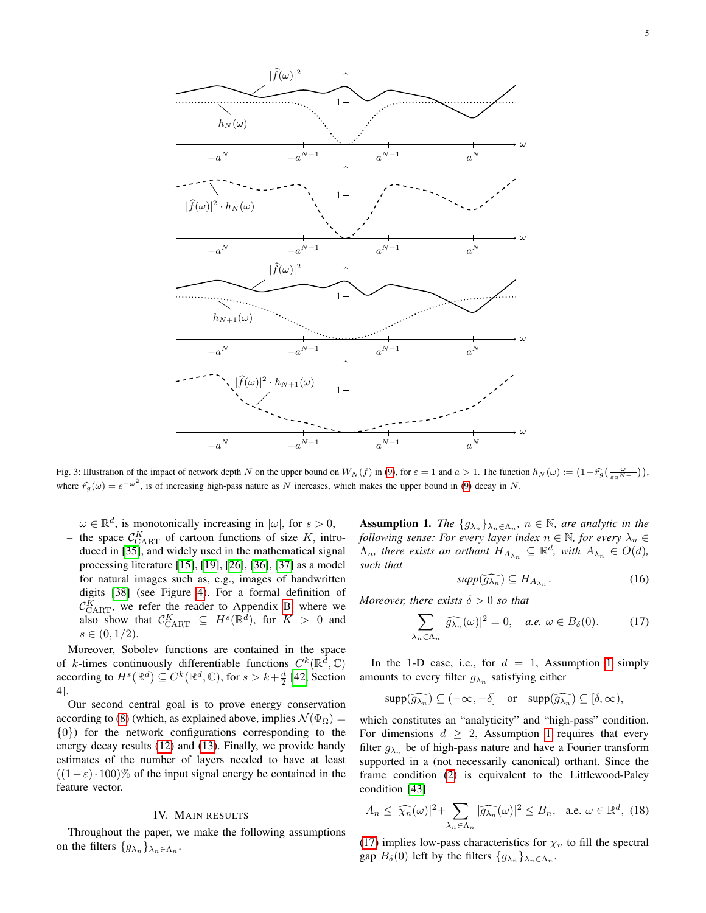<span id="page-4-0"></span>

Fig. 3: Illustration of the impact of network depth N on the upper bound on  $W_N(f)$  in [\(9\)](#page-3-1), for  $\varepsilon = 1$  and  $a > 1$ . The function  $h_N(\omega) := \left(1 - \hat{r}_g\left(\frac{\omega}{\varepsilon a^{N-1}}\right)\right)$ , where  $\hat{r}_g(\omega) = e^{-\omega^2}$ , is of increasing high-pass nature as N increases, which makes the upper bound in [\(9\)](#page-3-1) decay in N.

 $\omega \in \mathbb{R}^d$ , is monotonically increasing in  $|\omega|$ , for  $s > 0$ ,

- the space  $\mathcal{C}_{\text{CART}}^K$  of cartoon functions of size K, introduced in [\[35\]](#page-22-22), and widely used in the mathematical signal processing literature [\[15\]](#page-22-23), [\[19\]](#page-22-10), [\[26\]](#page-22-15), [\[36\]](#page-22-24), [\[37\]](#page-22-25) as a model for natural images such as, e.g., images of handwritten digits [\[38\]](#page-22-26) (see Figure [4\)](#page-5-0). For a formal definition of  $\mathcal{C}_{\text{CART}}^K$ , we refer the reader to Appendix [B,](#page-9-1) where we also show that  $\mathcal{C}_{\text{CART}}^K \subseteq H^s(\mathbb{R}^d)$ , for  $K > 0$  and  $s \in (0, 1/2).$ 

Moreover, Sobolev functions are contained in the space of *k*-times continuously differentiable functions  $C^k(\mathbb{R}^d, \mathbb{C})$ according to  $H^s(\mathbb{R}^d) \subseteq C^k(\mathbb{R}^d, \mathbb{C})$ , for  $s > k + \frac{d}{2}$  [\[42,](#page-22-30) Section 4].

Our second central goal is to prove energy conservation according to [\(8\)](#page-2-4) (which, as explained above, implies  $\mathcal{N}(\Phi_0)$  = {0}) for the network configurations corresponding to the energy decay results [\(12\)](#page-3-2) and [\(13\)](#page-3-3). Finally, we provide handy estimates of the number of layers needed to have at least  $((1 - \varepsilon) \cdot 100)$ % of the input signal energy be contained in the feature vector.

### IV. MAIN RESULTS

Throughout the paper, we make the following assumptions on the filters  $\{g_{\lambda_n}\}_{\lambda_n \in \Lambda_n}$ .

<span id="page-4-1"></span>**Assumption 1.** *The*  $\{g_{\lambda_n}\}_{\lambda_n \in \Lambda_n}$ ,  $n \in \mathbb{N}$ , are analytic in the *following sense: For every layer index*  $n \in \mathbb{N}$ *, for every*  $\lambda_n \in$  $\Lambda_n$ , there exists an orthant  $H_{A_{\lambda_n}} \subseteq \mathbb{R}^d$ , with  $A_{\lambda_n} \in O(d)$ , *such that*

<span id="page-4-3"></span>
$$
supp(\widehat{g_{\lambda_n}}) \subseteq H_{A_{\lambda_n}}.\tag{16}
$$

*Moreover, there exists*  $\delta > 0$  *so that* 

<span id="page-4-2"></span>
$$
\sum_{\lambda_n \in \Lambda_n} |\widehat{g_{\lambda_n}}(\omega)|^2 = 0, \quad a.e. \ \omega \in B_\delta(0). \tag{17}
$$

In the [1](#page-4-1)-D case, i.e., for  $d = 1$ , Assumption 1 simply amounts to every filter  $g_{\lambda_n}$  satisfying either

$$
\mathrm{supp}(\widehat{g_{\lambda_n}}) \subseteq (-\infty, -\delta] \quad \text{or} \quad \mathrm{supp}(\widehat{g_{\lambda_n}}) \subseteq [\delta, \infty),
$$

which constitutes an "analyticity" and "high-pass" condition. For dimensions  $d \geq 2$ , Assumption [1](#page-4-1) requires that every filter  $g_{\lambda_n}$  be of high-pass nature and have a Fourier transform supported in a (not necessarily canonical) orthant. Since the frame condition [\(2\)](#page-2-5) is equivalent to the Littlewood-Paley condition [\[43\]](#page-22-31)

<span id="page-4-4"></span>
$$
A_n \leq |\widehat{\chi_n}(\omega)|^2 + \sum_{\lambda_n \in \Lambda_n} |\widehat{g_{\lambda_n}}(\omega)|^2 \leq B_n, \quad \text{a.e. } \omega \in \mathbb{R}^d, \tag{18}
$$

[\(17\)](#page-4-2) implies low-pass characteristics for  $\chi_n$  to fill the spectral gap  $B_\delta(0)$  left by the filters  $\{g_{\lambda_n}\}_{\lambda_n \in \Lambda_n}$ .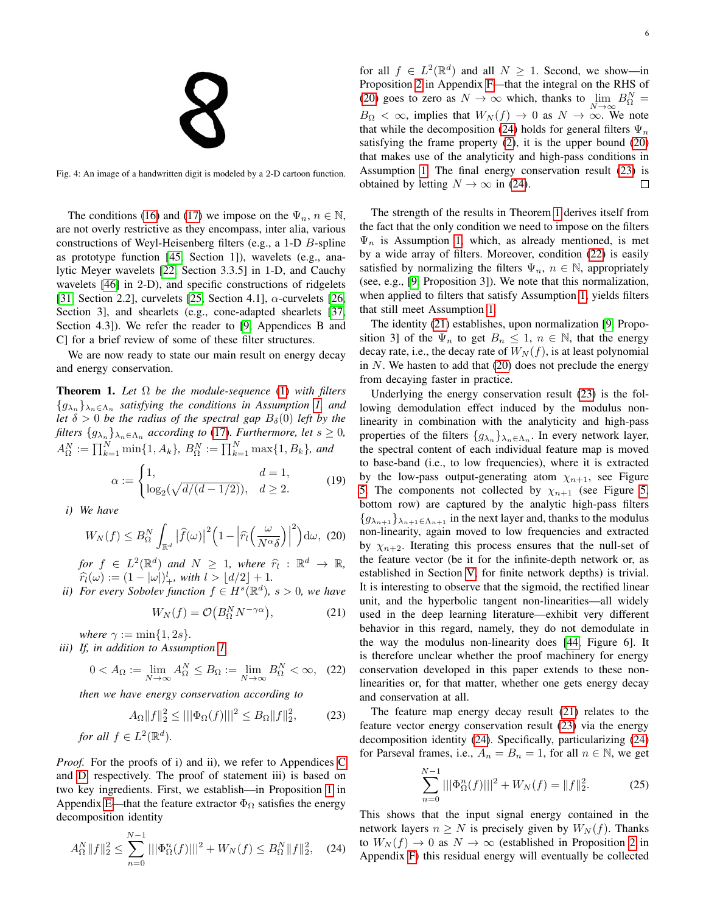<span id="page-5-0"></span>Fig. 4: An image of a handwritten digit is modeled by a 2-D cartoon function.

The conditions [\(16\)](#page-4-3) and [\(17\)](#page-4-2) we impose on the  $\Psi_n$ ,  $n \in \mathbb{N}$ , are not overly restrictive as they encompass, inter alia, various constructions of Weyl-Heisenberg filters (e.g., a 1-D B-spline as prototype function [\[45,](#page-22-32) Section 1]), wavelets (e.g., analytic Meyer wavelets [\[22,](#page-22-12) Section 3.3.5] in 1-D, and Cauchy wavelets [\[46\]](#page-22-33) in 2-D), and specific constructions of ridgelets [\[31,](#page-22-19) Section 2.2], curvelets [\[25,](#page-22-34) Section 4.1],  $\alpha$ -curvelets [\[26,](#page-22-15) Section 3], and shearlets (e.g., cone-adapted shearlets [\[37,](#page-22-25) Section 4.3]). We refer the reader to [\[9,](#page-22-4) Appendices B and C] for a brief review of some of these filter structures.

We are now ready to state our main result on energy decay and energy conservation.

<span id="page-5-4"></span>Theorem 1. *Let* Ω *be the module-sequence* [\(1\)](#page-1-2) *with filters*  ${g_{\lambda_n}}_{\lambda_n \in \Lambda_n}$  satisfying the conditions in Assumption [1,](#page-4-1) and *let*  $\delta > 0$  *be the radius of the spectral gap*  $B_{\delta}(0)$  *left by the filters*  $\{g_{\lambda_n}\}_{\lambda_n \in \Lambda_n}$  *according to* [\(17\)](#page-4-2)*. Furthermore, let*  $s \geq 0$ *,*  $A_{\Omega}^N := \prod_{k=1}^N \min\{1, A_k\}, B_{\Omega}^N := \prod_{k=1}^N \max\{1, B_k\},$  and

<span id="page-5-8"></span>
$$
\alpha := \begin{cases} 1, & d = 1, \\ \log_2(\sqrt{d/(d-1/2)}), & d \ge 2. \end{cases}
$$
(19)

*i) We have*

<span id="page-5-1"></span>
$$
W_N(f) \leq B_{\Omega}^N \int_{\mathbb{R}^d} \left| \widehat{f}(\omega) \right|^2 \left( 1 - \left| \widehat{r}_l \left( \frac{\omega}{N^{\alpha} \delta} \right) \right|^2 \right) d\omega, \tag{20}
$$

*for*  $f \in L^2(\mathbb{R}^d)$  and  $N \geq 1$ , where  $\hat{\tau}_l : \mathbb{R}^d \to \mathbb{R}$ ,  $\hat{\mathbb{R}}(\cdot) := (1 + |v|)^l$  with  $l > |d/2| + 1$  $\widehat{r}_l(\omega) := (1 - |\omega|)^l_+,$  with  $l > \lfloor d/2 \rfloor + 1$ .<br>For every Sobolev function  $f \in H^s(\mathbb{R}^d)$ .

*ii*) For every Sobolev function  $f \in H^s(\mathbb{R}^d)$ ,  $s > 0$ , we have

<span id="page-5-6"></span>
$$
W_N(f) = \mathcal{O}\left(B_\Omega^N N^{-\gamma \alpha}\right),\tag{21}
$$

*where*  $\gamma := \min\{1, 2s\}.$ 

*iii) If, in addition to Assumption [1,](#page-4-1)*

<span id="page-5-5"></span>
$$
0 < A_{\Omega} := \lim_{N \to \infty} A_{\Omega}^N \le B_{\Omega} := \lim_{N \to \infty} B_{\Omega}^N < \infty, \quad (22)
$$

*then we have energy conservation according to*

<span id="page-5-3"></span>
$$
A_{\Omega}||f||_2^2 \le |||\Phi_{\Omega}(f)|||^2 \le B_{\Omega}||f||_2^2,
$$
 (23)  
for all  $f \in L^2(\mathbb{R}^d)$ .

*Proof.* For the proofs of i) and ii), we refer to Appendices [C](#page-11-0) and [D,](#page-14-0) respectively. The proof of statement iii) is based on two key ingredients. First, we establish—in Proposition [1](#page-15-0) in Appendix [E—](#page-15-1)that the feature extractor  $\Phi_{\Omega}$  satisfies the energy decomposition identity

<span id="page-5-2"></span>
$$
A_{\Omega}^N \|f\|_2^2 \le \sum_{n=0}^{N-1} |||\Phi_{\Omega}^n(f)|||^2 + W_N(f) \le B_{\Omega}^N \|f\|_2^2, \quad (24)
$$

for all  $f \in L^2(\mathbb{R}^d)$  and all  $N \ge 1$ . Second, we show—in Proposition [2](#page-16-0) in Appendix [F—](#page-16-1)that the integral on the RHS of [\(20\)](#page-5-1) goes to zero as  $N \to \infty$  which, thanks to  $\lim_{N \to \infty} B_{\Omega}^N =$  $B_{\Omega} < \infty$ , implies that  $W_N(f) \to 0$  as  $N \to \infty$ . We note that while the decomposition [\(24\)](#page-5-2) holds for general filters  $\Psi_n$ satisfying the frame property [\(2\)](#page-2-5), it is the upper bound [\(20\)](#page-5-1) that makes use of the analyticity and high-pass conditions in Assumption [1.](#page-4-1) The final energy conservation result [\(23\)](#page-5-3) is obtained by letting  $N \to \infty$  in [\(24\)](#page-5-2).  $\Box$ 

The strength of the results in Theorem [1](#page-5-4) derives itself from the fact that the only condition we need to impose on the filters  $\Psi_n$  is Assumption [1,](#page-4-1) which, as already mentioned, is met by a wide array of filters. Moreover, condition [\(22\)](#page-5-5) is easily satisfied by normalizing the filters  $\Psi_n$ ,  $n \in \mathbb{N}$ , appropriately (see, e.g., [\[9,](#page-22-4) Proposition 3]). We note that this normalization, when applied to filters that satisfy Assumption [1,](#page-4-1) yields filters that still meet Assumption [1.](#page-4-1)

The identity [\(21\)](#page-5-6) establishes, upon normalization [\[9,](#page-22-4) Proposition 3] of the  $\Psi_n$  to get  $B_n \leq 1$ ,  $n \in \mathbb{N}$ , that the energy decay rate, i.e., the decay rate of  $W_N(f)$ , is at least polynomial in  $N$ . We hasten to add that  $(20)$  does not preclude the energy from decaying faster in practice.

Underlying the energy conservation result [\(23\)](#page-5-3) is the following demodulation effect induced by the modulus nonlinearity in combination with the analyticity and high-pass properties of the filters  ${g_{\lambda_n}}_{\lambda_n \in \Lambda_n}$ . In every network layer, the spectral content of each individual feature map is moved to base-band (i.e., to low frequencies), where it is extracted by the low-pass output-generating atom  $\chi_{n+1}$ , see Figure [5.](#page-6-0) The components not collected by  $\chi_{n+1}$  (see Figure [5,](#page-6-0) bottom row) are captured by the analytic high-pass filters  ${g_{\lambda_{n+1}}}_{\lambda_{n+1}} \in \Lambda_{n+1}$  in the next layer and, thanks to the modulus non-linearity, again moved to low frequencies and extracted by  $\chi_{n+2}$ . Iterating this process ensures that the null-set of the feature vector (be it for the infinite-depth network or, as established in Section [V,](#page-7-0) for finite network depths) is trivial. It is interesting to observe that the sigmoid, the rectified linear unit, and the hyperbolic tangent non-linearities—all widely used in the deep learning literature—exhibit very different behavior in this regard, namely, they do not demodulate in the way the modulus non-linearity does [\[44,](#page-22-35) Figure 6]. It is therefore unclear whether the proof machinery for energy conservation developed in this paper extends to these nonlinearities or, for that matter, whether one gets energy decay and conservation at all.

The feature map energy decay result [\(21\)](#page-5-6) relates to the feature vector energy conservation result [\(23\)](#page-5-3) via the energy decomposition identity [\(24\)](#page-5-2). Specifically, particularizing [\(24\)](#page-5-2) for Parseval frames, i.e.,  $A_n = B_n = 1$ , for all  $n \in \mathbb{N}$ , we get

<span id="page-5-7"></span>
$$
\sum_{n=0}^{N-1} |||\Phi_{\Omega}^n(f)|||^2 + W_N(f) = ||f||_2^2.
$$
 (25)

This shows that the input signal energy contained in the network layers  $n \geq N$  is precisely given by  $W_N(f)$ . Thanks to  $W_N(f) \to 0$  as  $N \to \infty$  (established in Proposition [2](#page-16-0) in Appendix [F\)](#page-16-1) this residual energy will eventually be collected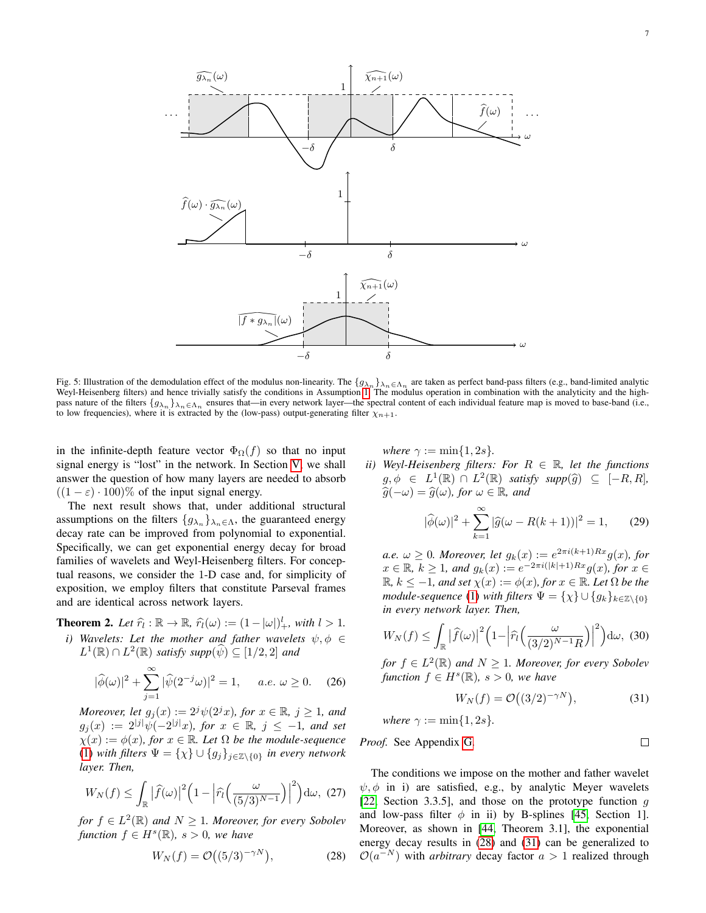<span id="page-6-0"></span>1 ω  $-\delta$   $\delta$  $\cdots$   $f(\omega)$  ...  $\widehat{g_{\lambda n}}(\omega)$   $\qquad \qquad \qquad$   $\widehat{\chi_{n+1}}(\omega)$  $\widehat{f}(\omega)$ 1 ω  $-\delta$  δ  $\widehat{f}(\omega) \cdot \widehat{g_{\lambda_n}}(\omega)$ 1 ω  $-\delta$  δ  $\overline{\left|f * g_{\lambda_n}\right|}(\omega)$  $\widehat{\chi_{n+1}}(\omega)$ 

Fig. 5: Illustration of the demodulation effect of the modulus non-linearity. The  $\{g_{\lambda_n}\}_{\lambda_n \in \Lambda_n}$  are taken as perfect band-pass filters (e.g., band-limited analytic Weyl-Heisenberg filters) and hence trivially satisfy the conditions in Assumption [1.](#page-4-1) The modulus operation in combination with the analyticity and the highpass nature of the filters  ${g_{\lambda_n}}\}_{\lambda_n \in \Lambda_n}$  ensures that—in every network layer—the spectral content of each individual feature map is moved to base-band (i.e., to low frequencies), where it is extracted by the (low-pass) output-generating filter  $\chi_{n+1}$ .

in the infinite-depth feature vector  $\Phi_{\Omega}(f)$  so that no input signal energy is "lost" in the network. In Section [V,](#page-7-0) we shall answer the question of how many layers are needed to absorb  $((1 - \varepsilon) \cdot 100)$ % of the input signal energy.

The next result shows that, under additional structural assumptions on the filters  ${g_{\lambda_n}}_{\lambda_n \in \Lambda}$ , the guaranteed energy decay rate can be improved from polynomial to exponential. Specifically, we can get exponential energy decay for broad families of wavelets and Weyl-Heisenberg filters. For conceptual reasons, we consider the 1-D case and, for simplicity of exposition, we employ filters that constitute Parseval frames and are identical across network layers.

<span id="page-6-3"></span>**Theorem 2.** Let  $\hat{r}_l : \mathbb{R} \to \mathbb{R}$ ,  $\hat{r}_l(\omega) := (1 - |\omega|)^l_+$ , with  $l > 1$ .

*i*) *Wavelets: Let the mother and father wavelets*  $\psi, \phi \in$  $L^1(\mathbb{R}) \cap L^2(\mathbb{R})$  *satisfy supp* $(\widehat{\psi}) \subseteq [1/2, 2]$  *and* 

<span id="page-6-6"></span>
$$
|\hat{\phi}(\omega)|^2 + \sum_{j=1}^{\infty} |\hat{\psi}(2^{-j}\omega)|^2 = 1, \quad a.e. \ \omega \ge 0. \tag{26}
$$

*Moreover, let*  $g_j(x) := 2^j \psi(2^j x)$ *, for*  $x \in \mathbb{R}$ *,*  $j \ge 1$ *, and*  $g_j(x) := 2^{|j|} \psi(-2^{|j|}x)$ , for  $x \in \mathbb{R}$ ,  $j \leq -1$ , and set  $\chi(x) := \phi(x)$ *, for*  $x \in \mathbb{R}$ *. Let*  $\Omega$  *be the module-sequence* [\(1\)](#page-1-2) *with filters*  $\Psi = {\chi} \cup {\{g_j\}}_{j \in \mathbb{Z} \setminus \{0\}}$  *in every network layer. Then,*

<span id="page-6-4"></span>
$$
W_N(f) \leq \int_{\mathbb{R}} \left| \widehat{f}(\omega) \right|^2 \left( 1 - \left| \widehat{r}_l \left( \frac{\omega}{(5/3)^{N-1}} \right) \right|^2 \right) d\omega, \tag{27}
$$

*for*  $f$  ∈  $L^2(\mathbb{R})$  *and*  $N \geq 1$ *. Moreover, for every Sobolev*  $function f \in H<sup>s</sup>(\mathbb{R})$ *, s* > 0*, we have* 

<span id="page-6-1"></span>
$$
W_N(f) = \mathcal{O}\big((5/3)^{-\gamma N}\big),\tag{28}
$$

*where*  $\gamma := \min\{1, 2s\}.$ 

*ii*) Weyl-Heisenberg filters: For  $R \in \mathbb{R}$ , let the functions  $g, \phi \in L^1(\mathbb{R}) \cap L^2(\mathbb{R})$  satisfy supp $(\widehat{g}) \subseteq [-R, R],$ <br> $\widehat{g}(\phi) = \widehat{g}(\phi)$  for  $\phi \in \mathbb{R}$  and  $\widehat{g}(-\omega) = \widehat{g}(\omega)$ *, for*  $\omega \in \mathbb{R}$ *, and* 

<span id="page-6-7"></span>
$$
|\hat{\phi}(\omega)|^2 + \sum_{k=1}^{\infty} |\hat{g}(\omega - R(k+1))|^2 = 1,
$$
 (29)

 $a.e. \omega \geq 0$ *. Moreover, let*  $g_k(x) := e^{2\pi i (k+1)Rx} g(x)$ *, for*  $x \in \mathbb{R}, k \ge 1$ *, and*  $g_k(x) := e^{-2\pi i(|k|+1)Rx} g(x)$ *, for*  $x \in$  $\mathbb{R}, k \leq -1$ *, and set*  $\chi(x) := \phi(x)$ *, for*  $x \in \mathbb{R}$ *. Let*  $\Omega$  *be the module-sequence* [\(1\)](#page-1-2) *with filters*  $\Psi = {\chi} \cup {\{g_k\}}_{k \in \mathbb{Z} \setminus \{0\}}$ *in every network layer. Then,*

<span id="page-6-5"></span>
$$
W_N(f) \leq \int_{\mathbb{R}} \left| \widehat{f}(\omega) \right|^2 \left( 1 - \left| \widehat{r}_l \left( \frac{\omega}{(3/2)^{N-1} R} \right) \right|^2 \right) d\omega, \tag{30}
$$

*for*  $f$  ∈  $L^2(\mathbb{R})$  *and*  $N \geq 1$ *. Moreover, for every Sobolev*  $function f \in H<sup>s</sup>(\mathbb{R})$ *, s* > 0*, we have* 

<span id="page-6-2"></span>
$$
W_N(f) = \mathcal{O}\big((3/2)^{-\gamma N}\big),\tag{31}
$$

where 
$$
\gamma := \min\{1, 2s\}.
$$

*Proof.* See Appendix G. 
$$
\Box
$$

The conditions we impose on the mother and father wavelet  $\psi$ ,  $\phi$  in i) are satisfied, e.g., by analytic Meyer wavelets [\[22,](#page-22-12) Section 3.3.5], and those on the prototype function  $g$ and low-pass filter  $\phi$  in ii) by B-splines [\[45,](#page-22-32) Section 1]. Moreover, as shown in [\[44,](#page-22-35) Theorem 3.1], the exponential energy decay results in [\(28\)](#page-6-1) and [\(31\)](#page-6-2) can be generalized to  $\mathcal{O}(a^{-N})$  with *arbitrary* decay factor  $a > 1$  realized through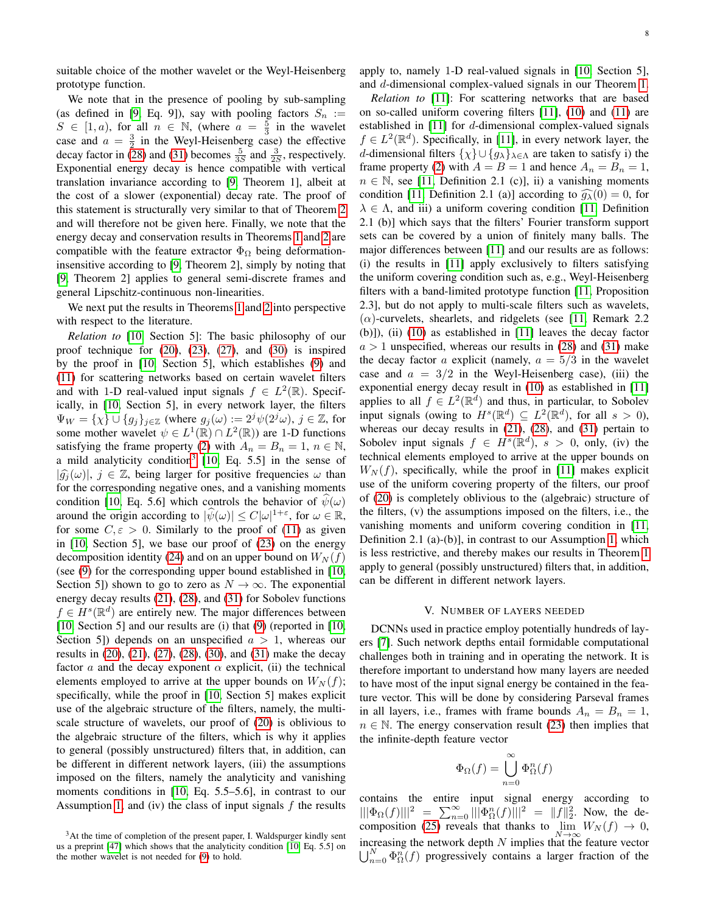suitable choice of the mother wavelet or the Weyl-Heisenberg prototype function.

We note that in the presence of pooling by sub-sampling (as defined in [\[9,](#page-22-4) Eq. 9]), say with pooling factors  $S_n :=$  $S \in [1, a)$ , for all  $n \in \mathbb{N}$ , (where  $a = \frac{5}{3}$  in the wavelet case and  $a = \frac{3}{2}$  in the Weyl-Heisenberg case) the effective decay factor in [\(28\)](#page-6-1) and [\(31\)](#page-6-2) becomes  $\frac{5}{3S}$  and  $\frac{3}{2S}$ , respectively. Exponential energy decay is hence compatible with vertical translation invariance according to [\[9,](#page-22-4) Theorem 1], albeit at the cost of a slower (exponential) decay rate. The proof of this statement is structurally very similar to that of Theorem [2](#page-6-3) and will therefore not be given here. Finally, we note that the energy decay and conservation results in Theorems [1](#page-5-4) and [2](#page-6-3) are compatible with the feature extractor  $\Phi_{\Omega}$  being deformationinsensitive according to [\[9,](#page-22-4) Theorem 2], simply by noting that [\[9,](#page-22-4) Theorem 2] applies to general semi-discrete frames and general Lipschitz-continuous non-linearities.

We next put the results in Theorems [1](#page-5-4) and [2](#page-6-3) into perspective with respect to the literature.

*Relation to* [\[10,](#page-22-5) Section 5]: The basic philosophy of our proof technique for  $(20)$ ,  $(23)$ ,  $(27)$ , and  $(30)$  is inspired by the proof in [\[10,](#page-22-5) Section 5], which establishes [\(9\)](#page-3-1) and [\(11\)](#page-3-4) for scattering networks based on certain wavelet filters and with 1-D real-valued input signals  $f \in L^2(\mathbb{R})$ . Specifically, in [\[10,](#page-22-5) Section 5], in every network layer, the filters  $\Psi_W = {\chi} \cup {g_j}_{j \in \mathbb{Z}}$  (where  $g_j(\omega) := 2^j \psi(2^j \omega)$ ,  $j \in \mathbb{Z}$ , for some mother wavelet  $\psi \in L^1(\mathbb{R}) \cap L^2(\mathbb{R})$  are 1-D functions satisfying the frame property [\(2\)](#page-2-5) with  $A_n = B_n = 1, n \in \mathbb{N}$ , a mild analyticity condition<sup>[3](#page-7-1)</sup> [\[10,](#page-22-5) Eq. 5.5] in the sense of  $|\widehat{g}_i(\omega)|, j \in \mathbb{Z}$ , being larger for positive frequencies  $\omega$  than for the corresponding negative ones, and a vanishing moments condition [\[10,](#page-22-5) Eq. 5.6] which controls the behavior of  $\psi(\omega)$ around the origin according to  $|\hat{\psi}(\omega)| \le C |\omega|^{1+\varepsilon}$ , for  $\omega \in \mathbb{R}$ , for some  $C, \varepsilon > 0$ . Similarly to the proof of [\(11\)](#page-3-4) as given in [\[10,](#page-22-5) Section 5], we base our proof of [\(23\)](#page-5-3) on the energy decomposition identity [\(24\)](#page-5-2) and on an upper bound on  $W_N(f)$ (see [\(9\)](#page-3-1) for the corresponding upper bound established in [\[10,](#page-22-5) Section 5]) shown to go to zero as  $N \to \infty$ . The exponential energy decay results [\(21\)](#page-5-6), [\(28\)](#page-6-1), and [\(31\)](#page-6-2) for Sobolev functions  $f \in H^s(\mathbb{R}^d)$  are entirely new. The major differences between [\[10,](#page-22-5) Section 5] and our results are (i) that [\(9\)](#page-3-1) (reported in [10, Section 5]) depends on an unspecified  $a > 1$ , whereas our results in [\(20\)](#page-5-1), [\(21\)](#page-5-6), [\(27\)](#page-6-4), [\(28\)](#page-6-1), [\(30\)](#page-6-5), and [\(31\)](#page-6-2) make the decay factor a and the decay exponent  $\alpha$  explicit, (ii) the technical elements employed to arrive at the upper bounds on  $W_N(f)$ ; specifically, while the proof in [\[10,](#page-22-5) Section 5] makes explicit use of the algebraic structure of the filters, namely, the multiscale structure of wavelets, our proof of [\(20\)](#page-5-1) is oblivious to the algebraic structure of the filters, which is why it applies to general (possibly unstructured) filters that, in addition, can be different in different network layers, (iii) the assumptions imposed on the filters, namely the analyticity and vanishing moments conditions in [\[10,](#page-22-5) Eq. 5.5–5.6], in contrast to our Assumption [1,](#page-4-1) and (iv) the class of input signals  $f$  the results apply to, namely 1-D real-valued signals in [\[10,](#page-22-5) Section 5], and d-dimensional complex-valued signals in our Theorem [1.](#page-5-4)

*Relation to* [\[11\]](#page-22-6): For scattering networks that are based on so-called uniform covering filters [\[11\]](#page-22-6), [\(10\)](#page-3-5) and [\(11\)](#page-3-4) are established in [\[11\]](#page-22-6) for d-dimensional complex-valued signals  $f \in L^2(\mathbb{R}^d)$ . Specifically, in [\[11\]](#page-22-6), in every network layer, the d-dimensional filters  $\{\chi\} \cup \{g_{\lambda}\}_{{\lambda \in \Lambda}}$  are taken to satisfy i) the frame property [\(2\)](#page-2-5) with  $A = B = 1$  and hence  $A_n = B_n = 1$ ,  $n \in \mathbb{N}$ , see [\[11,](#page-22-6) Definition 2.1 (c)], ii) a vanishing moments condition [\[11,](#page-22-6) Definition 2.1 (a)] according to  $\widehat{q_\lambda}(0) = 0$ , for  $\lambda \in \Lambda$ , and iii) a uniform covering condition [\[11,](#page-22-6) Definition 2.1 (b)] which says that the filters' Fourier transform support sets can be covered by a union of finitely many balls. The major differences between [\[11\]](#page-22-6) and our results are as follows: (i) the results in [\[11\]](#page-22-6) apply exclusively to filters satisfying the uniform covering condition such as, e.g., Weyl-Heisenberg filters with a band-limited prototype function [\[11,](#page-22-6) Proposition 2.3], but do not apply to multi-scale filters such as wavelets,  $(\alpha)$ -curvelets, shearlets, and ridgelets (see [\[11,](#page-22-6) Remark 2.2] (b)]), (ii) [\(10\)](#page-3-5) as established in [\[11\]](#page-22-6) leaves the decay factor  $a > 1$  unspecified, whereas our results in [\(28\)](#page-6-1) and [\(31\)](#page-6-2) make the decay factor a explicit (namely,  $a = 5/3$  in the wavelet case and  $a = 3/2$  in the Weyl-Heisenberg case), (iii) the exponential energy decay result in [\(10\)](#page-3-5) as established in [\[11\]](#page-22-6) applies to all  $f \in L^2(\mathbb{R}^d)$  and thus, in particular, to Sobolev input signals (owing to  $H^s(\mathbb{R}^d) \subseteq L^2(\mathbb{R}^d)$ , for all  $s > 0$ ), whereas our decay results in [\(21\)](#page-5-6), [\(28\)](#page-6-1), and [\(31\)](#page-6-2) pertain to Sobolev input signals  $f \in H^s(\mathbb{R}^d)$ ,  $s > 0$ , only, (iv) the technical elements employed to arrive at the upper bounds on  $W_N(f)$ , specifically, while the proof in [\[11\]](#page-22-6) makes explicit use of the uniform covering property of the filters, our proof of [\(20\)](#page-5-1) is completely oblivious to the (algebraic) structure of the filters, (v) the assumptions imposed on the filters, i.e., the vanishing moments and uniform covering condition in [\[11,](#page-22-6) Definition 2.1 (a)-(b)], in contrast to our Assumption [1,](#page-4-1) which is less restrictive, and thereby makes our results in Theorem [1](#page-5-4) apply to general (possibly unstructured) filters that, in addition, can be different in different network layers.

### V. NUMBER OF LAYERS NEEDED

<span id="page-7-0"></span>DCNNs used in practice employ potentially hundreds of layers [\[7\]](#page-22-2). Such network depths entail formidable computational challenges both in training and in operating the network. It is therefore important to understand how many layers are needed to have most of the input signal energy be contained in the feature vector. This will be done by considering Parseval frames in all layers, i.e., frames with frame bounds  $A_n = B_n = 1$ ,  $n \in \mathbb{N}$ . The energy conservation result [\(23\)](#page-5-3) then implies that the infinite-depth feature vector

$$
\Phi_{\Omega}(f) = \bigcup_{n=0}^{\infty} \Phi_{\Omega}^{n}(f)
$$

contains the entire input signal energy according to  $\|\|\Phi_{\Omega}(f)\|\|^2 = \sum_{n=0}^{\infty} \|\hat{\Phi}_{\Omega}^n(f)\| \|^2 = \|f\|_2^2$ . Now, the de-composition [\(25\)](#page-5-7) reveals that thanks to  $\lim_{N\to\infty} W_N(f) \to 0$ , increasing the network depth  $N$  implies that the feature vector  $\bigcup_{n=0}^{N} \Phi_{\Omega}^{n}(f)$  progressively contains a larger fraction of the

<span id="page-7-1"></span><sup>&</sup>lt;sup>3</sup>At the time of completion of the present paper, I. Waldspurger kindly sent us a preprint [\[47\]](#page-22-36) which shows that the analyticity condition [\[10,](#page-22-5) Eq. 5.5] on the mother wavelet is not needed for [\(9\)](#page-3-1) to hold.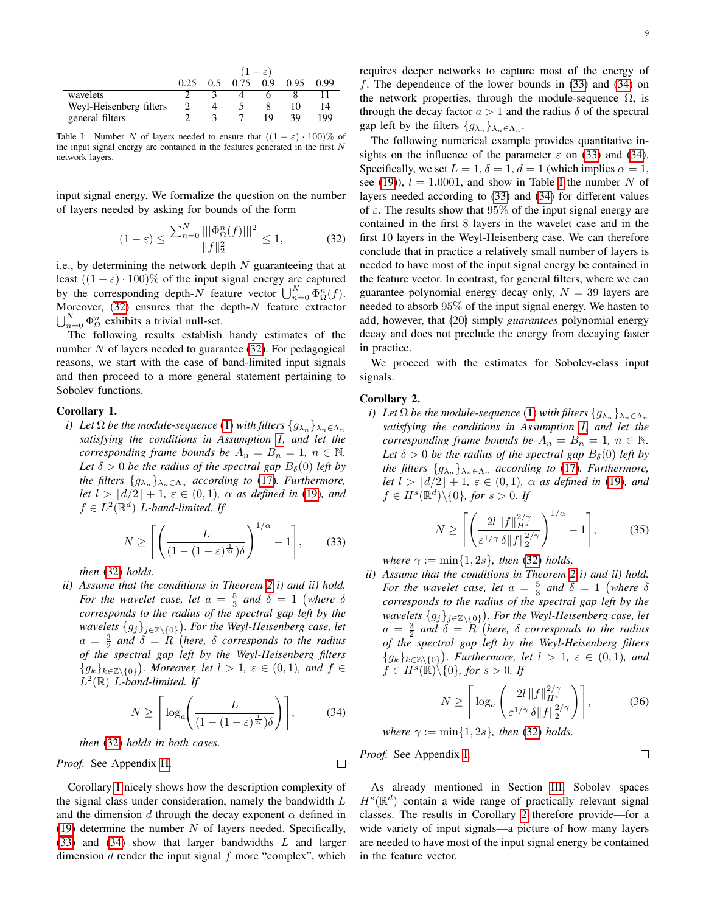<span id="page-8-3"></span>

|                         | $-\varepsilon$ <sup>1</sup> |     |      |     |      |      |
|-------------------------|-----------------------------|-----|------|-----|------|------|
|                         |                             | 0.5 | 0.75 | 0.9 | 0.95 | 0.99 |
| wavelets                |                             |     |      |     |      |      |
| Weyl-Heisenberg filters |                             |     |      |     |      |      |
| general filters         |                             |     |      | 1 Q | 39   | 199  |

Table I: Number N of layers needed to ensure that  $((1 - \varepsilon) \cdot 100)$ % of the input signal energy are contained in the features generated in the first  $N$ network layers.

input signal energy. We formalize the question on the number of layers needed by asking for bounds of the form

<span id="page-8-0"></span>
$$
(1 - \varepsilon) \le \frac{\sum_{n=0}^{N} |||\Phi_{\Omega}^n(f)|||^2}{||f||_2^2} \le 1,
$$
 (32)

i.e., by determining the network depth  $N$  guaranteeing that at least  $((1 - \varepsilon) \cdot 100)$ % of the input signal energy are captured by the corresponding depth-N feature vector  $\bigcup_{n=0}^{N} \Phi_{\Omega}^{n}(f)$ . Moreover,  $(32)$  ensures that the depth- $N$  feature extractor  $\bigcup_{n=0}^{N} \Phi_{\Omega}^{n}$  exhibits a trivial null-set.

The following results establish handy estimates of the number  $N$  of layers needed to guarantee [\(32\)](#page-8-0). For pedagogical reasons, we start with the case of band-limited input signals and then proceed to a more general statement pertaining to Sobolev functions.

### Corollary 1.

*i*) Let  $\Omega$  be the module-sequence [\(1\)](#page-1-2) with filters  $\{g_{\lambda_n}\}_{\lambda_n\in\Lambda_n}$ *satisfying the conditions in Assumption [1,](#page-4-1) and let the corresponding frame bounds be*  $A_n = B_n = 1$ ,  $n \in \mathbb{N}$ . Let  $\delta > 0$  *be the radius of the spectral gap*  $B_{\delta}(0)$  *left by the filters*  ${g_{\lambda_n}}_{\lambda_n \in \Lambda_n}$  *according to* [\(17\)](#page-4-2)*. Furthermore, let*  $l > \lfloor d/2 \rfloor + 1$ ,  $\varepsilon \in (0, 1)$ ,  $\alpha$  *as defined in* [\(19\)](#page-5-8)*, and*  $f \in L^2(\mathbb{R}^d)$  *L*-band-limited. If

<span id="page-8-1"></span>
$$
N \ge \left\lceil \left( \frac{L}{\left(1 - (1 - \varepsilon)^{\frac{1}{2l}}\right) \delta} \right)^{1/\alpha} - 1 \right\rceil, \qquad (33)
$$

*then* [\(32\)](#page-8-0) *holds.*

*ii) Assume that the conditions in Theorem [2](#page-6-3) i) and ii) hold. For the wavelet case, let*  $a = \frac{5}{3}$  *and*  $\delta = 1$  (where  $\delta$ *corresponds to the radius of the spectral gap left by the wavelets*  ${g_j}_{j∈\mathbb{Z}\setminus{0}}$ ). For the Weyl-Heisenberg case, let  $a = \frac{3}{2}$  and  $\delta = R$ <sup>'</sup>(here,  $\delta$  corresponds to the radius *of the spectral gap left by the Weyl-Heisenberg filters*  ${g_k}_{k \in \mathbb{Z} \setminus \{0\}}$ . Moreover, let  $l > 1$ ,  $\varepsilon \in (0, 1)$ , and  $f \in$ L 2 (R) L*-band-limited. If*

<span id="page-8-2"></span>
$$
N \ge \left\lceil \log_a \left( \frac{L}{(1 - (1 - \varepsilon)^{\frac{1}{2l}}) \delta} \right) \right\rceil, \tag{34}
$$

*then* [\(32\)](#page-8-0) *holds in both cases.*

*Proof.* See Appendix [H.](#page-21-0)

Corollary [1](#page-0-0) nicely shows how the description complexity of the signal class under consideration, namely the bandwidth  $L$ and the dimension d through the decay exponent  $\alpha$  defined in [\(19\)](#page-5-8) determine the number  $N$  of layers needed. Specifically, [\(33\)](#page-8-1) and [\(34\)](#page-8-2) show that larger bandwidths L and larger dimension  $d$  render the input signal  $f$  more "complex", which requires deeper networks to capture most of the energy of f. The dependence of the lower bounds in [\(33\)](#page-8-1) and [\(34\)](#page-8-2) on the network properties, through the module-sequence  $\Omega$ , is through the decay factor  $a > 1$  and the radius  $\delta$  of the spectral gap left by the filters  $\{g_{\lambda_n}\}_{\lambda_n \in \Lambda_n}$ .

The following numerical example provides quantitative insights on the influence of the parameter  $\varepsilon$  on [\(33\)](#page-8-1) and [\(34\)](#page-8-2). Specifically, we set  $L = 1$ ,  $\delta = 1$ ,  $d = 1$  (which implies  $\alpha = 1$ , see [\(19\)](#page-5-8)),  $l = 1.0001$ , and show in Table [I](#page-8-3) the number N of layers needed according to [\(33\)](#page-8-1) and [\(34\)](#page-8-2) for different values of  $\varepsilon$ . The results show that 95% of the input signal energy are contained in the first 8 layers in the wavelet case and in the first 10 layers in the Weyl-Heisenberg case. We can therefore conclude that in practice a relatively small number of layers is needed to have most of the input signal energy be contained in the feature vector. In contrast, for general filters, where we can guarantee polynomial energy decay only,  $N = 39$  layers are needed to absorb 95% of the input signal energy. We hasten to add, however, that [\(20\)](#page-5-1) simply *guarantees* polynomial energy decay and does not preclude the energy from decaying faster in practice.

We proceed with the estimates for Sobolev-class input signals.

### Corollary 2.

*i*) *Let*  $\Omega$  *be the module-sequence* [\(1\)](#page-1-2) *with filters*  $\{g_{\lambda_n}\}_{\lambda_n \in \Lambda_n}$ *satisfying the conditions in Assumption [1,](#page-4-1) and let the corresponding frame bounds be*  $A_n = B_n = 1$ ,  $n \in \mathbb{N}$ . Let  $\delta > 0$  *be the radius of the spectral gap*  $B_{\delta}(0)$  *left by the filters*  $\{g_{\lambda_n}\}_{\lambda_n \in \Lambda_n}$  according to [\(17\)](#page-4-2). Furthermore, *let*  $l > |d/2| + 1$ ,  $\varepsilon \in (0, 1)$ ,  $\alpha$  *as defined in* [\(19\)](#page-5-8)*, and*  $f \in H^s(\mathbb{R}^d) \setminus \{0\}$ , for  $s > 0$ . If

<span id="page-8-4"></span>
$$
N \ge \left[ \left( \frac{2l \left\| f \right\|_{H^s}^{2/\gamma}}{\varepsilon^{1/\gamma} \delta \| f \|^2_2} \right)^{1/\alpha} - 1 \right],\tag{35}
$$

*where*  $\gamma := \min\{1, 2s\}$ , *then* [\(32\)](#page-8-0) *holds.* 

*ii) Assume that the conditions in Theorem [2](#page-6-3) i) and ii) hold. For the wavelet case, let*  $a = \frac{5}{3}$  *and*  $\delta = 1$  (where  $\delta$ *corresponds to the radius of the spectral gap left by the wavelets*  ${g_j}_{j∈\mathbb{Z}\setminus{0}}$ ). For the Weyl-Heisenberg case, let  $a = \frac{3}{2}$  and  $\delta = R$  (here,  $\delta$  corresponds to the radius *of the spectral gap left by the Weyl-Heisenberg filters*  ${g_k}_{k \in \mathbb{Z} \setminus \{0\}}$ *. Furthermore, let*  $l > 1$ *,*  $\varepsilon \in (0,1)$ *, and*  $f \in H^s(\mathbb{R}) \backslash \{0\}$ *, for*  $s > 0$ *. If* 

<span id="page-8-5"></span>
$$
N \ge \left\lceil \log_a \left( \frac{2l \left\| f \right\|_{H^s}^{2/\gamma}}{\varepsilon^{1/\gamma} \delta \| f \|_2^{2/\gamma}} \right) \right\rceil, \tag{36}
$$

 $\Box$ 

*where*  $\gamma := \min\{1, 2s\}$ *, then* [\(32\)](#page-8-0) *holds.* 

*Proof.* See Appendix [I.](#page-21-1)

 $\Box$ 

As already mentioned in Section [III,](#page-2-7) Sobolev spaces  $H^{s}(\mathbb{R}^{d})$  contain a wide range of practically relevant signal classes. The results in Corollary [2](#page-0-0) therefore provide—for a wide variety of input signals—a picture of how many layers are needed to have most of the input signal energy be contained in the feature vector.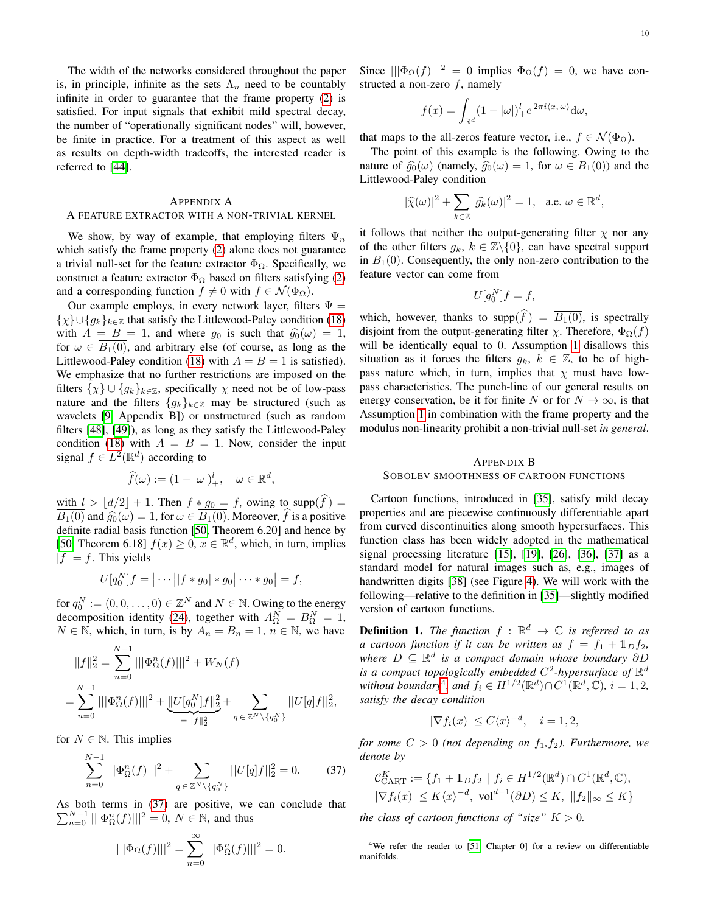The width of the networks considered throughout the paper is, in principle, infinite as the sets  $\Lambda_n$  need to be countably infinite in order to guarantee that the frame property [\(2\)](#page-2-5) is satisfied. For input signals that exhibit mild spectral decay, the number of "operationally significant nodes" will, however, be finite in practice. For a treatment of this aspect as well as results on depth-width tradeoffs, the interested reader is referred to [\[44\]](#page-22-35).

### <span id="page-9-0"></span>APPENDIX A

### A FEATURE EXTRACTOR WITH A NON-TRIVIAL KERNEL

We show, by way of example, that employing filters  $\Psi_n$ which satisfy the frame property [\(2\)](#page-2-5) alone does not guarantee a trivial null-set for the feature extractor  $\Phi_{\Omega}$ . Specifically, we construct a feature extractor  $\Phi_{\Omega}$  based on filters satisfying [\(2\)](#page-2-5) and a corresponding function  $f \neq 0$  with  $f \in \mathcal{N}(\Phi_{\Omega})$ .

Our example employs, in every network layer, filters  $\Psi =$  $\{\chi\} \cup \{g_k\}_{k \in \mathbb{Z}}$  that satisfy the Littlewood-Paley condition [\(18\)](#page-4-4) with  $A = B = 1$ , and where  $g_0$  is such that  $\hat{g}_0(\omega) = 1$ , for  $\omega \in B_1(0)$ , and arbitrary else (of course, as long as the Littlewood-Paley condition [\(18\)](#page-4-4) with  $A = B = 1$  is satisfied). We emphasize that no further restrictions are imposed on the filters  $\{\chi\} \cup \{g_k\}_{k \in \mathbb{Z}}$ , specifically  $\chi$  need not be of low-pass nature and the filters  ${g_k}_{k \in \mathbb{Z}}$  may be structured (such as wavelets [\[9,](#page-22-4) Appendix B]) or unstructured (such as random filters [\[48\]](#page-23-0), [\[49\]](#page-23-1)), as long as they satisfy the Littlewood-Paley condition [\(18\)](#page-4-4) with  $A = B = 1$ . Now, consider the input signal  $f \in L^2(\mathbb{R}^d)$  according to

$$
\widehat{f}(\omega) := (1 - |\omega|)_+^l, \quad \omega \in \mathbb{R}^d,
$$

with  $l > \lfloor d/2 \rfloor + 1$ . Then  $f * g_0 = f$ , owing to supp $(\widehat{f}) =$  $\overline{B_1(0)}$  and  $\widehat{g_0}(\omega) = 1$ , for  $\omega \in \overline{B_1(0)}$ . Moreover,  $\widehat{f}$  is a positive definite radial basis function [\[50,](#page-23-2) Theorem 6.20] and hence by [\[50,](#page-23-2) Theorem 6.18]  $f(x) \ge 0, x \in \mathbb{R}^d$ , which, in turn, implies  $|f| = f$ . This yields

$$
U[q_0^N]f = |\cdots||f * g_0| * g_0| \cdots * g_0| = f,
$$

for  $q_0^N := (0, 0, \dots, 0) \in \mathbb{Z}^N$  and  $N \in \mathbb{N}$ . Owing to the energy decomposition identity [\(24\)](#page-5-2), together with  $A_{\Omega}^N = B_{\Omega}^N = 1$ ,  $N \in \mathbb{N}$ , which, in turn, is by  $A_n = B_n = 1$ ,  $n \in \mathbb{N}$ , we have

$$
||f||_2^2 = \sum_{n=0}^{N-1} |||\Phi_{\Omega}^n(f)|||^2 + W_N(f)
$$
  
= 
$$
\sum_{n=0}^{N-1} |||\Phi_{\Omega}^n(f)|||^2 + \underbrace{||U[q_0^N]f||_2^2}_{=||f||_2^2} + \sum_{q \in \mathbb{Z}^N \setminus \{q_0^N\}} ||U[q]f||_2^2,
$$

for  $N \in \mathbb{N}$ . This implies

<span id="page-9-2"></span>
$$
\sum_{n=0}^{N-1} |||\Phi_{\Omega}^n(f)|||^2 + \sum_{q \in \mathbb{Z}^N \setminus \{q_0^N\}} ||U[q]f||_2^2 = 0.
$$
 (37)

As both terms in [\(37\)](#page-9-2) are positive, we can conclude that  $\sum_{n=0}^{N-1} |||\Phi_{\Omega}^n(f)|||^2 = 0, N \in \mathbb{N}$ , and thus

$$
|||\Phi_{\Omega}(f)|||^{2} = \sum_{n=0}^{\infty} |||\Phi_{\Omega}^{n}(f)|||^{2} = 0.
$$

Since  $\|\Phi_{\Omega}(f)\|^{2} = 0$  implies  $\Phi_{\Omega}(f) = 0$ , we have constructed a non-zero  $f$ , namely

$$
f(x) = \int_{\mathbb{R}^d} (1 - |\omega|)_+^l e^{2\pi i \langle x, \omega \rangle} d\omega,
$$

that maps to the all-zeros feature vector, i.e.,  $f \in \mathcal{N}(\Phi_{\Omega})$ .

The point of this example is the following. Owing to the nature of  $\hat{g}_0(\omega)$  (namely,  $\hat{g}_0(\omega) = 1$ , for  $\omega \in \overline{B_1(0)}$ ) and the Littlewood-Paley condition

$$
|\widehat{\chi}(\omega)|^2 + \sum_{k \in \mathbb{Z}} |\widehat{g_k}(\omega)|^2 = 1, \quad \text{a.e. } \omega \in \mathbb{R}^d,
$$

it follows that neither the output-generating filter  $\chi$  nor any of the other filters  $g_k$ ,  $k \in \mathbb{Z}\backslash \{0\}$ , can have spectral support in  $B_1(0)$ . Consequently, the only non-zero contribution to the feature vector can come from

$$
U[q_0^N]f = f,
$$

which, however, thanks to supp $(\widehat{f}) = \overline{B_1(0)}$ , is spectrally disjoint from the output-generating filter  $\chi$ . Therefore,  $\Phi_{\Omega}(f)$ will be identically equal to 0. Assumption [1](#page-4-1) disallows this situation as it forces the filters  $g_k$ ,  $k \in \mathbb{Z}$ , to be of highpass nature which, in turn, implies that  $\chi$  must have lowpass characteristics. The punch-line of our general results on energy conservation, be it for finite N or for  $N \to \infty$ , is that Assumption [1](#page-4-1) in combination with the frame property and the modulus non-linearity prohibit a non-trivial null-set *in general*.

### <span id="page-9-1"></span>APPENDIX B

### SOBOLEV SMOOTHNESS OF CARTOON FUNCTIONS

Cartoon functions, introduced in [\[35\]](#page-22-22), satisfy mild decay properties and are piecewise continuously differentiable apart from curved discontinuities along smooth hypersurfaces. This function class has been widely adopted in the mathematical signal processing literature [\[15\]](#page-22-23), [\[19\]](#page-22-10), [\[26\]](#page-22-15), [\[36\]](#page-22-24), [\[37\]](#page-22-25) as a standard model for natural images such as, e.g., images of handwritten digits [\[38\]](#page-22-26) (see Figure [4\)](#page-5-0). We will work with the following—relative to the definition in [\[35\]](#page-22-22)—slightly modified version of cartoon functions.

**Definition 1.** The function  $f : \mathbb{R}^d \to \mathbb{C}$  is referred to as *a cartoon function if it can be written as*  $f = f_1 + \mathbb{1}_D f_2$ , *where* D ⊆ R d *is a compact domain whose boundary* ∂D is a compact topologically embedded  $C^2$ -hypersurface of  $\mathbb{R}^d$ *without boundary*<sup>[4](#page-9-3)</sup>, and  $f_i \in H^{1/2}(\mathbb{R}^d) \cap C^1(\mathbb{R}^d, \mathbb{C})$ ,  $i = 1, 2$ , *satisfy the decay condition*

$$
|\nabla f_i(x)| \le C \langle x \rangle^{-d}, \quad i = 1, 2,
$$

*for some*  $C > 0$  *(not depending on*  $f_1, f_2$ *). Furthermore, we denote by*

$$
\mathcal{C}_{\text{CART}}^K := \{ f_1 + \mathbb{1}_D f_2 \mid f_i \in H^{1/2}(\mathbb{R}^d) \cap C^1(\mathbb{R}^d, \mathbb{C}), |\nabla f_i(x)| \le K \langle x \rangle^{-d}, \text{ vol}^{d-1}(\partial D) \le K, \ \|f_2\|_{\infty} \le K \}
$$

*the class of cartoon functions of "size"*  $K > 0$ *.* 

<span id="page-9-3"></span><sup>4</sup>We refer the reader to [\[51,](#page-23-3) Chapter 0] for a review on differentiable manifolds.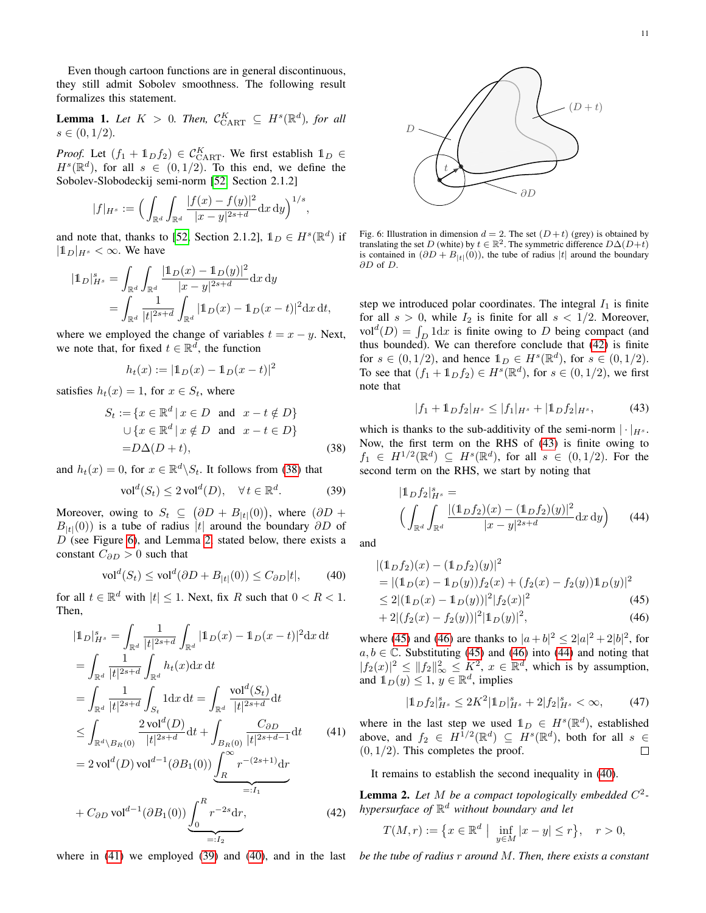Even though cartoon functions are in general discontinuous, they still admit Sobolev smoothness. The following result formalizes this statement.

**Lemma 1.** Let  $K > 0$ . Then,  $\mathcal{C}_{\text{CART}}^K \subseteq H^s(\mathbb{R}^d)$ , for all  $s \in (0,1/2)$ .

*Proof.* Let  $(f_1 + 1_D f_2) \in C_{\text{CART}}^K$ . We first establish  $1_D \in$  $H^{s}(\mathbb{R}^{d})$ , for all  $s \in (0,1/2)$ . To this end, we define the Sobolev-Slobodeckij semi-norm [\[52,](#page-23-4) Section 2.1.2]

$$
|f|_{H^s} := \Big(\int_{\mathbb{R}^d} \int_{\mathbb{R}^d} \frac{|f(x) - f(y)|^2}{|x - y|^{2s + d}} \mathrm{d}x \, \mathrm{d}y\Big)^{1/s}
$$

,

and note that, thanks to [\[52,](#page-23-4) Section 2.1.2],  $\mathbb{1}_D \in H^s(\mathbb{R}^d)$  if  $|\mathbb{1}_D|_{H^s}<\infty$ . We have

$$
|\mathbb{1}_D|_{H^s}^s = \int_{\mathbb{R}^d} \int_{\mathbb{R}^d} \frac{|\mathbb{1}_D(x) - \mathbb{1}_D(y)|^2}{|x - y|^{2s + d}} dx dy
$$
  
= 
$$
\int_{\mathbb{R}^d} \frac{1}{|t|^{2s + d}} \int_{\mathbb{R}^d} |\mathbb{1}_D(x) - \mathbb{1}_D(x - t)|^2 dx dt,
$$

where we employed the change of variables  $t = x - y$ . Next, we note that, for fixed  $t \in \mathbb{R}^d$ , the function

$$
h_t(x) := |1\!1_D(x) - 1\!1_D(x - t)|^2
$$

satisfies  $h_t(x) = 1$ , for  $x \in S_t$ , where

$$
S_t := \{x \in \mathbb{R}^d \mid x \in D \text{ and } x - t \notin D\}
$$
  

$$
\cup \{x \in \mathbb{R}^d \mid x \notin D \text{ and } x - t \in D\}
$$
  

$$
= D\Delta(D+t), \qquad (38)
$$

and  $h_t(x) = 0$ , for  $x \in \mathbb{R}^d \backslash S_t$ . It follows from [\(38\)](#page-10-0) that

<span id="page-10-4"></span>
$$
\text{vol}^d(S_t) \le 2 \text{ vol}^d(D), \quad \forall \, t \in \mathbb{R}^d. \tag{39}
$$

Moreover, owing to  $S_t \subseteq (\partial D + B_{|t|}(0))$ , where  $(\partial D +$  $B_{|t|}(0)$  is a tube of radius |t| around the boundary ∂D of  $D$  (see Figure [6\)](#page-10-1), and Lemma [2,](#page-10-2) stated below, there exists a constant  $C_{\partial D} > 0$  such that

<span id="page-10-5"></span>
$$
\text{vol}^d(S_t) \le \text{vol}^d(\partial D + B_{|t|}(0)) \le C_{\partial D}|t|,\tag{40}
$$

for all  $t \in \mathbb{R}^d$  with  $|t| \leq 1$ . Next, fix R such that  $0 < R < 1$ . Then,

$$
|\mathbb{1}_D|_{H^s}^s = \int_{\mathbb{R}^d} \frac{1}{|t|^{2s+d}} \int_{\mathbb{R}^d} |\mathbb{1}_D(x) - \mathbb{1}_D(x - t)|^2 dx dt
$$
  
\n
$$
= \int_{\mathbb{R}^d} \frac{1}{|t|^{2s+d}} \int_{\mathbb{R}^d} h_t(x) dx dt
$$
  
\n
$$
= \int_{\mathbb{R}^d} \frac{1}{|t|^{2s+d}} \int_{S_t} 1 dx dt = \int_{\mathbb{R}^d} \frac{\text{vol}^d(S_t)}{|t|^{2s+d}} dt
$$
  
\n
$$
\leq \int_{\mathbb{R}^d \setminus B_R(0)} \frac{2 \text{vol}^d(D)}{|t|^{2s+d}} dt + \int_{B_R(0)} \frac{C_{\partial D}}{|t|^{2s+d-1}} dt \qquad (41)
$$
  
\n
$$
= 2 \text{vol}^d(D) \text{vol}^{d-1}(\partial B_1(0)) \underbrace{\int_R^{\infty} r^{-(2s+1)} dr}_{=:I_1}
$$
  
\n+  $C_{\partial D} \text{vol}^{d-1}(\partial B_1(0)) \underbrace{\int_0^R r^{-2s} dr}_{=:I_2}, \qquad (42)$ 

<span id="page-10-1"></span>

Fig. 6: Illustration in dimension  $d = 2$ . The set  $(D + t)$  (grey) is obtained by translating the set D (white) by  $t \in \mathbb{R}^2$ . The symmetric difference  $D\Delta(D+\tilde{t})$ is contained in  $(\partial D + B_{|t|}(0))$ , the tube of radius |t| around the boundary ∂D of D.

step we introduced polar coordinates. The integral  $I_1$  is finite for all  $s > 0$ , while  $I_2$  is finite for all  $s < 1/2$ . Moreover, vol<sup>d</sup> $(D) = \int_D 1 \mathrm{d}x$  is finite owing to D being compact (and thus bounded). We can therefore conclude that [\(42\)](#page-10-6) is finite for  $s \in (0, 1/2)$ , and hence  $1_D \in H^s(\mathbb{R}^d)$ , for  $s \in (0, 1/2)$ . To see that  $(f_1 + \mathbb{1}_D f_2) \in H^s(\mathbb{R}^d)$ , for  $s \in (0, 1/2)$ , we first note that

<span id="page-10-10"></span><span id="page-10-7"></span>
$$
|f_1 + \mathbb{1}_D f_2|_{H^s} \le |f_1|_{H^s} + |\mathbb{1}_D f_2|_{H^s},\tag{43}
$$

<span id="page-10-0"></span>which is thanks to the sub-additivity of the semi-norm  $|\cdot|_{H^s}$ . Now, the first term on the RHS of [\(43\)](#page-10-7) is finite owing to  $f_1 \in H^{1/2}(\mathbb{R}^d) \subseteq H^s(\mathbb{R}^d)$ , for all  $s \in (0,1/2)$ . For the second term on the RHS, we start by noting that

$$
|1_D f_2|_{H^s}^s = \left( \int_{\mathbb{R}^d} \int_{\mathbb{R}^d} \frac{|(1_D f_2)(x) - (1_D f_2)(y)|^2}{|x - y|^{2s + d}} dx dy \right) \tag{44}
$$

and

$$
|(1_D f_2)(x) - (1_D f_2)(y)|^2
$$
  
= |(1\_D(x) - 1\_D(y))f\_2(x) + (f\_2(x) - f\_2(y))1\_D(y)|^2  

$$
\leq 2|(1_D(x) - 1_D(y))|^2|f_2(x)|^2
$$
(45)  
+ 2|(f\_2(x) - f\_2(y))|^2|1\_D(y)|^2, (46)

where [\(45\)](#page-10-8) and [\(46\)](#page-10-9) are thanks to  $|a+b|^2 \le 2|a|^2 + 2|b|^2$ , for  $a, b \in \mathbb{C}$ . Substituting [\(45\)](#page-10-8) and [\(46\)](#page-10-9) into [\(44\)](#page-10-10) and noting that  $|f_2(x)|^2 \leq ||f_2||_\infty^2 \leq K^2$ ,  $x \in \mathbb{R}^d$ , which is by assumption, and  $\mathbb{1}_D(y) \leq 1, y \in \mathbb{R}^d$ , implies

<span id="page-10-9"></span><span id="page-10-8"></span>
$$
|\mathbb{1}_D f_2|_{H^s}^s \le 2K^2 |\mathbb{1}_D|_{H^s}^s + 2|f_2|_{H^s}^s < \infty,
$$
 (47)

<span id="page-10-3"></span>where in the last step we used  $\mathbb{1}_D \in H^s(\mathbb{R}^d)$ , established above, and  $f_2 \in H^{1/2}(\mathbb{R}^d) \subseteq H^s(\mathbb{R}^d)$ , both for all  $s \in$  $(0, 1/2)$ . This completes the proof.  $\Box$ 

It remains to establish the second inequality in [\(40\)](#page-10-5).

<span id="page-10-6"></span><span id="page-10-2"></span>Lemma 2. *Let* M *be a compact topologically embedded* C 2  *hypersurface of* R <sup>d</sup> *without boundary and let*

$$
T(M,r) := \{ x \in \mathbb{R}^d \mid \inf_{y \in M} |x - y| \le r \}, \quad r > 0,
$$

where in [\(41\)](#page-10-3) we employed [\(39\)](#page-10-4) and [\(40\)](#page-10-5), and in the last *be the tube of radius* r *around* M*. Then, there exists a constant*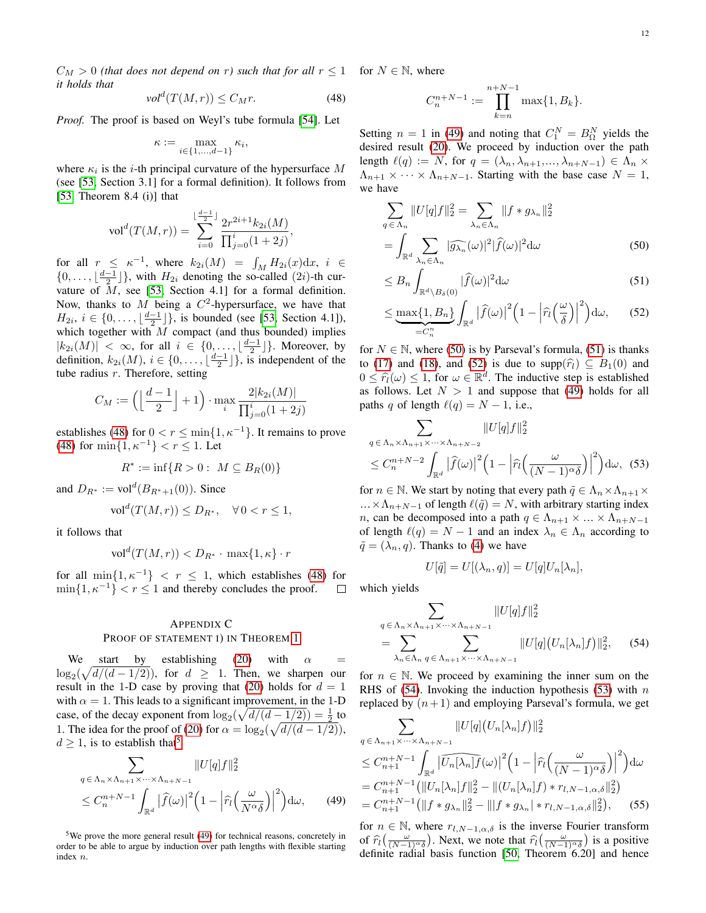$C_M > 0$  (that does not depend on r) such that for all  $r \leq 1$  for  $N \in \mathbb{N}$ , where *it holds that*

<span id="page-11-1"></span>
$$
\text{vol}^d(T(M,r)) \le C_M r. \tag{48}
$$

*Proof.* The proof is based on Weyl's tube formula [\[54\]](#page-23-5). Let

$$
\kappa := \max_{i \in \{1, \ldots, d-1\}} \kappa_i,
$$

where  $\kappa_i$  is the *i*-th principal curvature of the hypersurface M (see [\[53,](#page-23-6) Section 3.1] for a formal definition). It follows from  $[53,$  Theorem 8.4 (i)] that

$$
\text{vol}^d(T(M,r)) = \sum_{i=0}^{\lfloor \frac{d-1}{2} \rfloor} \frac{2r^{2i+1}k_{2i}(M)}{\prod_{j=0}^i (1+2j)},
$$

for all  $r \leq \kappa^{-1}$ , where  $k_{2i}(M) = \int_M H_{2i}(x) dx$ ,  $i \in$  $\{0, \ldots, \lfloor \frac{d-1}{2} \rfloor\}$ , with  $H_{2i}$  denoting the so-called  $(2i)$ -th curvature of  $M$ , see [\[53,](#page-23-6) Section 4.1] for a formal definition. Now, thanks to M being a  $C^2$ -hypersurface, we have that  $H_{2i}, i \in \{0, \ldots, \lfloor \frac{d-1}{2} \rfloor\},\$ is bounded (see [\[53,](#page-23-6) Section 4.1]), which together with  $M$  compact (and thus bounded) implies  $|k_{2i}(M)| < \infty$ , for all  $i \in \{0, \ldots, \lfloor \frac{d-1}{2} \rfloor\}$ . Moreover, by definition,  $k_{2i}(M)$ ,  $i \in \{0, \ldots, \lfloor \frac{d-1}{2} \rfloor\}$ , is independent of the tube radius  $r$ . Therefore, setting

$$
C_M := \left( \left\lfloor \frac{d-1}{2} \right\rfloor + 1 \right) \cdot \max_i \frac{2|k_{2i}(M)|}{\prod_{j=0}^i (1+2j)}
$$

establishes [\(48\)](#page-11-1) for  $0 < r \le \min\{1, \kappa^{-1}\}\$ . It remains to prove [\(48\)](#page-11-1) for  $\min\{1, \kappa^{-1}\} < r \leq 1$ . Let

$$
R^* := \inf\{R > 0: \ M \subseteq B_R(0)\}\
$$

and  $D_{R^*} := \text{vol}^d(B_{R^*+1}(0))$ . Since

$$
\text{vol}^d(T(M,r)) \le D_{R^*}, \quad \forall \, 0 < r \le 1,
$$

it follows that

$$
\text{vol}^d(T(M,r)) < D_{R^*} \cdot \max\{1, \kappa\} \cdot r
$$

for all  $\min\{1, \kappa^{-1}\} < r \leq 1$ , which establishes [\(48\)](#page-11-1) for  $\min\{1, \kappa^{-1}\} < r \le 1$  and thereby concludes the proof.  $\Box$ 

## <span id="page-11-0"></span>APPENDIX C

### PROOF OF STATEMENT I) IN THEOREM [1](#page-5-4)

We start by establishing [\(20\)](#page-5-1) with  $\alpha$  $\log_2(\sqrt{d/(d-1/2)})$ , for  $d \geq 1$ . Then, we sharpen our result in the 1-D case by proving that [\(20\)](#page-5-1) holds for  $d = 1$ with  $\alpha = 1$ . This leads to a significant improvement, in the 1-D case, of the decay exponent from  $\log_2(\sqrt{d/(d-1/2)}) = \frac{1}{2}$  to 1. The idea for the proof of [\(20\)](#page-5-1) for  $\alpha = \log_2(\sqrt{d/(d-1/2)})$ ,  $d \geq 1$ , is to establish that<sup>[5](#page-11-2)</sup>

$$
\sum_{q \in \Lambda_n \times \Lambda_{n+1} \times \dots \times \Lambda_{n+N-1}} \|U[q]f\|_2^2
$$
\n
$$
\leq C_n^{n+N-1} \int_{\mathbb{R}^d} |\widehat{f}(\omega)|^2 \Big(1 - \Big| \widehat{r}_l \Big(\frac{\omega}{N^{\alpha} \delta}\Big)\Big|^2\Big) d\omega, \qquad (49)
$$

<span id="page-11-2"></span><sup>5</sup>We prove the more general result [\(49\)](#page-11-3) for technical reasons, concretely in order to be able to argue by induction over path lengths with flexible starting index n.

$$
C_n^{n+N-1} := \prod_{k=n}^{n+N-1} \max\{1, B_k\}.
$$

Setting  $n = 1$  in [\(49\)](#page-11-3) and noting that  $C_1^N = B_0^N$  yields the desired result [\(20\)](#page-5-1). We proceed by induction over the path length  $\ell(q) := N$ , for  $q = (\lambda_n, \lambda_{n+1}, \ldots, \lambda_{n+N-1}) \in \Lambda_n \times$  $\Lambda_{n+1} \times \cdots \times \Lambda_{n+N-1}$ . Starting with the base case  $N = 1$ , we have

$$
\sum_{q \in \Lambda_n} ||U[q]f||_2^2 = \sum_{\lambda_n \in \Lambda_n} ||f * g_{\lambda_n}||_2^2
$$

$$
= \int_{\mathbb{R}^d} \sum_{\lambda_n \in \Lambda_n} |\widehat{g_{\lambda_n}}(\omega)|^2 |\widehat{f}(\omega)|^2 d\omega \tag{50}
$$

<span id="page-11-6"></span><span id="page-11-5"></span><span id="page-11-4"></span>
$$
\leq B_n \int_{\mathbb{R}^d \setminus B_\delta(0)} |\widehat{f}(\omega)|^2 d\omega \tag{51}
$$

$$
\leq \underbrace{\max\{1, B_n\}}_{=C_n^n} \int_{\mathbb{R}^d} \left|\widehat{f}(\omega)\right|^2 \left(1 - \left|\widehat{r_l}\left(\frac{\omega}{\delta}\right)\right|^2\right) d\omega, \qquad (52)
$$

for  $N \in \mathbb{N}$ , where [\(50\)](#page-11-4) is by Parseval's formula, [\(51\)](#page-11-5) is thanks to [\(17\)](#page-4-2) and [\(18\)](#page-4-4), and [\(52\)](#page-11-6) is due to supp $(\hat{r}_i) \subset B_1(0)$  and  $0 \leq \hat{r}_l(\omega) \leq 1$ , for  $\omega \in \mathbb{R}^d$ . The inductive step is established as follows. Let  $N > 1$  and suppose that [\(49\)](#page-11-3) holds for all paths q of length  $\ell(q) = N - 1$ , i.e.,

$$
\sum_{q \in \Lambda_n \times \Lambda_{n+1} \times \dots \times \Lambda_{n+N-2}} \|U[q]f\|_2^2
$$
\n
$$
\leq C_n^{n+N-2} \int_{\mathbb{R}^d} |\widehat{f}(\omega)|^2 \Big(1 - \Big| \widehat{r}_l \Big(\frac{\omega}{(N-1)^\alpha \delta}\Big) \Big|^2 \Big) d\omega, \quad (53)
$$

for  $n \in \mathbb{N}$ . We start by noting that every path  $\tilde{q} \in \Lambda_n \times \Lambda_{n+1} \times$  $\ldots \times \Lambda_{n+N-1}$  of length  $\ell(\tilde{q}) = N$ , with arbitrary starting index *n*, can be decomposed into a path  $q \in \Lambda_{n+1} \times ... \times \Lambda_{n+N-1}$ of length  $\ell(q) = N - 1$  and an index  $\lambda_n \in \Lambda_n$  according to  $\tilde{q} = (\lambda_n, q)$ . Thanks to [\(4\)](#page-2-8) we have

<span id="page-11-8"></span><span id="page-11-7"></span>
$$
U[\tilde{q}] = U[(\lambda_n, q)] = U[q]U_n[\lambda_n],
$$

which yields

$$
\sum_{q \in \Lambda_n \times \Lambda_{n+1} \times \cdots \times \Lambda_{n+N-1}} \|U[q]f\|_2^2
$$
\n
$$
= \sum_{\lambda_n \in \Lambda_n} \sum_{q \in \Lambda_{n+1} \times \cdots \times \Lambda_{n+N-1}} \|U[q](U_n[\lambda_n]f)\|_2^2, \quad (54)
$$

for  $n \in \mathbb{N}$ . We proceed by examining the inner sum on the RHS of  $(54)$ . Invoking the induction hypothesis  $(53)$  with n replaced by  $(n+1)$  and employing Parseval's formula, we get

$$
\sum_{q \in \Lambda_{n+1} \times \dots \times \Lambda_{n+N-1}} \|U[q](U_n[\lambda_n]f)\|_2^2
$$
\n
$$
\leq C_{n+1}^{n+N-1} \int_{\mathbb{R}^d} |\widehat{U_n[\lambda_n]f}(\omega)|^2 \Big(1 - \Big| \widehat{r}_l \Big(\frac{\omega}{(N-1)^{\alpha}\delta}\Big) \Big|^2 \Big) d\omega
$$
\n
$$
= C_{n+1}^{n+N-1} (\|U_n[\lambda_n]f\|_2^2 - \|U_n[\lambda_n]f) * r_{l,N-1,\alpha,\delta} \|_2^2)
$$
\n
$$
= C_{n+1}^{n+N-1} (\|f * g_{\lambda_n}\|_2^2 - \|f * g_{\lambda_n}| * r_{l,N-1,\alpha,\delta} \|_2^2), \qquad (55)
$$

<span id="page-11-9"></span><span id="page-11-3"></span>for  $n \in \mathbb{N}$ , where  $r_{l,N-1,\alpha,\delta}$  is the inverse Fourier transform of  $\hat{r}_l \left( \frac{\omega}{(N-1)\alpha \delta} \right)$ . Next, we note that  $\hat{r}_l \left( \frac{\omega}{(N-1)\alpha \delta} \right)$  is a positive definite radial basis function [50, Theorem 6.201 and bance definite radial basis function [\[50,](#page-23-2) Theorem 6.20] and hence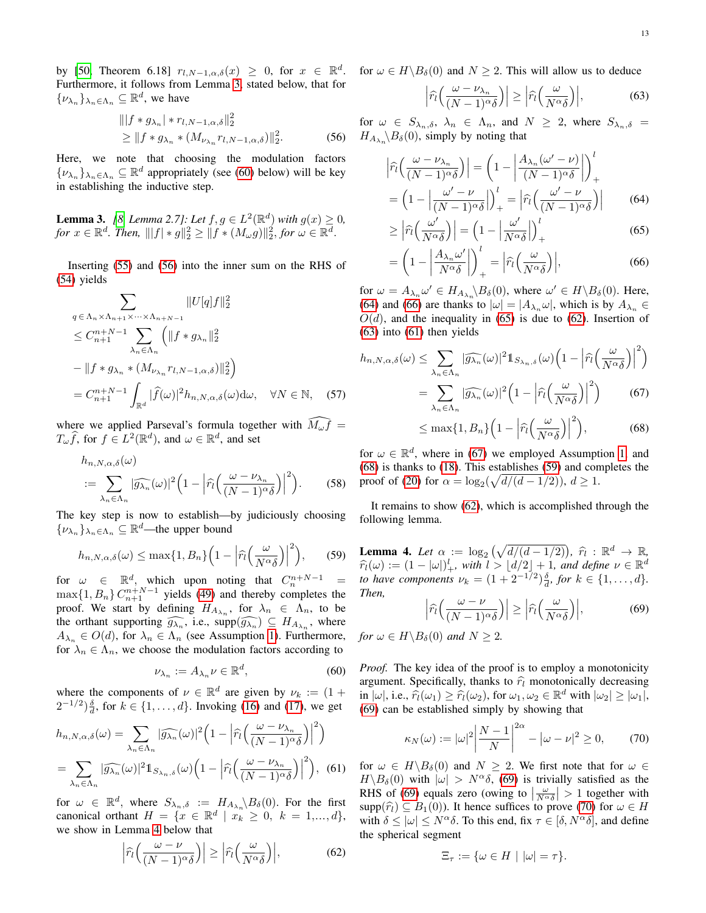by [\[50,](#page-23-2) Theorem 6.18]  $r_{l,N-1,\alpha,\delta}(x) \geq 0$ , for  $x \in \mathbb{R}^d$ . Furthermore, it follows from Lemma [3,](#page-12-0) stated below, that for  $\{\nu_{\lambda_n}\}_{\lambda_n \in \Lambda_n} \subseteq \mathbb{R}^d$ , we have

$$
\begin{aligned} &\| |f * g_{\lambda_n}| * r_{l,N-1,\alpha,\delta} \|_2^2 \\ &\ge \| f * g_{\lambda_n} * (M_{\nu_{\lambda_n}} r_{l,N-1,\alpha,\delta}) \|_2^2. \end{aligned} \tag{56}
$$

Here, we note that choosing the modulation factors  $\{\nu_{\lambda_n}\}_{\lambda_n \in \Lambda_n} \subseteq \mathbb{R}^d$  appropriately (see [\(60\)](#page-12-1) below) will be key in establishing the inductive step.

<span id="page-12-0"></span>**Lemma 3.** [\[8,](#page-22-3) Lemma 2.7]: Let  $f, g \in L^2(\mathbb{R}^d)$  with  $g(x) \ge 0$ , *for*  $x \in \mathbb{R}^d$ . *Then*,  $|||f| * g||_2^2 \ge ||f * (M_\omega g)||_2^2$ , *for*  $\omega \in \mathbb{R}^d$ .

Inserting [\(55\)](#page-11-9) and [\(56\)](#page-12-2) into the inner sum on the RHS of [\(54\)](#page-11-7) yields

$$
\sum_{q \in \Lambda_n \times \Lambda_{n+1} \times \cdots \times \Lambda_{n+N-1}} \|U[q]f\|_2^2
$$
\n
$$
\leq C_{n+1}^{n+N-1} \sum_{\lambda_n \in \Lambda_n} \left( \|f * g_{\lambda_n}\|_2^2 \right)
$$
\n
$$
- \|f * g_{\lambda_n} * (M_{\nu_{\lambda_n}} r_{l,N-1,\alpha,\delta})\|_2^2
$$
\n
$$
= C_{n+1}^{n+N-1} \int_{\mathbb{R}^d} |\widehat{f}(\omega)|^2 h_{n,N,\alpha,\delta}(\omega) d\omega, \quad \forall N \in \mathbb{N}, \quad (57)
$$

where we applied Parseval's formula together with  $\widehat{M_{\omega}f}$  =  $T_{\omega}\widehat{f}$ , for  $f \in L^2(\mathbb{R}^d)$ , and  $\omega \in \mathbb{R}^d$ , and set

$$
h_{n,N,\alpha,\delta}(\omega)
$$
  

$$
:= \sum_{\lambda_n \in \Lambda_n} |\widehat{g_{\lambda_n}}(\omega)|^2 \Big(1 - \Big| \widehat{r}_l \Big(\frac{\omega - \nu_{\lambda_n}}{(N-1)^{\alpha \delta}}\Big) \Big|^2 \Big). \tag{58}
$$

The key step is now to establish—by judiciously choosing  $\{\nu_{\lambda_n}\}_{\lambda_n\in\Lambda_n}\subseteq\mathbb{R}^d$ —the upper bound

<span id="page-12-12"></span>
$$
h_{n,N,\alpha,\delta}(\omega) \le \max\{1, B_n\} \Big(1 - \Big| \widehat{r}_l\Big(\frac{\omega}{N^{\alpha}\delta}\Big)\Big|^2\Big),\qquad(59)
$$

for  $\omega \in \mathbb{R}^d$ , which upon noting that  $C_n^{n+N-1}$  =  $\max\{1, B_n\} C_{n+1}^{n+N-1}$  yields [\(49\)](#page-11-3) and thereby completes the proof. We start by defining  $H_{A_{\lambda_n}}$ , for  $\lambda_n \in \Lambda_n$ , to be the orthant supporting  $\widehat{g_{\lambda_n}}$ , i.e.,  $\text{supp}(\widehat{g_{\lambda_n}}) \subseteq H_{A_{\lambda_n}}$ , where  $A_{\lambda_n} \in O(d)$ , for  $\lambda_n \in \Lambda_n$  (see Assumption [1\)](#page-4-1). Furthermore, for  $\lambda_n \in \Lambda_n$ , we choose the modulation factors according to

<span id="page-12-1"></span>
$$
\nu_{\lambda_n} := A_{\lambda_n} \nu \in \mathbb{R}^d, \tag{60}
$$

where the components of  $\nu \in \mathbb{R}^d$  are given by  $\nu_k := (1 +$  $(2^{-1/2})^{\delta}_{d}$ , for  $k \in \{1, ..., d\}$ . Invoking [\(16\)](#page-4-3) and [\(17\)](#page-4-2), we get

$$
h_{n,N,\alpha,\delta}(\omega) = \sum_{\lambda_n \in \Lambda_n} |\widehat{g_{\lambda_n}}(\omega)|^2 \left(1 - \left|\widehat{r_l}\left(\frac{\omega - \nu_{\lambda_n}}{(N-1)^{\alpha}\delta}\right)\right|^2\right)
$$
  
= 
$$
\sum_{\lambda_n \in \Lambda_n} |\widehat{g_{\lambda_n}}(\omega)|^2 1_{S_{\lambda_n,\delta}}(\omega) \left(1 - \left|\widehat{r_l}\left(\frac{\omega - \nu_{\lambda_n}}{(N-1)^{\alpha}\delta}\right)\right|^2\right),
$$
 (61)

for  $\omega \in \mathbb{R}^d$ , where  $S_{\lambda_n,\delta} := H_{A_{\lambda_n}} \setminus B_{\delta}(0)$ . For the first canonical orthant  $H = \{x \in \mathbb{R}^d \mid x_k \geq 0, k = 1, ..., d\},\$ we show in Lemma [4](#page-12-3) below that

<span id="page-12-7"></span>
$$
\left|\widehat{r}_l\left(\frac{\omega-\nu}{(N-1)^\alpha\delta}\right)\right| \ge \left|\widehat{r}_l\left(\frac{\omega}{N^\alpha\delta}\right)\right|,\tag{62}
$$

for  $\omega \in H \backslash B_\delta(0)$  and  $N \geq 2$ . This will allow us to deduce

<span id="page-12-8"></span><span id="page-12-4"></span>
$$
\left|\widehat{r}_l\left(\frac{\omega-\nu_{\lambda_n}}{(N-1)^\alpha\delta}\right)\right| \ge \left|\widehat{r}_l\left(\frac{\omega}{N^\alpha\delta}\right)\right|,\tag{63}
$$

<span id="page-12-2"></span>for  $\omega \in S_{\lambda_n,\delta}, \lambda_n \in \Lambda_n$ , and  $N \geq 2$ , where  $S_{\lambda_n,\delta} =$  $H_{A_{\lambda_n}}\backslash B_\delta(0)$ , simply by noting that

$$
\left| \widehat{r}_l \left( \frac{\omega - \nu_{\lambda_n}}{(N-1)^\alpha \delta} \right) \right| = \left( 1 - \left| \frac{A_{\lambda_n} (\omega' - \nu)}{(N-1)^\alpha \delta} \right| \right)_+^l
$$

$$
= \left( 1 - \left| \frac{\omega' - \nu}{(N-1)^\alpha \delta} \right| \right)_+^l = \left| \widehat{r}_l \left( \frac{\omega' - \nu}{(N-1)^\alpha \delta} \right) \right| \tag{64}
$$

<span id="page-12-6"></span><span id="page-12-5"></span>
$$
\geq \left| \widehat{r}_l \left( \frac{\omega'}{N^{\alpha} \delta} \right) \right| = \left( 1 - \left| \frac{\omega'}{N^{\alpha} \delta} \right| \right)_+^l \tag{65}
$$

$$
= \left(1 - \left|\frac{A_{\lambda_n}\omega'}{N^{\alpha}\delta}\right|\right)_+^l = \left|\widehat{r}_l\left(\frac{\omega}{N^{\alpha}\delta}\right)\right|,\tag{66}
$$

for  $\omega = A_{\lambda_n} \omega' \in H_{A_{\lambda_n}} \backslash B_\delta(0)$ , where  $\omega' \in H \backslash B_\delta(0)$ . Here, [\(64\)](#page-12-4) and [\(66\)](#page-12-5) are thanks to  $|\omega| = |A_{\lambda_n} \omega|$ , which is by  $A_{\lambda_n} \in$  $O(d)$ , and the inequality in [\(65\)](#page-12-6) is due to [\(62\)](#page-12-7). Insertion of  $(63)$  into  $(61)$  then yields

<span id="page-12-15"></span>
$$
h_{n,N,\alpha,\delta}(\omega) \leq \sum_{\lambda_n \in \Lambda_n} |\widehat{g_{\lambda_n}}(\omega)|^2 \mathbb{1}_{S_{\lambda_n,\delta}}(\omega) \left(1 - \left|\widehat{r_l}\left(\frac{\omega}{N^{\alpha}\delta}\right)\right|^2\right)
$$
  

$$
= \sum_{\lambda_n \in \Lambda_n} |\widehat{g_{\lambda_n}}(\omega)|^2 \left(1 - \left|\widehat{r_l}\left(\frac{\omega}{N^{\alpha}\delta}\right)\right|^2\right) \tag{67}
$$
  

$$
< \max\{1, B_n\} \left(1 - \left|\widehat{r_l}\left(\frac{\omega}{N^{\alpha}\delta}\right)\right|^2\right).
$$

<span id="page-12-11"></span><span id="page-12-10"></span>
$$
\leq \max\{1, B_n\} \Big(1 - \Big| \widehat{r}_l \Big(\frac{\omega}{N^{\alpha} \delta}\Big) \Big|^2 \Big), \tag{68}
$$

<span id="page-12-16"></span>for  $\omega \in \mathbb{R}^d$ , where in [\(67\)](#page-12-10) we employed Assumption [1,](#page-4-1) and [\(68\)](#page-12-11) is thanks to [\(18\)](#page-4-4). This establishes [\(59\)](#page-12-12) and completes the proof of [\(20\)](#page-5-1) for  $\alpha = \log_2(\sqrt{d/(d-1/2)})$ ,  $d \ge 1$ .

It remains to show [\(62\)](#page-12-7), which is accomplished through the following lemma.

<span id="page-12-3"></span>**Lemma 4.** Let  $\alpha := \log_2(\sqrt{d/(d-1/2)})$ ,  $\hat{r}_l : \mathbb{R}^d \to \mathbb{R}$ ,<br> $\hat{\epsilon}_l(\alpha) := (1 - |\alpha|)^l$ , with  $l > |d/2| + 1$  and define  $u \in \mathbb{R}^d$  $\widehat{r}_l(\omega) := (1 - |\omega|)^l_+,$  with  $l > \lfloor d/2 \rfloor + 1$ , and define  $\nu \in \mathbb{R}^d$ <br>to have components  $\nu_l = (1 + 2^{-1/2})^{\delta}$  for  $k \in [1, \ldots, d]$ *to have components*  $\nu_k = (1 + 2^{-1/2})\frac{\delta}{d}$ , for  $k \in \{1, ..., d\}$ . *Then,*

<span id="page-12-13"></span>
$$
\left|\widehat{r}_l\left(\frac{\omega-\nu}{(N-1)^\alpha\delta}\right)\right| \ge \left|\widehat{r}_l\left(\frac{\omega}{N^\alpha\delta}\right)\right|,\tag{69}
$$

*for*  $\omega \in H \backslash B_{\delta}(0)$  *and*  $N > 2$ *.* 

*Proof.* The key idea of the proof is to employ a monotonicity argument. Specifically, thanks to  $\hat{r}_l$  monotonically decreasing in  $|\omega|$ , i.e.,  $\hat{r}_l(\omega_1) \geq \hat{r}_l(\omega_2)$ , for  $\omega_1, \omega_2 \in \mathbb{R}^d$  with  $|\omega_2| \geq |\omega_1|$ ,  $(69)$  can be established simply by showing that [\(69\)](#page-12-13) can be established simply by showing that

<span id="page-12-14"></span>
$$
\kappa_N(\omega) := |\omega|^2 \left| \frac{N-1}{N} \right|^{2\alpha} - |\omega - \nu|^2 \ge 0,\qquad(70)
$$

<span id="page-12-9"></span>for  $\omega \in H \backslash B_\delta(0)$  and  $N \geq 2$ . We first note that for  $\omega \in$  $H \backslash B_\delta(0)$  with  $|\omega| > N^\alpha \delta$ , [\(69\)](#page-12-13) is trivially satisfied as the RHS of [\(69\)](#page-12-13) equals zero (owing to  $\left|\frac{\omega}{N^{\alpha}\delta}\right| > 1$  together with supp $(\widehat{r}_l) \subseteq B_1(0)$ ). It hence suffices to prove [\(70\)](#page-12-14) for  $\omega \in H$ with  $\delta \leq |\omega| \leq N^{\alpha} \delta$ . To this end, fix  $\tau \in [\delta, N^{\alpha} \delta]$ , and define the spherical segment

$$
\Xi_{\tau} := \{ \omega \in H \mid |\omega| = \tau \}.
$$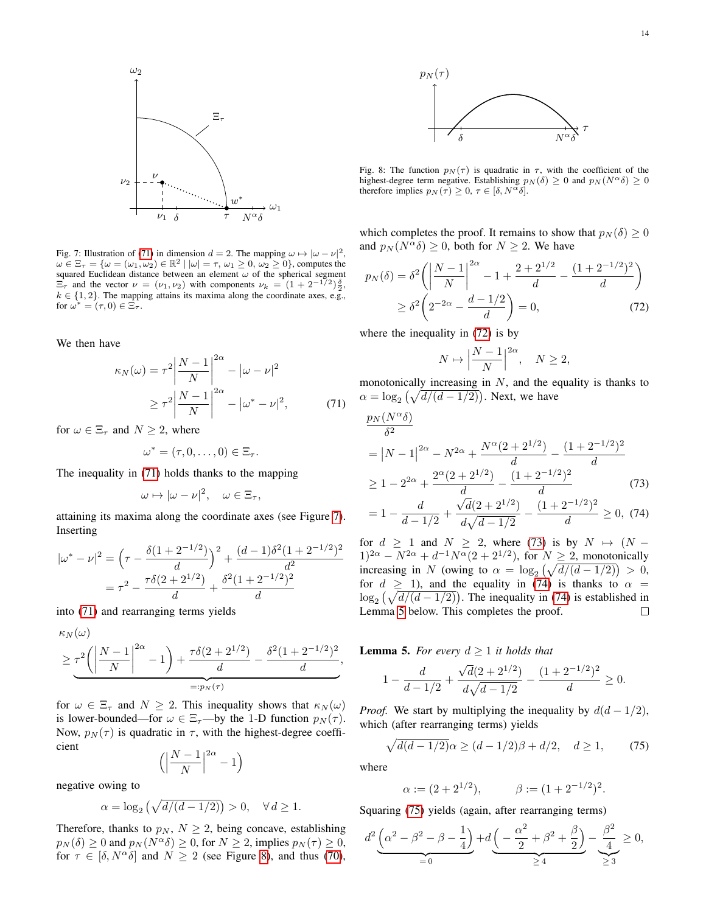<span id="page-13-1"></span>

Fig. 7: Illustration of [\(71\)](#page-13-0) in dimension  $d = 2$ . The mapping  $\omega \mapsto |\omega - \nu|^2$ ,  $\omega \in \Xi_{\tau} = \{\omega = (\omega_1, \omega_2) \in \mathbb{R}^2 \mid |\omega| = \tau, \omega_1 \ge 0, \omega_2 \ge 0\}$ , computes the squared Euclidean distance between an element  $\omega$  of the spherical segment  $\Xi_{\tau}$  and the vector  $\nu = (\nu_1, \nu_2)$  with components  $\nu_k = (1 + 2^{-1/2})\frac{\delta}{2}$ ,  $k \in \{1, 2\}$ . The mapping attains its maxima along the coordinate axes, e.g., for  $\omega^* = (\tau, 0) \in \Xi_\tau$ .

We then have

$$
\kappa_N(\omega) = \tau^2 \left| \frac{N-1}{N} \right|^{2\alpha} - |\omega - \nu|^2
$$

$$
\geq \tau^2 \left| \frac{N-1}{N} \right|^{2\alpha} - |\omega^* - \nu|^2, \tag{71}
$$

for  $\omega \in \Xi_{\tau}$  and  $N \geq 2$ , where

$$
\omega^* = (\tau, 0, \ldots, 0) \in \Xi_\tau.
$$

The inequality in [\(71\)](#page-13-0) holds thanks to the mapping

$$
\omega \mapsto |\omega - \nu|^2, \quad \omega \in \Xi_\tau,
$$

attaining its maxima along the coordinate axes (see Figure [7\)](#page-13-1). Inserting

$$
|\omega^* - \nu|^2 = \left(\tau - \frac{\delta(1 + 2^{-1/2})}{d}\right)^2 + \frac{(d - 1)\delta^2(1 + 2^{-1/2})^2}{d^2}
$$

$$
= \tau^2 - \frac{\tau\delta(2 + 2^{1/2})}{d} + \frac{\delta^2(1 + 2^{-1/2})^2}{d}
$$

into [\(71\)](#page-13-0) and rearranging terms yields

$$
\kappa_N(\omega) \ge \underbrace{\tau^2 \left( \left| \frac{N-1}{N} \right|^{2\alpha} - 1 \right) + \frac{\tau \delta (2 + 2^{1/2})}{d}}_{=:p_N(\tau)} - \underbrace{\delta^2 (1 + 2^{-1/2})^2}_{=:\rho_N(\tau)},
$$

for  $\omega \in \Xi_{\tau}$  and  $N \geq 2$ . This inequality shows that  $\kappa_N(\omega)$ is lower-bounded—for  $\omega \in \Xi_{\tau}$ —by the 1-D function  $p_N(\tau)$ . Now,  $p_N(\tau)$  is quadratic in  $\tau$ , with the highest-degree coefficient

$$
\left(\left|\frac{N-1}{N}\right|^{2\alpha}-1\right)
$$

negative owing to

$$
\alpha = \log_2(\sqrt{d/(d-1/2)}) > 0, \quad \forall d \ge 1.
$$

Therefore, thanks to  $p_N$ ,  $N \geq 2$ , being concave, establishing  $p_N(\delta) \geq 0$  and  $p_N(N^{\alpha}\delta) \geq 0$ , for  $N \geq 2$ , implies  $p_N(\tau) \geq 0$ , for  $\tau \in [\delta, N^{\alpha} \delta]$  and  $N \ge 2$  (see Figure [8\)](#page-13-2), and thus [\(70\)](#page-12-14),

<span id="page-13-2"></span>

Fig. 8: The function  $p_N(\tau)$  is quadratic in  $\tau$ , with the coefficient of the highest-degree term negative. Establishing  $p_N(\delta) \geq 0$  and  $p_N(N^{\alpha}\delta) \geq 0$ therefore implies  $p_N(\tau) \geq 0, \tau \in [\delta, N^{\alpha} \delta].$ 

which completes the proof. It remains to show that  $p_N(\delta) \geq 0$ and  $p_N (N^{\alpha} \delta) \geq 0$ , both for  $N \geq 2$ . We have

$$
p_N(\delta) = \delta^2 \left( \left| \frac{N-1}{N} \right|^{2\alpha} - 1 + \frac{2+2^{1/2}}{d} - \frac{(1+2^{-1/2})^2}{d} \right) \ge \delta^2 \left( 2^{-2\alpha} - \frac{d-1/2}{d} \right) = 0,
$$
\n(72)

where the inequality in [\(72\)](#page-13-3) is by

<span id="page-13-5"></span><span id="page-13-4"></span><span id="page-13-3"></span>
$$
N \mapsto \left| \frac{N-1}{N} \right|^{2\alpha}, \quad N \ge 2,
$$

<span id="page-13-0"></span>monotonically increasing in  $N$ , and the equality is thanks to  $\alpha = \log_2(\sqrt{d/(d-1/2)})$ . Next, we have

$$
\frac{p_N(N^{\alpha}\delta)}{\delta^2} = |N-1|^{2\alpha} - N^{2\alpha} + \frac{N^{\alpha}(2+2^{1/2})}{d} - \frac{(1+2^{-1/2})^2}{d}
$$
  
\n
$$
\geq 1 - 2^{2\alpha} + \frac{2^{\alpha}(2+2^{1/2})}{d} - \frac{(1+2^{-1/2})^2}{d}
$$
 (73)  
\n
$$
= 1 - \frac{d}{d-1/2} + \frac{\sqrt{d}(2+2^{1/2})}{d\sqrt{d-1/2}} - \frac{(1+2^{-1/2})^2}{d} \geq 0, (74)
$$

for  $d \geq 1$  and  $N \geq 2$ , where [\(73\)](#page-13-4) is by  $N \mapsto (N (1)^{2\alpha} - N^{2\alpha} + d^{-1}N^{\alpha}(2+2^{1/2})$ , for  $N \ge 2$ , monotonically increasing in N (owing to  $\alpha = \log_2(\sqrt{d/(d-1/2)}) > 0$ , for  $d \ge 1$ , and the equality in [\(74\)](#page-13-5) is thanks to  $\alpha =$  $\log_2(\sqrt{d/(d-1/2)})$ . The inequality in [\(74\)](#page-13-5) is established in Lemma [5](#page-13-6) below. This completes the proof.  $\Box$ 

<span id="page-13-6"></span>**Lemma 5.** *For every*  $d \geq 1$  *it holds that* 

$$
1 - \frac{d}{d-1/2} + \frac{\sqrt{d}(2+2^{1/2})}{d\sqrt{d-1/2}} - \frac{(1+2^{-1/2})^2}{d} \ge 0.
$$

*Proof.* We start by multiplying the inequality by  $d(d-1/2)$ , which (after rearranging terms) yields

<span id="page-13-7"></span>
$$
\sqrt{d(d-1/2)}\alpha \ge (d-1/2)\beta + d/2, \quad d \ge 1,\tag{75}
$$

where

$$
\alpha := (2 + 2^{1/2}), \qquad \beta := (1 + 2^{-1/2})^2.
$$

Squaring [\(75\)](#page-13-7) yields (again, after rearranging terms)

$$
d^2 \underbrace{\left(\alpha^2 - \beta^2 - \beta - \frac{1}{4}\right)}_{=0} + d \underbrace{\left(-\frac{\alpha^2}{2} + \beta^2 + \frac{\beta}{2}\right)}_{\geq 4} - \underbrace{\frac{\beta^2}{4}}_{\geq 3} \geq 0,
$$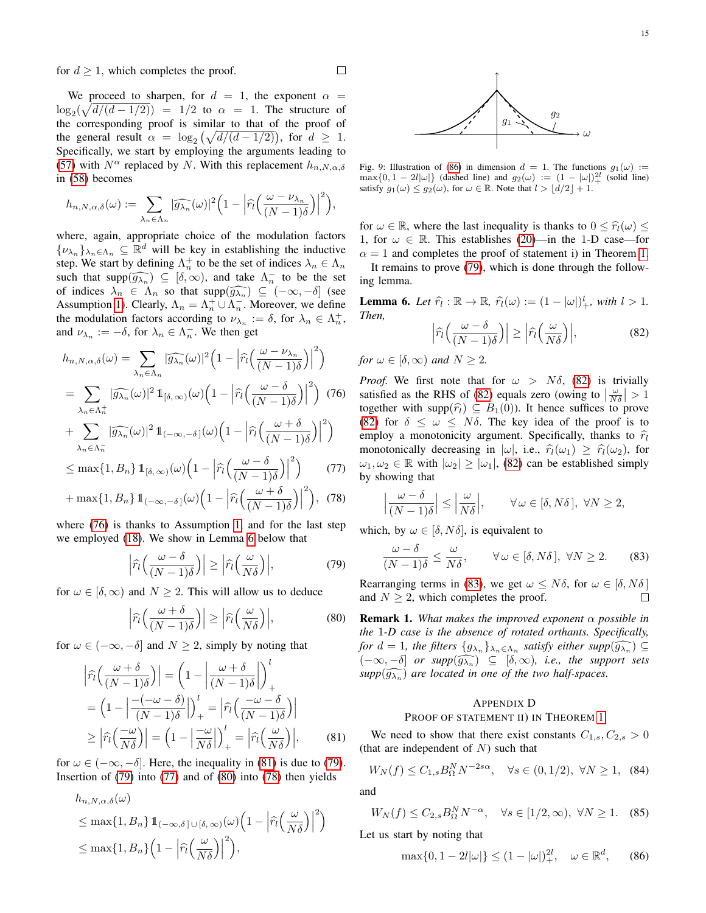We proceed to sharpen, for  $d = 1$ , the exponent  $\alpha =$  $\log_2(\sqrt{d/(d-1/2)}) = 1/2$  to  $\alpha = 1$ . The structure of the corresponding proof is similar to that of the proof of the general result  $\alpha = \log_2(\sqrt{d/(d-1/2)})$ , for  $d \ge 1$ . Specifically, we start by employing the arguments leading to [\(57\)](#page-12-15) with  $N^{\alpha}$  replaced by N. With this replacement  $h_{n,N,\alpha,\delta}$ in [\(58\)](#page-12-16) becomes

$$
h_{n,N,\alpha,\delta}(\omega) := \sum_{\lambda_n \in \Lambda_n} |\widehat{g_{\lambda_n}}(\omega)|^2 \Big(1 - \Big|\widehat{r}_l\Big(\frac{\omega - \nu_{\lambda_n}}{(N-1)\delta}\Big)\Big|^2\Big),\,
$$

where, again, appropriate choice of the modulation factors  $\{\nu_{\lambda_n}\}_{\lambda_n\in\Lambda_n}\subseteq\mathbb{R}^d$  will be key in establishing the inductive step. We start by defining  $\Lambda_n^+$  to be the set of indices  $\lambda_n \in \Lambda_n$ such that  $\text{supp}(\widehat{g_{\lambda n}}) \subseteq [\delta, \infty)$ , and take  $\Lambda_n^-$  to be the set<br>of indices  $\Lambda_n \subseteq \Lambda$  so that  $\text{supp}(\widehat{g_{\lambda n}}) \subseteq (\infty, \delta)$  (see of indices  $\lambda_n \in \Lambda_n$  so that  $\text{supp}(\widehat{g_{\lambda_n}}) \subseteq (-\infty, -\delta]$  (see Assumption 1) Clearly  $\Lambda = \Lambda + \cup \Lambda$  Moreover we define Assumption [1\)](#page-4-1). Clearly,  $\Lambda_n = \Lambda_n^+ \cup \Lambda_n^-$ . Moreover, we define the modulation factors according to  $\nu_{\lambda_n} := \delta$ , for  $\lambda_n \in \Lambda_n^+$ , and  $\nu_{\lambda_n} := -\delta$ , for  $\lambda_n \in \Lambda_n^-$ . We then get

$$
h_{n,N,\alpha,\delta}(\omega) = \sum_{\lambda_n \in \Lambda_n} |\widehat{g_{\lambda_n}}(\omega)|^2 \left(1 - \left|\widehat{r_l}\left(\frac{\omega - \nu_{\lambda_n}}{(N-1)\delta}\right)\right|^2\right)
$$
  

$$
= \sum_{\lambda_n \in \Lambda_n^+} |\widehat{g_{\lambda_n}}(\omega)|^2 1_{[\delta,\infty)}(\omega) \left(1 - \left|\widehat{r_l}\left(\frac{\omega - \delta}{(N-1)\delta}\right)\right|^2\right) (76)
$$
  

$$
+ \sum_{\lambda_n \in \Lambda_n^-} |\widehat{g_{\lambda_n}}(\omega)|^2 1_{(-\infty,-\delta)}(\omega) \left(1 - \left|\widehat{r_l}\left(\frac{\omega + \delta}{(N-1)\delta}\right)\right|^2\right)
$$

$$
\sum_{\lambda_n \in \Lambda_n^{-}} |\mathcal{G}_{\lambda_n}(\omega)|^2 \mathbb{1}_{(-\infty, -\delta)}(\omega) \left(1 - \left| \hat{r}_l \left( \frac{\omega - \delta}{(N - 1)\delta} \right) \right|^2 \right) \tag{77}
$$

$$
\leq \max\{1, B_n\} \, \mathbb{1}_{\left[\delta, \infty\right)}(\omega) \Big(1 - \left|\widehat{r}_l\left(\frac{\omega}{(N-1)\delta}\right)\right| \Big) \tag{77}
$$

$$
+\max\{1, B_n\} \mathbb{1}_{(-\infty, -\delta)}(\omega) \Big(1 - \Big|\widehat{r}_l\Big(\frac{\omega + \delta}{(N-1)\delta}\Big)\Big|^2\Big), (78)
$$

where [\(76\)](#page-14-1) is thanks to Assumption [1,](#page-4-1) and for the last step we employed [\(18\)](#page-4-4). We show in Lemma [6](#page-14-2) below that

<span id="page-14-4"></span>
$$
\left|\widehat{r}_l\left(\frac{\omega-\delta}{(N-1)\delta}\right)\right| \ge \left|\widehat{r}_l\left(\frac{\omega}{N\delta}\right)\right|,\tag{79}
$$

for  $\omega \in [\delta, \infty)$  and  $N \ge 2$ . This will allow us to deduce

<span id="page-14-6"></span>
$$
\left|\widehat{r}_l\left(\frac{\omega+\delta}{(N-1)\delta}\right)\right| \ge \left|\widehat{r}_l\left(\frac{\omega}{N\delta}\right)\right|,\tag{80}
$$

for  $\omega \in (-\infty, -\delta]$  and  $N \geq 2$ , simply by noting that

$$
\left| \hat{r}_{l} \left( \frac{\omega + \delta}{(N-1)\delta} \right) \right| = \left( 1 - \left| \frac{\omega + \delta}{(N-1)\delta} \right| \right)_{+}^{l}
$$

$$
= \left( 1 - \left| \frac{-(-\omega - \delta)}{(N-1)\delta} \right| \right)_{+}^{l} = \left| \hat{r}_{l} \left( \frac{-\omega - \delta}{(N-1)\delta} \right) \right|
$$

$$
\geq \left| \hat{r}_{l} \left( \frac{-\omega}{N\delta} \right) \right| = \left( 1 - \left| \frac{-\omega}{N\delta} \right| \right)_{+}^{l} = \left| \hat{r}_{l} \left( \frac{\omega}{N\delta} \right) \right|, \tag{81}
$$

for  $\omega \in (-\infty, -\delta]$ . Here, the inequality in [\(81\)](#page-14-3) is due to [\(79\)](#page-14-4). Insertion of  $(79)$  into  $(77)$  and of  $(80)$  into  $(78)$  then yields

$$
h_{n,N,\alpha,\delta}(\omega)
$$
  
\n
$$
\leq \max\{1, B_n\} \mathbb{1}_{(-\infty,\delta] \cup [\delta,\infty)}(\omega) \Big(1 - \Big| \widehat{r}_l\Big(\frac{\omega}{N\delta}\Big) \Big|^2\Big)
$$
  
\n
$$
\leq \max\{1, B_n\} \Big(1 - \Big| \widehat{r}_l\Big(\frac{\omega}{N\delta}\Big) \Big|^2\Big),
$$

Fig. 9: Illustration of [\(86\)](#page-14-8) in dimension  $d = 1$ . The functions  $g_1(\omega) :=$  $\max\{0, 1 - 2l|\omega|\}$  (dashed line) and  $g_2(\omega) := (1 - |\omega|)_+^{2l}$  (solid line) satisfy  $g_1(\omega) \le g_2(\omega)$ , for  $\omega \in \mathbb{R}$ . Note that  $l > \lfloor d/2 \rfloor + 1$ .

 $\mathfrak{g}_1$ 

for  $\omega \in \mathbb{R}$ , where the last inequality is thanks to  $0 \leq \hat{r}_l(\omega) \leq$ 1, for  $\omega \in \mathbb{R}$ . This establishes [\(20\)](#page-5-1)—in the 1-D case—for  $\alpha = 1$  and completes the proof of statement i) in Theorem [1.](#page-5-4) It remains to prove [\(79\)](#page-14-4), which is done through the follow-

ing lemma.

<span id="page-14-2"></span>**Lemma 6.** Let  $\widehat{r}_l : \mathbb{R} \to \mathbb{R}$ ,  $\widehat{r}_l(\omega) := (1 - |\omega|)^l_+$ , with  $l > 1$ . *Then,*

<span id="page-14-9"></span>
$$
\left|\widehat{r}_l\left(\frac{\omega-\delta}{(N-1)\delta}\right)\right| \ge \left|\widehat{r}_l\left(\frac{\omega}{N\delta}\right)\right|,\tag{82}
$$

*for*  $\omega \in [\delta, \infty)$  *and*  $N \geq 2$ *.* 

<span id="page-14-11"></span> $\Box$ 

<span id="page-14-1"></span>*Proof.* We first note that for  $\omega > N\delta$ , [\(82\)](#page-14-9) is trivially satisfied as the RHS of [\(82\)](#page-14-9) equals zero (owing to  $\left|\frac{\omega}{N\delta}\right| > 1$ together with supp $(\hat{r}_l) \subseteq B_1(0)$ . It hence suffices to prove [\(82\)](#page-14-9) for  $\delta \leq \omega \leq N\delta$ . The key idea of the proof is to employ a monotonicity argument. Specifically, thanks to  $\hat{r}_l$ monotonically decreasing in  $|\omega|$ , i.e.,  $\hat{\tau}_l(\omega_1) \geq \hat{\tau}_l(\omega_2)$ , for  $\omega_1, \omega_2 \in \mathbb{R}$  with  $|\omega_2| \geq |\omega_1|$ , [\(82\)](#page-14-9) can be established simply by showing that

<span id="page-14-5"></span>
$$
\left|\frac{\omega-\delta}{(N-1)\delta}\right| \le \left|\frac{\omega}{N\delta}\right|, \qquad \forall \omega \in [\delta, N\delta], \ \forall N \ge 2,
$$

<span id="page-14-7"></span>which, by  $\omega \in [\delta, N\delta]$ , is equivalent to

<span id="page-14-10"></span>
$$
\frac{\omega - \delta}{(N-1)\delta} \le \frac{\omega}{N\delta}, \qquad \forall \omega \in [\delta, N\delta], \ \forall N \ge 2. \tag{83}
$$

Rearranging terms in [\(83\)](#page-14-10), we get  $\omega \leq N\delta$ , for  $\omega \in [\delta, N\delta]$ and  $N \geq 2$ , which completes the proof.  $\Box$ 

Remark 1. *What makes the improved exponent* α *possible in the* 1*-D case is the absence of rotated orthants. Specifically, for*  $d = 1$ *, the filters*  $\{g_{\lambda_n}\}_{\lambda_n \in \Lambda_n}$  *satisfy either supp* $(\widehat{g_{\lambda_n}}) \subseteq$  $(-\infty, -\delta]$  *or supp* $(\widehat{g_{\lambda_n}}) \subseteq [\delta, \infty)$ *, i.e., the support sets*<br>support  $\widehat{g_{\lambda_n}}$  are located in one of the two helf spaces  $supp(\widehat{g_{\lambda_n}})$  are located in one of the two half-spaces.

### <span id="page-14-0"></span>APPENDIX D PROOF OF STATEMENT II) IN THEOREM [1](#page-5-4)

<span id="page-14-3"></span>We need to show that there exist constants  $C_{1,s}$ ,  $C_{2,s} > 0$ (that are independent of  $N$ ) such that

<span id="page-14-12"></span>
$$
W_N(f) \le C_{1,s} B_{\Omega}^N N^{-2s\alpha}, \quad \forall s \in (0, 1/2), \ \forall N \ge 1, \tag{84}
$$

and

<span id="page-14-13"></span>
$$
W_N(f) \le C_{2,s} B_{\Omega}^N N^{-\alpha}, \quad \forall s \in [1/2, \infty), \ \forall N \ge 1. \tag{85}
$$

Let us start by noting that

<span id="page-14-8"></span>
$$
\max\{0, 1 - 2l|\omega|\} \le (1 - |\omega|)_+^{2l}, \quad \omega \in \mathbb{R}^d, \qquad (86)
$$

ω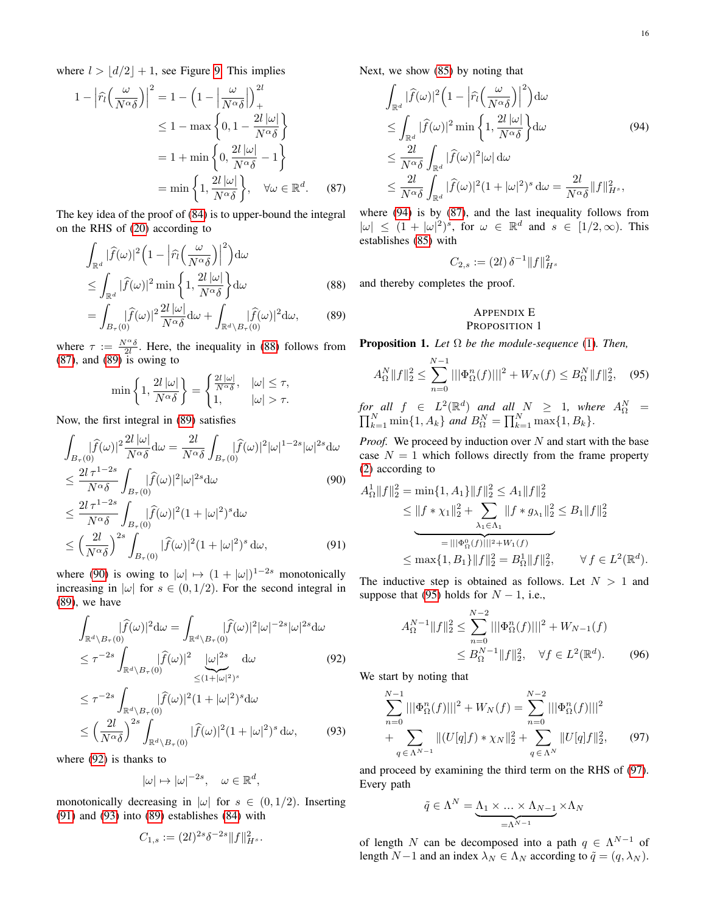where  $l > |d/2| + 1$ , see Figure [9.](#page-14-11) This implies

$$
1 - \left| \widehat{r}_l \left( \frac{\omega}{N^{\alpha} \delta} \right) \right|^2 = 1 - \left( 1 - \left| \frac{\omega}{N^{\alpha} \delta} \right| \right)_+^{2l}
$$
  
\n
$$
\leq 1 - \max \left\{ 0, 1 - \frac{2l |\omega|}{N^{\alpha} \delta} \right\}
$$
  
\n
$$
= 1 + \min \left\{ 0, \frac{2l |\omega|}{N^{\alpha} \delta} - 1 \right\}
$$
  
\n
$$
= \min \left\{ 1, \frac{2l |\omega|}{N^{\alpha} \delta} \right\}, \quad \forall \omega \in \mathbb{R}^d. \tag{87}
$$

The key idea of the proof of [\(84\)](#page-14-12) is to upper-bound the integral on the RHS of [\(20\)](#page-5-1) according to

$$
\int_{\mathbb{R}^d} |\widehat{f}(\omega)|^2 \left(1 - \left|\widehat{r}_l\left(\frac{\omega}{N^{\alpha}\delta}\right)\right|^2\right) d\omega
$$
\n
$$
\leq \int_{\mathbb{R}^d} |\widehat{f}(\omega)|^2 \min\left\{1, \frac{2l|\omega|}{N^{\alpha}\delta}\right\} d\omega
$$
\n(88)

$$
= \int_{B_{\tau}(0)} |\widehat{f}(\omega)|^2 \frac{2l |\omega|}{N^{\alpha} \delta} d\omega + \int_{\mathbb{R}^d \setminus B_{\tau}(0)} |\widehat{f}(\omega)|^2 d\omega, \tag{89}
$$

where  $\tau := \frac{N^{\alpha} \delta}{2l}$ . Here, the inequality in [\(88\)](#page-15-2) follows from [\(87\)](#page-15-3), and [\(89\)](#page-15-4) is owing to

$$
\min\left\{1,\frac{2l\left|\omega\right|}{N^{\alpha}\delta}\right\} = \begin{cases} \frac{2l\left|\omega\right|}{N^{\alpha}\delta}, & |\omega| \leq \tau, \\ 1, & |\omega| > \tau. \end{cases}
$$

Now, the first integral in [\(89\)](#page-15-4) satisfies

$$
\int_{B_{\tau}(0)} |\widehat{f}(\omega)|^2 \frac{2l |\omega|}{N^{\alpha}\delta} d\omega = \frac{2l}{N^{\alpha}\delta} \int_{B_{\tau}(0)} |\widehat{f}(\omega)|^2 |\omega|^{1-2s} |\omega|^{2s} d\omega
$$
\n
$$
\leq \frac{2l \tau^{1-2s}}{N^{\alpha}\delta} \int_{B_{\tau}(0)} |\widehat{f}(\omega)|^2 |\omega|^{2s} d\omega \tag{90}
$$
\n
$$
\leq \frac{2l \tau^{1-2s}}{N^{\alpha}\delta} \int_{B_{\tau}(0)} |\widehat{f}(\omega)|^2 (1+|\omega|^2)^s d\omega
$$
\n
$$
\leq \left(\frac{2l}{N^{\alpha}\delta}\right)^{2s} \int_{B_{\tau}(0)} |\widehat{f}(\omega)|^2 (1+|\omega|^2)^s d\omega, \tag{91}
$$

where [\(90\)](#page-15-5) is owing to  $|\omega| \mapsto (1 + |\omega|)^{1-2s}$  monotonically increasing in  $|\omega|$  for  $s \in (0, 1/2)$ . For the second integral in [\(89\)](#page-15-4), we have

$$
\int_{\mathbb{R}^d \backslash B_{\tau}(0)} |\widehat{f}(\omega)|^2 d\omega = \int_{\mathbb{R}^d \backslash B_{\tau}(0)} |\widehat{f}(\omega)|^2 |\omega|^{-2s} |\omega|^{2s} d\omega
$$
\n
$$
\leq \tau^{-2s} \int_{\mathbb{R}^d \backslash B_{\tau}(0)} |\widehat{f}(\omega)|^2 \underbrace{|\omega|^{2s}}_{\leq (1+|\omega|^2)^s} d\omega \qquad (92)
$$
\n
$$
\leq \tau^{-2s} \int_{\mathbb{R}^d \backslash B_{\tau}(0)} |\widehat{f}(\omega)|^2 (1+|\omega|^2)^s d\omega
$$
\n
$$
\leq \left(\frac{2l}{N^{\alpha} \delta}\right)^{2s} \int_{\mathbb{R}^d \backslash B_{\tau}(0)} |\widehat{f}(\omega)|^2 (1+|\omega|^2)^s d\omega, \qquad (93)
$$

where [\(92\)](#page-15-6) is thanks to

$$
|\omega| \mapsto |\omega|^{-2s}, \quad \omega \in \mathbb{R}^d,
$$

monotonically decreasing in  $|\omega|$  for  $s \in (0, 1/2)$ . Inserting [\(91\)](#page-15-7) and [\(93\)](#page-15-8) into [\(89\)](#page-15-4) establishes [\(84\)](#page-14-12) with

$$
C_{1,s} := (2l)^{2s} \delta^{-2s} ||f||_{H^s}^2.
$$

Next, we show [\(85\)](#page-14-13) by noting that

$$
\int_{\mathbb{R}^d} |\widehat{f}(\omega)|^2 \left(1 - \left|\widehat{r}_l\left(\frac{\omega}{N^{\alpha}\delta}\right)\right|^2\right) d\omega
$$
\n
$$
\leq \int_{\mathbb{R}^d} |\widehat{f}(\omega)|^2 \min\left\{1, \frac{2l|\omega|}{N^{\alpha}\delta}\right\} d\omega \tag{94}
$$
\n
$$
\leq \frac{2l}{N^{\alpha}\delta} \int_{\mathbb{R}^d} |\widehat{f}(\omega)|^2 |\omega| d\omega
$$
\n
$$
\leq \frac{2l}{N^{\alpha}\delta} \int_{\mathbb{R}^d} |\widehat{f}(\omega)|^2 (1 + |\omega|^2)^s d\omega = \frac{2l}{N^{\alpha}\delta} ||f||_{H^s}^2,
$$

<span id="page-15-3"></span>where [\(94\)](#page-15-9) is by [\(87\)](#page-15-3), and the last inequality follows from  $|\omega| \leq (1+|\omega|^2)^s$ , for  $\omega \in \mathbb{R}^d$  and  $s \in [1/2,\infty)$ . This establishes [\(85\)](#page-14-13) with

<span id="page-15-9"></span>
$$
C_{2,s} := (2l)\,\delta^{-1} \|f\|_{H^s}^2
$$

<span id="page-15-4"></span><span id="page-15-2"></span>and thereby completes the proof.

### <span id="page-15-1"></span>APPENDIX E PROPOSITION 1

<span id="page-15-0"></span>Proposition 1. *Let* Ω *be the module-sequence* [\(1\)](#page-1-2)*. Then,*

<span id="page-15-10"></span>
$$
A_{\Omega}^N \|f\|_2^2 \le \sum_{n=0}^{N-1} |||\Phi_{\Omega}^n(f)|||^2 + W_N(f) \le B_{\Omega}^N \|f\|_2^2, \quad (95)
$$

 $for$  all  $f \in L^2(\mathbb{R}^d)$  and all  $N \geq 1$ , where  $A_{\Omega}^N =$  $\prod_{k=1}^{N} \min\{1, A_k\}$  *and*  $B_{\Omega}^{N} = \prod_{k=1}^{N} \max\{1, B_k\}.$ 

*Proof.* We proceed by induction over N and start with the base case  $N = 1$  which follows directly from the frame property [\(2\)](#page-2-5) according to

<span id="page-15-5"></span>
$$
A_{\Omega}^1 \|f\|_2^2 = \min\{1, A_1\} \|f\|_2^2 \le A_1 \|f\|_2^2
$$
  
\n
$$
\le \|f * \chi_1\|_2^2 + \sum_{\lambda_1 \in \Lambda_1} \|f * g_{\lambda_1}\|_2^2 \le B_1 \|f\|_2^2
$$
  
\n
$$
= \|f \Phi_{\Omega}^0(f)\|_2^2 + W_1(f)
$$
  
\n
$$
\le \max\{1, B_1\} \|f\|_2^2 = B_{\Omega}^1 \|f\|_2^2, \qquad \forall f \in L^2(\mathbb{R}^d).
$$

<span id="page-15-7"></span>The inductive step is obtained as follows. Let  $N > 1$  and suppose that [\(95\)](#page-15-10) holds for  $N - 1$ , i.e.,

<span id="page-15-12"></span>
$$
A_{\Omega}^{N-1} \|f\|_{2}^{2} \le \sum_{n=0}^{N-2} |||\Phi_{\Omega}^{n}(f)|||^{2} + W_{N-1}(f)
$$
  

$$
\le B_{\Omega}^{N-1} \|f\|_{2}^{2}, \quad \forall f \in L^{2}(\mathbb{R}^{d}). \tag{96}
$$

<span id="page-15-8"></span><span id="page-15-6"></span>We start by noting that

$$
\sum_{n=0}^{N-1} |||\Phi_{\Omega}^n(f)|||^2 + W_N(f) = \sum_{n=0}^{N-2} |||\Phi_{\Omega}^n(f)|||^2
$$
  
+ 
$$
\sum_{q \in \Lambda^{N-1}} ||(U[q]f) * \chi_N||_2^2 + \sum_{q \in \Lambda^N} ||U[q]f||_2^2,
$$
 (97)

and proceed by examining the third term on the RHS of [\(97\)](#page-15-11). Every path

<span id="page-15-11"></span>
$$
\tilde{q} \in \Lambda^N = \underbrace{\Lambda_1 \times \ldots \times \Lambda_{N-1}}_{=\Lambda^{N-1}} \times \Lambda_N
$$

of length N can be decomposed into a path  $q \in \Lambda^{N-1}$  of length  $N-1$  and an index  $\lambda_N \in \Lambda_N$  according to  $\tilde{q} = (q, \lambda_N)$ .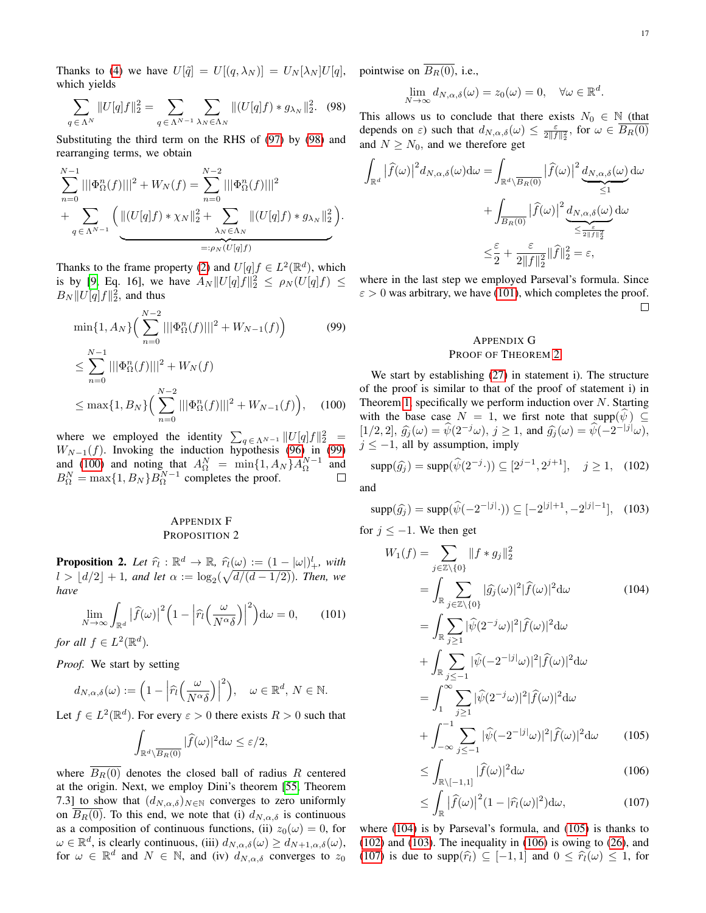Thanks to [\(4\)](#page-2-8) we have  $U[\tilde{q}] = U[(q, \lambda_N)] = U_N[\lambda_N]U[q]$ , pointwise on  $B_R(0)$ , i.e., which yields

$$
\sum_{q \in \Lambda^N} \|U[q]f\|_2^2 = \sum_{q \in \Lambda^{N-1}} \sum_{\lambda_N \in \Lambda_N} \|(U[q]f) * g_{\lambda_N}\|_2^2. \tag{98}
$$

Substituting the third term on the RHS of [\(97\)](#page-15-11) by [\(98\)](#page-16-3) and rearranging terms, we obtain

$$
\sum_{n=0}^{N-1} |||\Phi_{\Omega}^{n}(f)|||^{2} + W_{N}(f) = \sum_{n=0}^{N-2} |||\Phi_{\Omega}^{n}(f)|||^{2}
$$
  
+ 
$$
\sum_{q \in \Lambda^{N-1}} \left( ||(U[q]f) * \chi_{N}||_{2}^{2} + \sum_{\lambda_{N} \in \Lambda_{N}} ||(U[q]f) * g_{\lambda_{N}}||_{2}^{2} \right).
$$

Thanks to the frame property [\(2\)](#page-2-5) and  $U[q]_f \in L^2(\mathbb{R}^d)$ , which is by [\[9,](#page-22-4) Eq. 16], we have  $A_N ||U[q]f||_2^2 \le \rho_N(U[q]f) \le$  $B_N||U[q]f||_2^2$ , and thus

$$
\min\{1, A_N\} \Big( \sum_{n=0}^{N-2} |||\Phi_{\Omega}^n(f)|||^2 + W_{N-1}(f) \Big) \tag{99}
$$
  

$$
\leq \sum_{n=0}^{N-1} |||\Phi_{\Omega}^n(f)|||^2 + W_N(f)
$$
  

$$
\leq \max\{1, B_N\} \Big( \sum_{n=0}^{N-2} |||\Phi_{\Omega}^n(f)|||^2 + W_{N-1}(f) \Big), \tag{100}
$$

where we employed the identity 
$$
\sum_{q \in \Lambda^{N-1}} \|U[q]f\|_2^2 = W_{N-1}(f)
$$
. Involving the induction hypothesis (96) in (99)

 $W_{N-1}(f)$ . Invoking the induction hypothesis [\(96\)](#page-15-12) in [\(99\)](#page-16-4) and [\(100\)](#page-16-5) and noting that  $A_{\Omega}^{N} = \min\{1, A_{N}\}A_{\Omega}^{N-1}$  and  $B_{\Omega}^{N} = \max\{1, B_{N}\} B_{\Omega}^{N-1}$  completes the proof.

### <span id="page-16-1"></span>APPENDIX F PROPOSITION 2

<span id="page-16-0"></span>**Proposition 2.** Let  $\hat{r}_l : \mathbb{R}^d \to \mathbb{R}$ ,  $\hat{r}_l(\omega) := (1 - |\omega|)^l_+,$  with  $l > |d/2| + 1$  and let  $\omega$  be a  $(\sqrt{d/(d-1/2)})$ . Then, we  $l > \lfloor d/2 \rfloor + 1$ *, and let*  $\alpha := \log_2(\sqrt{d/(d-1/2)})$ *. Then, we have*

<span id="page-16-6"></span>
$$
\lim_{N \to \infty} \int_{\mathbb{R}^d} |\widehat{f}(\omega)|^2 \Big(1 - \Big| \widehat{r}_l \Big(\frac{\omega}{N^{\alpha} \delta}\Big)\Big|^2\Big) d\omega = 0, \qquad (101)
$$

*for all*  $f \in L^2(\mathbb{R}^d)$ *.* 

*Proof.* We start by setting

$$
d_{N,\alpha,\delta}(\omega) := \left(1 - \left|\widehat{r}_l\left(\frac{\omega}{N^{\alpha}\delta}\right)\right|^2\right), \quad \omega \in \mathbb{R}^d, N \in \mathbb{N}.
$$

Let  $f \in L^2(\mathbb{R}^d)$ . For every  $\varepsilon > 0$  there exists  $R > 0$  such that

$$
\int_{\mathbb{R}^d \setminus \overline{B_R(0)}} |\widehat{f}(\omega)|^2 d\omega \leq \varepsilon/2,
$$

where  $\overline{B_R(0)}$  denotes the closed ball of radius R centered at the origin. Next, we employ Dini's theorem [\[55,](#page-23-7) Theorem 7.3] to show that  $(d_{N,\alpha,\delta})_{N\in\mathbb{N}}$  converges to zero uniformly on  $B_R(0)$ . To this end, we note that (i)  $d_{N,\alpha,\delta}$  is continuous as a composition of continuous functions, (ii)  $z_0(\omega) = 0$ , for  $\omega \in \mathbb{R}^d$ , is clearly continuous, (iii)  $d_{N,\alpha,\delta}(\omega) \ge d_{N+1,\alpha,\delta}(\omega)$ , for  $\omega \in \mathbb{R}^d$  and  $N \in \mathbb{N}$ , and (iv)  $d_{N,\alpha,\delta}$  converges to  $z_0$ 

$$
\lim_{N \to \infty} d_{N,\alpha,\delta}(\omega) = z_0(\omega) = 0, \quad \forall \omega \in \mathbb{R}^d.
$$

<span id="page-16-3"></span>This allows us to conclude that there exists  $N_0 \in \mathbb{N}$  (that depends on  $\varepsilon$ ) such that  $d_{N,\alpha,\delta}(\omega) \leq \frac{\varepsilon}{2\|f\|_2^2}$ , for  $\omega \in \overline{B_R(0)}$ and  $N \geq N_0$ , and we therefore get

$$
\int_{\mathbb{R}^d} |\widehat{f}(\omega)|^2 d_{N,\alpha,\delta}(\omega) d\omega = \int_{\mathbb{R}^d \setminus \overline{B_R(0)}} |\widehat{f}(\omega)|^2 \underbrace{d_{N,\alpha,\delta}(\omega)}_{\leq 1} d\omega
$$

$$
+ \int_{\overline{B_R(0)}} |\widehat{f}(\omega)|^2 \underbrace{d_{N,\alpha,\delta}(\omega)}_{\leq \frac{\varepsilon}{2\|f\|_2^2}} d\omega
$$

$$
\leq \frac{\varepsilon}{2} + \frac{\varepsilon}{2\|f\|_2^2} \|\widehat{f}\|_2^2 = \varepsilon,
$$

<span id="page-16-4"></span>where in the last step we employed Parseval's formula. Since  $\varepsilon > 0$  was arbitrary, we have [\(101\)](#page-16-6), which completes the proof.  $\Box$ 

### <span id="page-16-2"></span>APPENDIX G PROOF OF THEOREM [2](#page-6-3)

<span id="page-16-5"></span>We start by establishing [\(27\)](#page-6-4) in statement i). The structure of the proof is similar to that of the proof of statement i) in Theorem [1,](#page-5-4) specifically we perform induction over  $N$ . Starting with the base case  $N = 1$ , we first note that supp $(\psi) \subseteq$  $[1/2, 2], \hat{g}_j(\omega) = \hat{\psi}(2^{-j}\omega), j \ge 1$ , and  $\hat{g}_j(\omega) = \hat{\psi}(-2^{-|j|}\omega),$ <br> $\hat{g}_j(\omega) = 1$ , all by assumption imply  $j \leq -1$ , all by assumption, imply

<span id="page-16-9"></span>
$$
supp(\hat{g}_j) = supp(\hat{\psi}(2^{-j} \cdot)) \subseteq [2^{j-1}, 2^{j+1}], \quad j \ge 1,
$$
 (102)

and

Z

<span id="page-16-10"></span>
$$
\text{supp}(\hat{g_j}) = \text{supp}(\hat{\psi}(-2^{-|j|}\cdot)) \subseteq [-2^{|j|+1}, -2^{|j|-1}], \quad (103)
$$

for  $j \leq -1$ . We then get

<span id="page-16-7"></span>
$$
W_1(f) = \sum_{j \in \mathbb{Z} \setminus \{0\}} ||f * g_j||_2^2
$$
  
\n
$$
= \int_{\mathbb{R}} \sum_{j \in \mathbb{Z} \setminus \{0\}} |\widehat{g}_j(\omega)|^2 |\widehat{f}(\omega)|^2 d\omega \qquad (104)
$$
  
\n
$$
= \int_{\mathbb{R}} \sum_{j \ge 1} |\widehat{\psi}(2^{-j}\omega)|^2 |\widehat{f}(\omega)|^2 d\omega
$$
  
\n
$$
+ \int_{\mathbb{R}} \sum_{j \le -1} |\widehat{\psi}(-2^{-|j|}\omega)|^2 |\widehat{f}(\omega)|^2 d\omega
$$
  
\n
$$
= \int_{1}^{\infty} \sum_{j \ge 1} |\widehat{\psi}(2^{-j}\omega)|^2 |\widehat{f}(\omega)|^2 d\omega
$$
  
\n
$$
+ \int_{-\infty}^{-1} \sum_{j \le -1} |\widehat{\psi}(-2^{-|j|}\omega)|^2 |\widehat{f}(\omega)|^2 d\omega \qquad (105)
$$
  
\n
$$
< \int_{-\infty}^{1} |\widehat{f}(\omega)|^2 d\omega \qquad (106)
$$

<span id="page-16-11"></span><span id="page-16-8"></span>
$$
\leq \int_{\mathbb{R}\setminus[-1,1]} |\widehat{f}(\omega)|^2 d\omega \tag{106}
$$

<span id="page-16-12"></span>
$$
\leq \int_{\mathbb{R}} \left|\widehat{f}(\omega)\right|^2 (1 - |\widehat{r}_l(\omega)|^2) \, \mathrm{d}\omega,\tag{107}
$$

where [\(104\)](#page-16-7) is by Parseval's formula, and [\(105\)](#page-16-8) is thanks to [\(102\)](#page-16-9) and [\(103\)](#page-16-10). The inequality in [\(106\)](#page-16-11) is owing to [\(26\)](#page-6-6), and [\(107\)](#page-16-12) is due to supp $(\hat{r}_l) \subseteq [-1, 1]$  and  $0 \leq \hat{r}_l(\omega) \leq 1$ , for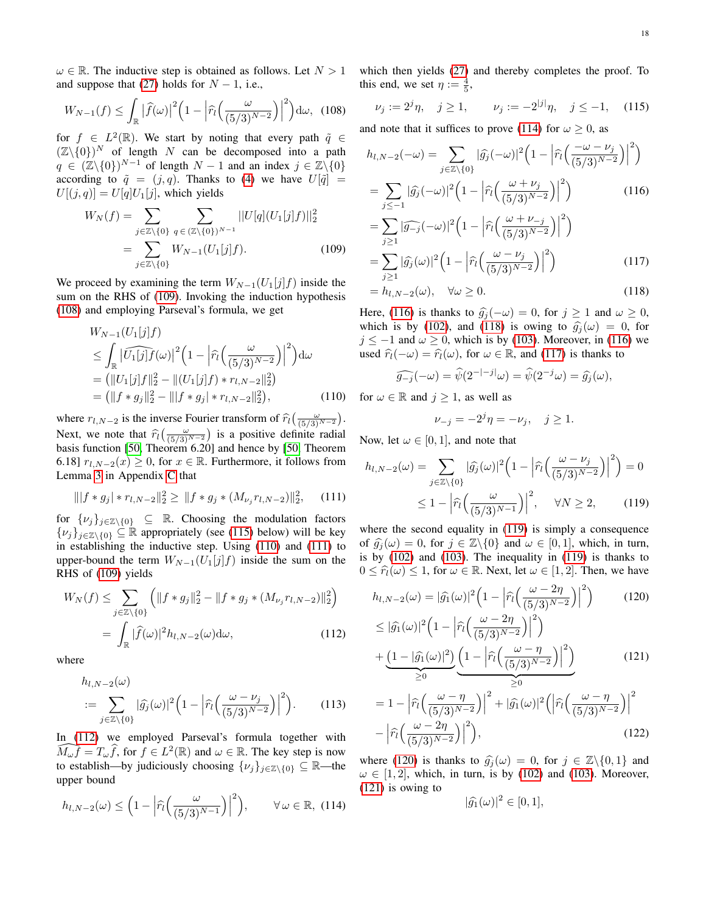$\omega \in \mathbb{R}$ . The inductive step is obtained as follows. Let  $N > 1$ and suppose that [\(27\)](#page-6-4) holds for  $N - 1$ , i.e.,

<span id="page-17-1"></span>
$$
W_{N-1}(f) \leq \int_{\mathbb{R}} \left| \widehat{f}(\omega) \right|^2 \left( 1 - \left| \widehat{r}_l \left( \frac{\omega}{(5/3)^{N-2}} \right) \right|^2 \right) d\omega, \tag{108}
$$

for  $f \in L^2(\mathbb{R})$ . We start by noting that every path  $\tilde{q} \in$  $(\mathbb{Z}\backslash\{0\})^N$  of length N can be decomposed into a path  $q \in (\mathbb{Z}\backslash \{0\})^{N-1}$  of length  $N-1$  and an index  $j \in \mathbb{Z}\backslash \{0\}$ according to  $\tilde{q} = (j, q)$ . Thanks to [\(4\)](#page-2-8) we have  $U[\tilde{q}] =$  $U[(j, q)] = U[q]U_1[j]$ , which yields

$$
W_N(f) = \sum_{j \in \mathbb{Z} \setminus \{0\}} \sum_{q \in (\mathbb{Z} \setminus \{0\})^{N-1}} ||U[q](U_1[j]f)||_2^2
$$
  
= 
$$
\sum_{j \in \mathbb{Z} \setminus \{0\}} W_{N-1}(U_1[j]f).
$$
 (109)

We proceed by examining the term  $W_{N-1}(U_1[j]f)$  inside the sum on the RHS of [\(109\)](#page-17-0). Invoking the induction hypothesis [\(108\)](#page-17-1) and employing Parseval's formula, we get

$$
W_{N-1}(U_1[j]f)
$$
  
\n
$$
\leq \int_{\mathbb{R}} |\widehat{U_1[j]}f(\omega)|^2 \left(1 - \left|\widehat{r_l}\left(\frac{\omega}{(5/3)^{N-2}}\right)\right|^2\right) d\omega
$$
  
\n
$$
= (||U_1[j]f||_2^2 - ||(U_1[j]f) * r_{l,N-2}||_2^2)
$$
  
\n
$$
= (||f * g_j||_2^2 - ||f * g_j| * r_{l,N-2}||_2^2),
$$
\n(110)

where  $r_{l,N-2}$  is the inverse Fourier transform of  $\hat{r}_l\left(\frac{\omega}{(5/3)^{N-2}}\right)$ . Next, we note that  $\hat{r}$  $(\frac{\omega}{(5/3)^{N-2}})$  is a positive definite radial basis function [\[50,](#page-23-2) Theorem 6.20] and hence by [\[50,](#page-23-2) Theorem 6.18]  $r_{l,N-2}(x) \geq 0$ , for  $x \in \mathbb{R}$ . Furthermore, it follows from Lemma [3](#page-12-0) in Appendix [C](#page-11-0) that

$$
\| |f * g_j| * r_{l,N-2} \|_2^2 \ge \| f * g_j * (M_{\nu_j} r_{l,N-2}) \|_2^2, \quad (111)
$$

for  $\{\nu_j\}_{j\in\mathbb{Z}\setminus\{0\}} \subseteq \mathbb{R}$ . Choosing the modulation factors  $\{\nu_j\}_{j\in\mathbb{Z}\setminus\{0\}} \subseteq \mathbb{R}$  appropriately (see [\(115\)](#page-17-2) below) will be key in establishing the inductive step. Using [\(110\)](#page-17-3) and [\(111\)](#page-17-4) to upper-bound the term  $W_{N-1}(U_1[j]f)$  inside the sum on the RHS of [\(109\)](#page-17-0) yields

$$
W_N(f) \le \sum_{j \in \mathbb{Z} \setminus \{0\}} \left( \|f * g_j\|_2^2 - \|f * g_j * (M_{\nu_j} r_{l,N-2})\|_2^2 \right)
$$
  
= 
$$
\int_{\mathbb{R}} |\widehat{f}(\omega)|^2 h_{l,N-2}(\omega) d\omega,
$$
 (112)

where

$$
h_{l,N-2}(\omega)
$$
  
 := 
$$
\sum_{j \in \mathbb{Z} \setminus \{0\}} |\widehat{g}_j(\omega)|^2 \Big(1 - \Big| \widehat{r}_l \Big(\frac{\omega - \nu_j}{(5/3)^{N-2}}\Big) \Big|^2 \Big).
$$
 (113)

In [\(112\)](#page-17-5) we employed Parseval's formula together with  $\widehat{M_{\omega}f} = T_{\omega}\widehat{f}$ , for  $f \in L^2(\mathbb{R})$  and  $\omega \in \mathbb{R}$ . The key step is now to establish—by judiciously choosing  $\{\nu_j\}_{j\in\mathbb{Z}\setminus\{0\}} \subseteq \mathbb{R}$ —the upper bound

<span id="page-17-6"></span>
$$
h_{l,N-2}(\omega) \le \left(1 - \left|\widehat{r}_l\left(\frac{\omega}{(5/3)^{N-1}}\right)\right|^2\right), \qquad \forall \omega \in \mathbb{R}, \tag{114}
$$

which then yields [\(27\)](#page-6-4) and thereby completes the proof. To this end, we set  $\eta := \frac{4}{5}$ ,

<span id="page-17-2"></span>
$$
\nu_j := 2^j \eta, \quad j \ge 1, \qquad \nu_j := -2^{|j|} \eta, \quad j \le -1, \quad (115)
$$

and note that it suffices to prove [\(114\)](#page-17-6) for  $\omega \ge 0$ , as

$$
h_{l,N-2}(-\omega) = \sum_{j \in \mathbb{Z} \setminus \{0\}} |\widehat{g}_j(-\omega)|^2 \left(1 - \left| \widehat{r}_l \left( \frac{-\omega - \nu_j}{(5/3)^{N-2}} \right) \right|^2 \right)
$$
  
= 
$$
\sum_{j \le -1} |\widehat{g}_j(-\omega)|^2 \left(1 - \left| \widehat{r}_l \left( \frac{\omega + \nu_j}{(5/3)^{N-2}} \right) \right|^2 \right)
$$
(116)  
= 
$$
\sum_{j \ge 1} |\widehat{g_{-j}}(-\omega)|^2 \left(1 - \left| \widehat{r}_l \left( \frac{\omega + \nu_{-j}}{(5/3)^{N-2}} \right) \right|^2 \right)
$$

<span id="page-17-9"></span><span id="page-17-7"></span><span id="page-17-0"></span>
$$
-\sum_{j\geq 1} |g_{-j}(w)|^{2} \left(1 - \left| \hat{r}_{l}\left(\frac{w - \nu_{j}}{(5/3)^{N-2}}\right) \right|^{2}\right)
$$
  
= 
$$
\sum_{j\geq 1} |\hat{g}_{j}(w)|^{2} \left(1 - \left| \hat{r}_{l}\left(\frac{w - \nu_{j}}{(5/3)^{N-2}}\right) \right|^{2}\right)
$$
 (117)

$$
= h_{l,N-2}(\omega), \quad \forall \omega \ge 0.
$$
\n(118)

Here, [\(116\)](#page-17-7) is thanks to  $\hat{g}_j(-\omega) = 0$ , for  $j \ge 1$  and  $\omega \ge 0$ , which is by [\(102\)](#page-16-9), and [\(118\)](#page-17-8) is owing to  $\hat{g}_j(\omega) = 0$ , for  $j \le -1$  and  $\omega \ge 0$ , which is by [\(103\)](#page-16-10). Moreover, in [\(116\)](#page-17-7) we used  $\hat{r}_l(-\omega) = \hat{r}_l(\omega)$ , for  $\omega \in \mathbb{R}$ , and [\(117\)](#page-17-9) is thanks to

$$
\widehat{g_{-j}}(-\omega) = \widehat{\psi}(2^{-|-j|\omega}) = \widehat{\psi}(2^{-j}\omega) = \widehat{g_j}(\omega),
$$

<span id="page-17-3"></span>for  $\omega \in \mathbb{R}$  and  $j \ge 1$ , as well as

<span id="page-17-10"></span><span id="page-17-8"></span>
$$
\nu_{-j} = -2^j \eta = -\nu_j, \quad j \ge 1.
$$

Now, let  $\omega \in [0, 1]$ , and note that

<span id="page-17-4"></span>
$$
h_{l,N-2}(\omega) = \sum_{j \in \mathbb{Z} \setminus \{0\}} |\widehat{g}_j(\omega)|^2 \left(1 - \left|\widehat{r}_l\left(\frac{\omega - \nu_j}{(5/3)^{N-2}}\right)\right|^2\right) = 0
$$
  

$$
\leq 1 - \left|\widehat{r}_l\left(\frac{\omega}{(5/3)^{N-1}}\right)\right|^2, \quad \forall N \ge 2, \quad (119)
$$

where the second equality in [\(119\)](#page-17-10) is simply a consequence of  $\hat{g}_i(\omega) = 0$ , for  $j \in \mathbb{Z}\backslash\{0\}$  and  $\omega \in [0,1]$ , which, in turn, is by [\(102\)](#page-16-9) and [\(103\)](#page-16-10). The inequality in [\(119\)](#page-17-10) is thanks to  $0 \leq \hat{r}_l(\omega) \leq 1$ , for  $\omega \in \mathbb{R}$ . Next, let  $\omega \in [1, 2]$ . Then, we have

$$
h_{l,N-2}(\omega) = |\widehat{g_1}(\omega)|^2 \left(1 - \left|\widehat{r_l}\left(\frac{\omega - 2\eta}{(5/3)^{N-2}}\right)\right|^2\right) \tag{120}
$$

<span id="page-17-11"></span><span id="page-17-5"></span>
$$
\leq |\widehat{g_1}(\omega)|^2 \left(1 - \left|\widehat{r_l}\left(\frac{\omega - 2\eta}{(5/3)^{N-2}}\right)\right|^2\right) + \underbrace{\left(1 - |\widehat{g_1}(\omega)|^2\right)}_{\geq 0} \underbrace{\left(1 - \left|\widehat{r_l}\left(\frac{\omega - \eta}{(5/3)^{N-2}}\right)\right|^2\right)}_{\geq 0}
$$
\n(121)

<span id="page-17-14"></span>
$$
=1-\left|\widehat{r}_{l}\left(\frac{\omega-\eta}{(5/3)^{N-2}}\right)\right|^{2}+|\widehat{g}_{1}(\omega)|^{2}\left(\left|\widehat{r}_{l}\left(\frac{\omega-\eta}{(5/3)^{N-2}}\right)\right|^{2}-\left|\widehat{r}_{l}\left(\frac{\omega-2\eta}{(5/3)^{N-2}}\right)\right|^{2}\right),
$$
\n(122)

where [\(120\)](#page-17-11) is thanks to  $\hat{g}_j(\omega) = 0$ , for  $j \in \mathbb{Z}\backslash \{0, 1\}$  and  $\omega \in [1, 2]$ , which, in turn, is by [\(102\)](#page-16-9) and [\(103\)](#page-16-10). Moreover, [\(121\)](#page-17-12) is owing to

<span id="page-17-13"></span><span id="page-17-12"></span>
$$
|\widehat{g_1}(\omega)|^2 \in [0,1],
$$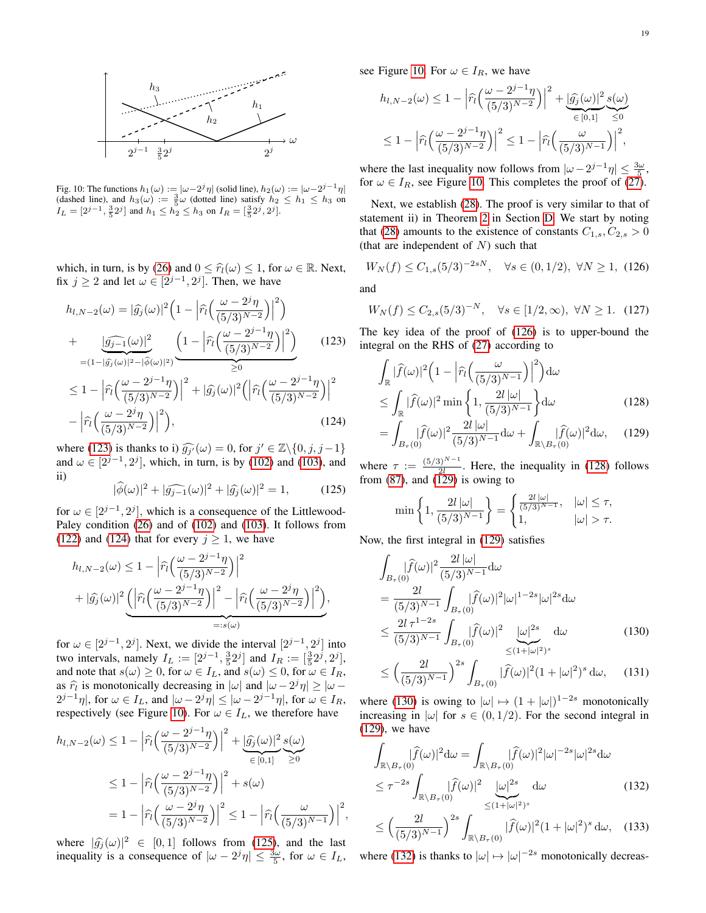<span id="page-18-2"></span>

Fig. 10: The functions  $h_1(\omega) := |\omega - 2^j \eta|$  (solid line),  $h_2(\omega) := |\omega - 2^{j-1} \eta|$ (dashed line), and  $h_3(\omega) := \frac{3}{5}\omega$  (dotted line) satisfy  $h_2 \leq h_1 \leq h_3$  on  $I_L = [2^{j-1}, \frac{3}{5}2^j]$  and  $h_1 \leq h_2 \leq h_3$  on  $I_R = [\frac{3}{5}2^j, 2^j]$ .

which, in turn, is by [\(26\)](#page-6-6) and  $0 \leq \hat{r}_l(\omega) \leq 1$ , for  $\omega \in \mathbb{R}$ . Next, fix  $j \ge 2$  and let  $\omega \in [2^{j-1}, 2^j]$ . Then, we have

$$
h_{l,N-2}(\omega) = |\widehat{g_j}(\omega)|^2 \left(1 - \left|\widehat{r_l}\left(\frac{\omega - 2^j \eta}{(5/3)^{N-2}}\right)\right|^2\right) + \frac{|\widehat{g_{j-1}}(\omega)|^2}{\left|(-\frac{\widehat{g_{j-1}}(\omega)}{(5/3)^{N-2}}\right|^2\right)} \left(1 - \left|\widehat{r_l}\left(\frac{\omega - 2^{j-1} \eta}{(5/3)^{N-2}}\right)\right|^2\right) < 1 - \left|\widehat{r_l}\left(\frac{\omega - 2^{j-1} \eta}{(5/3)^{N-2}}\right)\right|^2 + |\widehat{g_j}(\omega)|^2 \left(\left|\widehat{r_l}\left(\frac{\omega - 2^{j-1} \eta}{(5/3)^{N-2}}\right)\right|^2 - \left|\widehat{r_l}\left(\frac{\omega - 2^j \eta}{(5/3)^{N-2}}\right)\right|^2\right),
$$
(124)

where [\(123\)](#page-18-0) is thanks to i)  $\widehat{g_j}(\omega) = 0$ , for  $j' \in \mathbb{Z} \setminus \{0, j, j-1\}$ <br>and  $(0.02)$  and  $(103)$  and  $(103)$  and  $(103)$  and and  $\omega \in [2^{j-1}, 2^j]$ , which, in turn, is by [\(102\)](#page-16-9) and [\(103\)](#page-16-10), and ii)

<span id="page-18-3"></span>
$$
|\widehat{\phi}(\omega)|^2 + |\widehat{g_{j-1}}(\omega)|^2 + |\widehat{g_j}(\omega)|^2 = 1,
$$
 (125)

for  $\omega \in [2^{j-1}, 2^j]$ , which is a consequence of the Littlewood-Paley condition [\(26\)](#page-6-6) and of [\(102\)](#page-16-9) and [\(103\)](#page-16-10). It follows from [\(122\)](#page-17-13) and [\(124\)](#page-18-1) that for every  $j \ge 1$ , we have

$$
h_{l,N-2}(\omega) \le 1 - \left| \widehat{r}_l \left( \frac{\omega - 2^{j-1} \eta}{(5/3)^{N-2}} \right) \right|^2
$$
  
+ 
$$
|\widehat{g}_j(\omega)|^2 \underbrace{\left( \left| \widehat{r}_l \left( \frac{\omega - 2^{j-1} \eta}{(5/3)^{N-2}} \right) \right|^2 - \left| \widehat{r}_l \left( \frac{\omega - 2^j \eta}{(5/3)^{N-2}} \right) \right|^2 \right)}_{=:s(\omega)},
$$

for  $\omega \in [2^{j-1}, 2^j]$ . Next, we divide the interval  $[2^{j-1}, 2^j]$  into two intervals, namely  $I_L := [2^{j-1}, \frac{3}{5} 2^j]$  and  $I_R := [\frac{3}{5} 2^j, 2^j]$ , and note that  $s(\omega) \geq 0$ , for  $\omega \in I_L$ , and  $s(\omega) \leq 0$ , for  $\omega \in I_R$ , as  $\hat{\tau}_l$  is monotonically decreasing in  $|\omega|$  and  $|\omega - 2^j \eta| \ge |\omega - 2^{j-1} \eta|$  for  $\omega \in I_{\infty}$  $2^{j-1}\eta$ , for  $\omega \in I_L$ , and  $|\omega - 2^j \eta| \leq |\omega - 2^{j-1}\eta|$ , for  $\omega \in I_R$ , respectively (see Figure [10\)](#page-18-2). For  $\omega \in I_L$ , we therefore have

$$
h_{l,N-2}(\omega) \le 1 - \left| \widehat{r}_l \left( \frac{\omega - 2^{j-1} \eta}{(5/3)^{N-2}} \right) \right|^2 + \underbrace{|\widehat{g}_j(\omega)|^2}_{\in [0,1]} \underbrace{s(\omega)}_{\ge 0}
$$
  

$$
\le 1 - \left| \widehat{r}_l \left( \frac{\omega - 2^{j-1} \eta}{(5/3)^{N-2}} \right) \right|^2 + s(\omega)
$$
  

$$
= 1 - \left| \widehat{r}_l \left( \frac{\omega - 2^j \eta}{(5/3)^{N-2}} \right) \right|^2 \le 1 - \left| \widehat{r}_l \left( \frac{\omega}{(5/3)^{N-1}} \right) \right|^2
$$

where  $|\hat{g}_j(\omega)|^2 \in [0,1]$  follows from [\(125\)](#page-18-3), and the last<br>inequality is a consequence of  $|\omega - 2j\omega| < 3\omega$  for  $\omega \in I_{\tau}$ . inequality is a consequence of  $|\omega - 2^{j}\eta| \leq \frac{3\omega}{5}$ , for  $\omega \in I_L$ , see Figure [10.](#page-18-2) For  $\omega \in I_R$ , we have

$$
h_{l,N-2}(\omega) \le 1 - \left| \widehat{r}_l \left( \frac{\omega - 2^{j-1} \eta}{(5/3)^{N-2}} \right) \right|^2 + \underbrace{\left| \widehat{g}_j(\omega) \right|^2}_{\in [0,1]} \underbrace{s(\omega)}_{\le 0}
$$
  

$$
\le 1 - \left| \widehat{r}_l \left( \frac{\omega - 2^{j-1} \eta}{(5/3)^{N-2}} \right) \right|^2 \le 1 - \left| \widehat{r}_l \left( \frac{\omega}{(5/3)^{N-1}} \right) \right|^2,
$$

where the last inequality now follows from  $|\omega - 2^{j-1}\eta| \le \frac{3\omega}{5}$ , for  $\omega \in I_R$ , see Figure [10.](#page-18-2) This completes the proof of [\(27\)](#page-6-4).

Next, we establish [\(28\)](#page-6-1). The proof is very similar to that of statement ii) in Theorem [2](#page-6-3) in Section [D.](#page-14-0) We start by noting that [\(28\)](#page-6-1) amounts to the existence of constants  $C_{1,s}$ ,  $C_{2,s} > 0$ (that are independent of  $N$ ) such that

<span id="page-18-4"></span>
$$
W_N(f) \le C_{1,s}(5/3)^{-2sN}, \quad \forall s \in (0,1/2), \ \forall N \ge 1, \ (126)
$$

and

,

<span id="page-18-11"></span>
$$
W_N(f) \le C_{2,s}(5/3)^{-N}, \quad \forall s \in [1/2, \infty), \ \forall N \ge 1. \tag{127}
$$

<span id="page-18-0"></span>The key idea of the proof of [\(126\)](#page-18-4) is to upper-bound the integral on the RHS of [\(27\)](#page-6-4) according to

$$
\int_{\mathbb{R}} |\widehat{f}(\omega)|^2 \left(1 - \left|\widehat{r}_l\left(\frac{\omega}{(5/3)^{N-1}}\right)\right|^2\right) d\omega
$$
\n
$$
\leq \int_{\mathbb{R}} |\widehat{f}(\omega)|^2 \min\left\{1, \frac{2l|\omega|}{(5/3)^{N-1}}\right\} d\omega
$$
\n(128)

<span id="page-18-5"></span><span id="page-18-1"></span>
$$
= \int_{B_{\tau}(0)} |\widehat{f}(\omega)|^2 \frac{2l |\omega|}{(5/3)^{N-1}} d\omega + \int_{\mathbb{R}\setminus B_{\tau}(0)} |\widehat{f}(\omega)|^2 d\omega, \quad (129)
$$

where  $\tau := \frac{(5/3)^{N-1}}{2l}$  $\frac{3}{2l}$ . Here, the inequality in [\(128\)](#page-18-5) follows from [\(87\)](#page-15-3), and [\(129\)](#page-18-6) is owing to

<span id="page-18-6"></span>
$$
\min\left\{1, \frac{2l|\omega|}{(5/3)^{N-1}}\right\} = \begin{cases} \frac{2l|\omega|}{(5/3)^{N-1}}, & |\omega| \le \tau, \\ 1, & |\omega| > \tau. \end{cases}
$$

Now, the first integral in [\(129\)](#page-18-6) satisfies

$$
\int_{B_{\tau}(0)} |\widehat{f}(\omega)|^2 \frac{2l |\omega|}{(5/3)^{N-1}} d\omega \n= \frac{2l}{(5/3)^{N-1}} \int_{B_{\tau}(0)} |\widehat{f}(\omega)|^2 |\omega|^{1-2s} |\omega|^{2s} d\omega \n\le \frac{2l \tau^{1-2s}}{(5/3)^{N-1}} \int_{B_{\tau}(0)} |\widehat{f}(\omega)|^2 \frac{|\omega|^{2s}}{\le (1+|\omega|^2)^s} d\omega
$$
\n(130)

<span id="page-18-9"></span><span id="page-18-7"></span>
$$
\leq \left(\frac{2l}{(5/3)^{N-1}}\right)^{2s} \int_{B_{\tau}(0)} |\widehat{f}(\omega)|^2 (1+|\omega|^2)^s d\omega, \quad (131)
$$

where [\(130\)](#page-18-7) is owing to  $|\omega| \mapsto (1 + |\omega|)^{1-2s}$  monotonically increasing in  $|\omega|$  for  $s \in (0, 1/2)$ . For the second integral in [\(129\)](#page-18-6), we have

<span id="page-18-8"></span>
$$
\int_{\mathbb{R}\setminus B_{\tau}(0)} |\widehat{f}(\omega)|^2 d\omega = \int_{\mathbb{R}\setminus B_{\tau}(0)} |\widehat{f}(\omega)|^2 |\omega|^{-2s} |\omega|^{2s} d\omega
$$
\n
$$
\leq \tau^{-2s} \int_{\mathbb{R}\setminus B_{\tau}(0)} |\widehat{f}(\omega)|^2 \underbrace{|\omega|^{2s}}_{\leq (1+|\omega|^2)^s} d\omega \tag{132}
$$

<span id="page-18-10"></span>
$$
\leq \left(\frac{2l}{(5/3)^{N-1}}\right)^{2s} \int_{\mathbb{R}\setminus B_{\tau}(0)} |\widehat{f}(\omega)|^2 (1+|\omega|^2)^s d\omega, \quad (133)
$$

where [\(132\)](#page-18-8) is thanks to  $|\omega| \mapsto |\omega|^{-2s}$  monotonically decreas-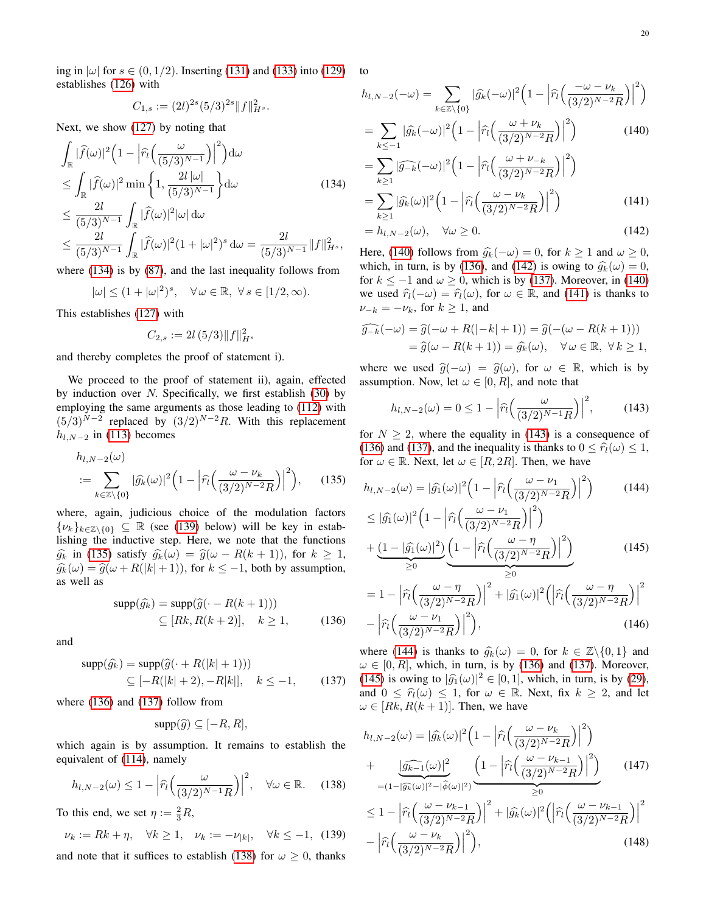ing in  $|\omega|$  for  $s \in (0, 1/2)$ . Inserting [\(131\)](#page-18-9) and [\(133\)](#page-18-10) into [\(129\)](#page-18-6) to establishes [\(126\)](#page-18-4) with

$$
C_{1,s} := (2l)^{2s} (5/3)^{2s} \|f\|_{H^s}^2.
$$

Next, we show [\(127\)](#page-18-11) by noting that

$$
\int_{\mathbb{R}} |\widehat{f}(\omega)|^2 \left(1 - \left|\widehat{r}_l\left(\frac{\omega}{(5/3)^{N-1}}\right)\right|^2\right) d\omega
$$
\n
$$
\leq \int_{\mathbb{R}} |\widehat{f}(\omega)|^2 \min\left\{1, \frac{2l|\omega|}{(5/3)^{N-1}}\right\} d\omega \tag{134}
$$
\n
$$
\leq \frac{2l}{(5/3)^{N-1}} \int_{\mathbb{R}} |\widehat{f}(\omega)|^2 |\omega| d\omega
$$
\n
$$
\leq \frac{2l}{(5/3)^{N-1}} \int_{\mathbb{R}} |\widehat{f}(\omega)|^2 (1 + |\omega|^2)^s d\omega = \frac{2l}{(5/3)^{N-1}} ||f||_{H^s}^2,
$$

where [\(134\)](#page-19-0) is by [\(87\)](#page-15-3), and the last inequality follows from

$$
|\omega|\leq (1+|\omega|^2)^s,\quad \forall\,\omega\in\mathbb{R},\;\forall\,s\in[1/2,\infty).
$$

This establishes [\(127\)](#page-18-11) with

$$
C_{2,s} := 2l\,(5/3)\|f\|_{H^s}^2
$$

and thereby completes the proof of statement i).

We proceed to the proof of statement ii), again, effected by induction over  $N$ . Specifically, we first establish [\(30\)](#page-6-5) by employing the same arguments as those leading to [\(112\)](#page-17-5) with  $(5/3)^{N-2}$  replaced by  $(3/2)^{N-2}R$ . With this replacement  $h_{l,N-2}$  in [\(113\)](#page-17-14) becomes

$$
h_{l,N-2}(\omega)
$$
  

$$
:= \sum_{k \in \mathbb{Z} \setminus \{0\}} |\widehat{g_k}(\omega)|^2 \Big(1 - \Big|\widehat{r_l}\Big(\frac{\omega - \nu_k}{(3/2)^{N-2}R}\Big)\Big|^2\Big), \qquad (135)
$$

where, again, judicious choice of the modulation factors  $\{\nu_k\}_{k\in\mathbb{Z}\backslash\{0\}} \subseteq \mathbb{R}$  (see [\(139\)](#page-19-1) below) will be key in establishing the inductive step. Here, we note that the functions  $\widehat{g_k}$  in [\(135\)](#page-19-2) satisfy  $\widehat{g_k}(\omega) = \widehat{g}(\omega - R(k+1)),$  for  $k \geq 1$ ,  $\widehat{g}_k(\omega) = \widehat{g}(\omega + R(|k| + 1))$ , for  $k \leq -1$ , both by assumption, as well as

$$
supp(\widehat{g_k}) = supp(\widehat{g}(\cdot - R(k+1)))
$$
  
\n
$$
\subseteq [Rk, R(k+2)], \quad k \ge 1,
$$
\n(136)

and

$$
supp(\widehat{g_k}) = supp(\widehat{g}(\cdot + R(|k|+1)))
$$
  
\n
$$
\subseteq [-R(|k|+2), -R|k|], \quad k \le -1,
$$
\n(137)

where [\(136\)](#page-19-3) and [\(137\)](#page-19-4) follow from

$$
\mathrm{supp}(\widehat{g}) \subseteq [-R, R],
$$

which again is by assumption. It remains to establish the equivalent of [\(114\)](#page-17-6), namely

<span id="page-19-5"></span>
$$
h_{l,N-2}(\omega) \le 1 - \left| \widehat{r}_l\left(\frac{\omega}{(3/2)^{N-1}R}\right) \right|^2, \quad \forall \omega \in \mathbb{R}.\tag{138}
$$

To this end, we set  $\eta := \frac{2}{3}R$ ,

<span id="page-19-1"></span>
$$
\nu_k := Rk + \eta, \quad \forall k \ge 1, \quad \nu_k := -\nu_{|k|}, \quad \forall k \le -1, \tag{139}
$$

and note that it suffices to establish [\(138\)](#page-19-5) for  $\omega \geq 0$ , thanks

$$
h_{l,N-2}(-\omega) = \sum_{k \in \mathbb{Z} \setminus \{0\}} |\widehat{g_k}(-\omega)|^2 \left(1 - \left| \widehat{r_l} \left( \frac{-\omega - \nu_k}{(3/2)^{N-2} R} \right) \right|^2 \right)
$$
  
= 
$$
\sum_{k \le -1} |\widehat{g_k}(-\omega)|^2 \left(1 - \left| \widehat{r_l} \left( \frac{\omega + \nu_k}{(3/2)^{N-2} R} \right) \right|^2 \right)
$$
(140)

<span id="page-19-6"></span><span id="page-19-0"></span>
$$
= \sum_{k\geq 1} |\widehat{g_{-k}}(-\omega)|^2 \left(1 - \left|\widehat{r}_l\left(\frac{\omega + \nu_{-k}}{(3/2)^{N-2}R}\right)\right|^2\right)
$$

$$
= \sum_{k\geq 1} |\widehat{g_k}(\omega)|^2 \left(1 - \left|\widehat{r}_l\left(\frac{\omega - \nu_k}{(3/2)^{N-2}R}\right)\right|^2\right) \tag{141}
$$

<span id="page-19-8"></span><span id="page-19-7"></span>
$$
= h_{l,N-2}(\omega), \quad \forall \omega \ge 0.
$$
\n(142)

Here, [\(140\)](#page-19-6) follows from  $\hat{g}_k(-\omega) = 0$ , for  $k \ge 1$  and  $\omega \ge 0$ , which, in turn, is by [\(136\)](#page-19-3), and [\(142\)](#page-19-7) is owing to  $\hat{g}_k(\omega) = 0$ , for  $k \le -1$  and  $\omega \ge 0$ , which is by [\(137\)](#page-19-4). Moreover, in [\(140\)](#page-19-6) we used  $\hat{r}_l(-\omega) = \hat{r}_l(\omega)$ , for  $\omega \in \mathbb{R}$ , and [\(141\)](#page-19-8) is thanks to  $\nu_{-k} = -\nu_k$ , for  $k \geq 1$ , and

$$
\widehat{g_{-k}}(-\omega) = \widehat{g}(-\omega + R(|-k|+1)) = \widehat{g}(-(\omega - R(k+1)))
$$
  
= 
$$
\widehat{g}(\omega - R(k+1)) = \widehat{g_k}(\omega), \quad \forall \omega \in \mathbb{R}, \ \forall k \ge 1,
$$

where we used  $\hat{g}(-\omega) = \hat{g}(\omega)$ , for  $\omega \in \mathbb{R}$ , which is by assumption. Now, let  $\omega \in [0, R]$ , and note that

<span id="page-19-10"></span><span id="page-19-9"></span>
$$
h_{l,N-2}(\omega) = 0 \le 1 - \left| \widehat{r}_l\left(\frac{\omega}{(3/2)^{N-1}R}\right) \right|^2, \quad (143)
$$

for  $N \geq 2$ , where the equality in [\(143\)](#page-19-9) is a consequence of [\(136\)](#page-19-3) and [\(137\)](#page-19-4), and the inequality is thanks to  $0 \leq \hat{r}_l(\omega) \leq 1$ , for  $\omega \in \mathbb{R}$ . Next, let  $\omega \in [R, 2R]$ . Then, we have

<span id="page-19-2"></span>
$$
h_{l,N-2}(\omega) = |\widehat{g_1}(\omega)|^2 \left(1 - \left|\widehat{r_l}\left(\frac{\omega - \nu_1}{(3/2)^{N-2}R}\right)\right|^2\right) \tag{144}
$$

$$
\leq |\widehat{g_1}(\omega)|^2 \left(1 - \left|\widehat{r_l}\left(\frac{\omega - \nu_1}{(3/2)^{N-2}R}\right)\right|^2\right)
$$

<span id="page-19-11"></span>
$$
\begin{split} &= |g_1(\omega)| \left(1 - \left| \hat{r}_1(\sqrt{3/2})^{N-2} R \right| \right) \\ &+ \underbrace{\left(1 - |\hat{g_1}(\omega)|^2\right)}_{\geq 0} \underbrace{\left(1 - \left| \hat{r}_1\left(\frac{\omega - \eta}{(3/2)^{N-2} R}\right) \right|^2\right)}_{\geq 0} \\ &= 1 - \left| \hat{r}_1\left(\frac{\omega - \eta}{(3/2)^{N-2} R}\right) \right|^2 + |\hat{g_1}(\omega)|^2 \left( \left| \hat{r}_1\left(\frac{\omega - \eta}{(3/2)^{N-2} R}\right) \right|^2 \right) \end{split} \tag{145}
$$

<span id="page-19-13"></span><span id="page-19-3"></span>
$$
-\left|\widehat{r}_l\left(\frac{\omega-\nu_1}{(3/2)^{N-2}R}\right)\right|^2\bigg),\tag{146}
$$

<span id="page-19-4"></span>where [\(144\)](#page-19-10) is thanks to  $\hat{g}_k(\omega) = 0$ , for  $k \in \mathbb{Z}\backslash\{0,1\}$  and  $\omega \in [0, R]$ , which, in turn, is by [\(136\)](#page-19-3) and [\(137\)](#page-19-4). Moreover, [\(145\)](#page-19-11) is owing to  $|\widehat{g_1}(\omega)|^2 \in [0, 1]$ , which, in turn, is by [\(29\)](#page-6-7), and  $0 \leq \hat{r}_l(\omega) \leq 1$ , for  $\omega \in \mathbb{R}$ . Next, fix  $k \geq 2$ , and let  $\omega \in [Rk, R(k+1)]$ . Then, we have

<span id="page-19-14"></span><span id="page-19-12"></span>
$$
h_{l,N-2}(\omega) = |\hat{g_k}(\omega)|^2 \left(1 - \left|\hat{r_l}\left(\frac{\omega - \nu_k}{(3/2)^{N-2}R}\right)\right|^2\right) + \frac{|\hat{g_{k-1}}(\omega)|^2}{\frac{(|g_{k-1}(\omega)|^2}{(3/2)^{N-2}R}\left|\frac{\omega - \nu_{k-1}}{(3/2)^{N-2}R}\right|^2} \right) \n\leq 1 - \left|\hat{r_l}\left(\frac{\omega - \nu_{k-1}}{(3/2)^{N-2}R}\right)\right|^2 + |\hat{g_k}(\omega)|^2 \left(\left|\hat{r_l}\left(\frac{\omega - \nu_{k-1}}{(3/2)^{N-2}R}\right)\right|^2 - \left|\hat{r_l}\left(\frac{\omega - \nu_k}{(3/2)^{N-2}R}\right)\right|^2\right),
$$
\n(148)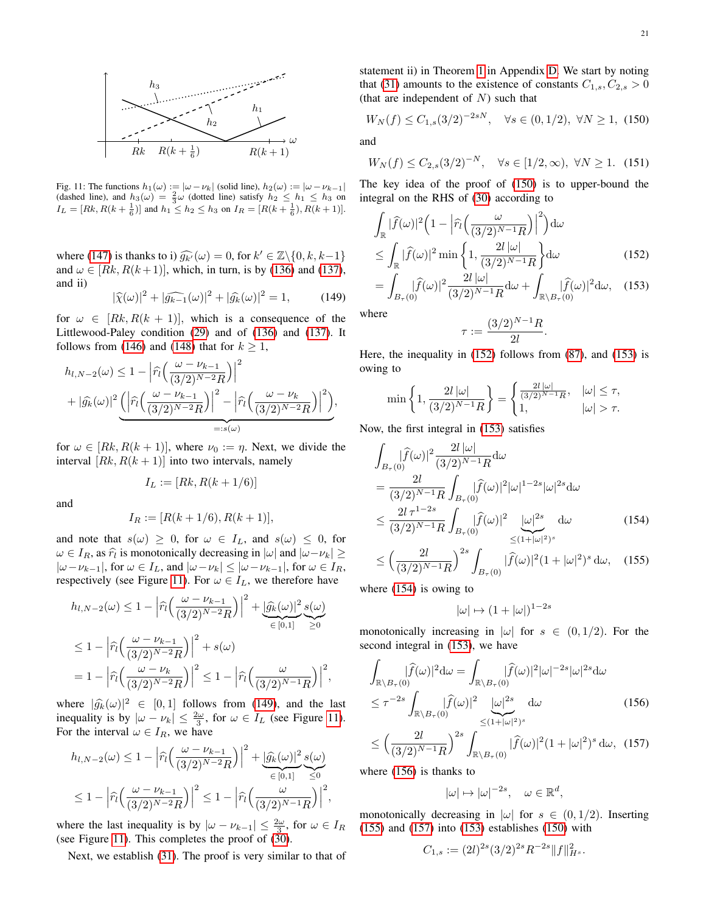<span id="page-20-0"></span>

Fig. 11: The functions  $h_1(\omega) := |\omega - \nu_k|$  (solid line),  $h_2(\omega) := |\omega - \nu_{k-1}|$  (dashed line), and  $h_3(\omega) = \frac{2}{3}\omega$  (dotted line) satisfy  $h_2 \leq h_1 \leq h_3$  on  $I_L = [Rk, R(k + \frac{1}{6})]$  and  $h_1 \leq h_2 \leq h_3$  on  $I_R = [R(k + \frac{1}{6}), R(k + 1)].$ 

where [\(147\)](#page-19-12) is thanks to i)  $\widehat{g_k}(\omega) = 0$ , for  $k' \in \mathbb{Z} \setminus \{0, k, k-1\}$ <br>and  $\omega \in [Rk \ R(k+1)]$  which in turn is by (136) and (137) and  $\omega \in [Rk, R(k+1)]$ , which, in turn, is by [\(136\)](#page-19-3) and [\(137\)](#page-19-4), and ii)

<span id="page-20-1"></span>
$$
|\widehat{\chi}(\omega)|^2 + |\widehat{g_{k-1}}(\omega)|^2 + |\widehat{g_k}(\omega)|^2 = 1,
$$
 (149)

for  $\omega \in [Rk, R(k+1)]$ , which is a consequence of the Littlewood-Paley condition [\(29\)](#page-6-7) and of [\(136\)](#page-19-3) and [\(137\)](#page-19-4). It follows from [\(146\)](#page-19-13) and [\(148\)](#page-19-14) that for  $k \geq 1$ ,

$$
h_{l,N-2}(\omega) \le 1 - \left| \widehat{r}_l \left( \frac{\omega - \nu_{k-1}}{(3/2)^{N-2} R} \right) \right|^2 + |\widehat{g}_k(\omega)|^2 \underbrace{\left( \left| \widehat{r}_l \left( \frac{\omega - \nu_{k-1}}{(3/2)^{N-2} R} \right) \right|^2 - \left| \widehat{r}_l \left( \frac{\omega - \nu_k}{(3/2)^{N-2} R} \right) \right|^2 \right)}_{=:s(\omega)},
$$

for  $\omega \in [Rk, R(k+1)]$ , where  $\nu_0 := \eta$ . Next, we divide the interval  $[Rk, R(k + 1)]$  into two intervals, namely

$$
I_L := [Rk, R(k+1/6)]
$$

and

$$
I_R := [R(k+1/6), R(k+1)],
$$

and note that  $s(\omega) \geq 0$ , for  $\omega \in I_L$ , and  $s(\omega) \leq 0$ , for  $\omega \in I_R$ , as  $\hat{r}_l$  is monotonically decreasing in  $|\omega|$  and  $|\omega - \nu_k| \ge$  $|\omega-\nu_{k-1}|$ , for  $\omega \in I_L$ , and  $|\omega-\nu_k| \leq |\omega-\nu_{k-1}|$ , for  $\omega \in I_R$ , respectively (see Figure [11\)](#page-20-0). For  $\omega \in I_L$ , we therefore have

$$
h_{l,N-2}(\omega) \le 1 - \left| \widehat{r}_l \left( \frac{\omega - \nu_{k-1}}{(3/2)^{N-2} R} \right) \right|^2 + \underbrace{\left| \widehat{g}_k(\omega) \right|^2}_{\in [0,1]} \underbrace{s(\omega)}_{\ge 0}
$$
  

$$
\le 1 - \left| \widehat{r}_l \left( \frac{\omega - \nu_{k-1}}{(3/2)^{N-2} R} \right) \right|^2 + s(\omega)
$$
  

$$
= 1 - \left| \widehat{r}_l \left( \frac{\omega - \nu_k}{(3/2)^{N-2} R} \right) \right|^2 \le 1 - \left| \widehat{r}_l \left( \frac{\omega}{(3/2)^{N-1} R} \right) \right|^2,
$$

where  $|\hat{g}_k(\omega)|^2 \in [0,1]$  follows from [\(149\)](#page-20-1), and the last<br>inequality is by  $|\omega - \mu| \leq 2\omega$  for  $\omega \in L$  (see Figure 11) inequality is by  $|\omega - \nu_k| \leq \frac{2\omega}{3}$ , for  $\omega \in I_L$  (see Figure [11\)](#page-20-0). For the interval  $\omega \in I_R$ , we have

$$
h_{l,N-2}(\omega) \le 1 - \left|\widehat{r}_l\left(\frac{\omega - \nu_{k-1}}{(3/2)^{N-2}R}\right)\right|^2 + \underbrace{|\widehat{g}_k(\omega)|^2}_{\in [0,1]} \underbrace{s(\omega)}_{\le 0}
$$
  

$$
\le 1 - \left|\widehat{r}_l\left(\frac{\omega - \nu_{k-1}}{(3/2)^{N-2}R}\right)\right|^2 \le 1 - \left|\widehat{r}_l\left(\frac{\omega}{(3/2)^{N-1}R}\right)\right|^2,
$$

where the last inequality is by  $|\omega - \nu_{k-1}| \leq \frac{2\omega}{3}$ , for  $\omega \in I_R$ (see Figure [11\)](#page-20-0). This completes the proof of [\(30\)](#page-6-5).

Next, we establish [\(31\)](#page-6-2). The proof is very similar to that of

statement ii) in Theorem [1](#page-5-4) in Appendix [D.](#page-14-0) We start by noting that [\(31\)](#page-6-2) amounts to the existence of constants  $C_{1,s}, C_{2,s} > 0$ (that are independent of  $N$ ) such that

<span id="page-20-2"></span>
$$
W_N(f) \le C_{1,s}(3/2)^{-2sN}, \quad \forall s \in (0,1/2), \ \forall N \ge 1, \ (150)
$$

and

<span id="page-20-9"></span>
$$
W_N(f) \le C_{2,s}(3/2)^{-N}, \quad \forall s \in [1/2, \infty), \ \forall N \ge 1. \tag{151}
$$

The key idea of the proof of [\(150\)](#page-20-2) is to upper-bound the integral on the RHS of [\(30\)](#page-6-5) according to

$$
\int_{\mathbb{R}} |\widehat{f}(\omega)|^2 \left(1 - \left|\widehat{r}_l\left(\frac{\omega}{(3/2)^{N-1}R}\right)\right|^2\right) d\omega
$$
\n
$$
\leq \int_{\mathbb{R}} |\widehat{f}(\omega)|^2 \min\left\{1, \frac{2l|\omega|}{(3/2)^{N-1}R}\right\} d\omega \tag{152}
$$
\n
$$
= \int_{\mathbb{R}} |\widehat{f}(\omega)|^2 \frac{2l|\omega|}{|\omega|} d\omega + \int_{\mathbb{R}} |\widehat{f}(\omega)|^2 d\omega \tag{153}
$$

$$
= \int_{B_{\tau}(0)} |\widehat{f}(\omega)|^2 \frac{2\iota |\omega|}{(3/2)^{N-1} R} d\omega + \int_{\mathbb{R}\setminus B_{\tau}(0)} |\widehat{f}(\omega)|^2 d\omega, \quad (153)
$$

where

<span id="page-20-4"></span><span id="page-20-3"></span>
$$
\tau:=\frac{(3/2)^{N-1}R}{2l}.
$$

Here, the inequality in [\(152\)](#page-20-3) follows from [\(87\)](#page-15-3), and [\(153\)](#page-20-4) is owing to

$$
\min\left\{1, \frac{2l\,|\omega|}{(3/2)^{N-1}R}\right\} = \begin{cases} \frac{2l\,|\omega|}{(3/2)^{N-1}R}, & |\omega| \le \tau, \\ 1, & |\omega| > \tau. \end{cases}
$$

Now, the first integral in [\(153\)](#page-20-4) satisfies

$$
\int_{B_{\tau}(0)} |\widehat{f}(\omega)|^2 \frac{2l |\omega|}{(3/2)^{N-1} R} d\omega \n= \frac{2l}{(3/2)^{N-1} R} \int_{B_{\tau}(0)} |\widehat{f}(\omega)|^2 |\omega|^{1-2s} |\omega|^{2s} d\omega \n\leq \frac{2l \tau^{1-2s}}{(3/2)^{N-1} R} \int_{B_{\tau}(0)} |\widehat{f}(\omega)|^2 \frac{|\omega|^{2s}}{\leq (1+|\omega|^2)^s} d\omega \n\leq \left(\frac{2l}{(3/2)^{N-1} R}\right)^{2s} \int_{B_{\tau}(0)} |\widehat{f}(\omega)|^2 (1+|\omega|^2)^s d\omega, \quad (155)
$$

where [\(154\)](#page-20-5) is owing to

<span id="page-20-7"></span><span id="page-20-5"></span> $|\omega| \mapsto (1+|\omega|)^{1-2s}$ 

monotonically increasing in  $|\omega|$  for  $s \in (0, 1/2)$ . For the second integral in [\(153\)](#page-20-4), we have

$$
\int_{\mathbb{R}\setminus B_{\tau}(0)} |\widehat{f}(\omega)|^2 d\omega = \int_{\mathbb{R}\setminus B_{\tau}(0)} |\widehat{f}(\omega)|^2 |\omega|^{-2s} |\omega|^{2s} d\omega
$$
\n
$$
\leq \tau^{-2s} \int_{\mathbb{R}\setminus B_{\tau}(0)} |\widehat{f}(\omega)|^2 \underbrace{|\omega|^{2s}}_{\leq (1+|\omega|^2)^s} d\omega \qquad (156)
$$

$$
\leq \left(\frac{2l}{(3/2)^{N-1}R}\right)^{2s} \int_{\mathbb{R}\setminus B_{\tau}(0)} |\widehat{f}(\omega)|^2 (1+|\omega|^2)^s \, \mathrm{d}\omega, \tag{157}
$$

<span id="page-20-8"></span><span id="page-20-6"></span>,

where [\(156\)](#page-20-6) is thanks to

$$
|\omega| \mapsto |\omega|^{-2s}, \quad \omega \in \mathbb{R}^d
$$

monotonically decreasing in  $|\omega|$  for  $s \in (0, 1/2)$ . Inserting [\(155\)](#page-20-7) and [\(157\)](#page-20-8) into [\(153\)](#page-20-4) establishes [\(150\)](#page-20-2) with

$$
C_{1,s} := (2l)^{2s} (3/2)^{2s} R^{-2s} ||f||_{H^s}^2.
$$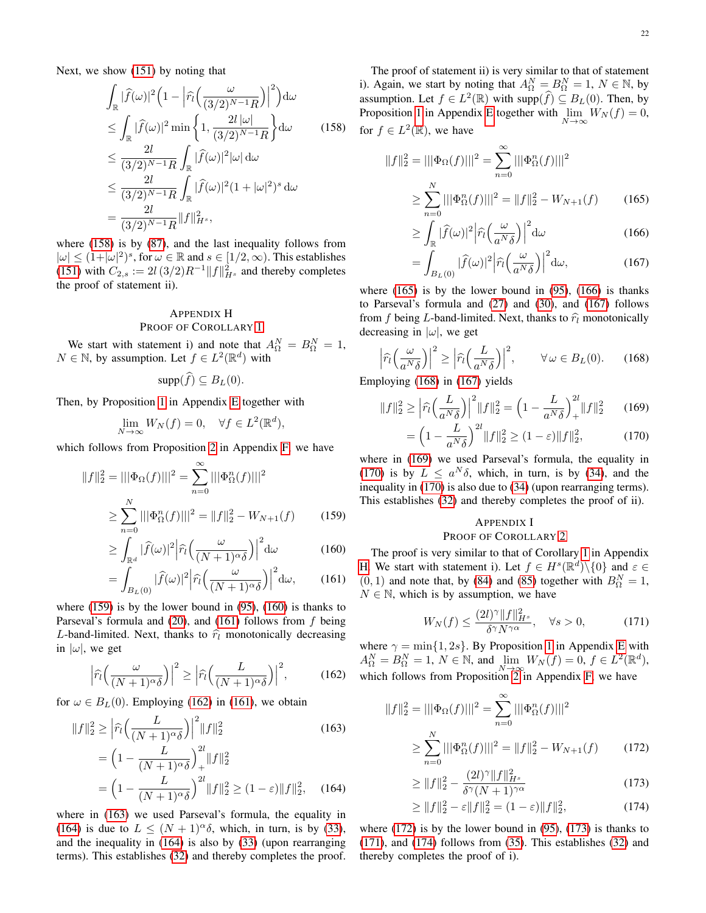Next, we show [\(151\)](#page-20-9) by noting that

$$
\int_{\mathbb{R}} |\widehat{f}(\omega)|^2 \left(1 - \left|\widehat{r}_l\left(\frac{\omega}{(3/2)^{N-1}R}\right)\right|^2\right) d\omega
$$
\n
$$
\leq \int_{\mathbb{R}} |\widehat{f}(\omega)|^2 \min\left\{1, \frac{2l|\omega|}{(3/2)^{N-1}R}\right\} d\omega \qquad (158)
$$
\n
$$
\leq \frac{2l}{(3/2)^{N-1}R} \int_{\mathbb{R}} |\widehat{f}(\omega)|^2 |\omega| d\omega
$$
\n
$$
\leq \frac{2l}{(3/2)^{N-1}R} \int_{\mathbb{R}} |\widehat{f}(\omega)|^2 (1+|\omega|^2)^s d\omega
$$
\n
$$
= \frac{2l}{(3/2)^{N-1}R} \|f\|_{H^s}^2,
$$

where [\(158\)](#page-21-2) is by [\(87\)](#page-15-3), and the last inequality follows from  $|\omega| \leq (1+|\omega|^2)^s$ , for  $\omega \in \mathbb{R}$  and  $s \in [1/2,\infty)$ . This establishes [\(151\)](#page-20-9) with  $C_{2,s} := 2l\,(3/2)R^{-1}||f||_{H^s}^2$  and thereby completes the proof of statement ii).

### <span id="page-21-0"></span>APPENDIX H PROOF OF COROLLARY [1](#page-0-0)

We start with statement i) and note that  $A_{\Omega}^{N} = B_{\Omega}^{N} = 1$ ,  $N \in \mathbb{N}$ , by assumption. Let  $f \in L^2(\mathbb{R}^d)$  with

$$
\mathrm{supp}(f) \subseteq B_L(0).
$$

Then, by Proposition [1](#page-15-0) in Appendix [E](#page-15-1) together with

$$
\lim_{N \to \infty} W_N(f) = 0, \quad \forall f \in L^2(\mathbb{R}^d),
$$

which follows from Proposition [2](#page-16-0) in Appendix [F,](#page-16-1) we have

$$
||f||_2^2 = |||\Phi_{\Omega}(f)|||^2 = \sum_{n=0}^{\infty} |||\Phi_{\Omega}^n(f)|||^2
$$
  
\n
$$
\geq \sum_{n=0}^N |||\Phi_{\Omega}^n(f)|||^2 = ||f||_2^2 - W_{N+1}(f) \qquad (159)
$$

$$
\geq \int_{\mathbb{R}^d} |\widehat{f}(\omega)|^2 \left| \widehat{r}_l \left( \frac{\omega}{(N+1)^\alpha \delta} \right) \right|^2 d\omega \tag{160}
$$

$$
= \int_{B_L(0)} |\widehat{f}(\omega)|^2 \left| \widehat{r}_l \left( \frac{\omega}{(N+1)^{\alpha} \delta} \right) \right|^2 d\omega, \qquad (161)
$$

where  $(159)$  is by the lower bound in  $(95)$ ,  $(160)$  is thanks to Parseval's formula and  $(20)$ , and  $(161)$  follows from  $f$  being L-band-limited. Next, thanks to  $\hat{r}_l$  monotonically decreasing in  $|\omega|$ , we get

<span id="page-21-6"></span>
$$
\left|\widehat{r}_l\Big(\frac{\omega}{(N+1)^\alpha\delta}\Big)\right|^2 \ge \left|\widehat{r}_l\Big(\frac{L}{(N+1)^\alpha\delta}\Big)\right|^2,\tag{162}
$$

for  $\omega \in B_L(0)$ . Employing [\(162\)](#page-21-6) in [\(161\)](#page-21-5), we obtain

$$
||f||_2^2 \ge \left| \widehat{r}_l \left( \frac{L}{(N+1)^{\alpha} \delta} \right) \right|^2 ||f||_2^2
$$
(163)  
=  $\left( 1 - \frac{L}{(N+1)^{\alpha} \delta} \right)_+^{2l} ||f||_2^2$   
=  $\left( 1 - \frac{L}{(N+1)^{\alpha} \delta} \right)^{2l} ||f||_2^2 \ge (1-\varepsilon) ||f||_2^2$ , (164)

where in [\(163\)](#page-21-7) we used Parseval's formula, the equality in [\(164\)](#page-21-8) is due to  $L \leq (N + 1)^{\alpha} \delta$ , which, in turn, is by [\(33\)](#page-8-1), and the inequality in [\(164\)](#page-21-8) is also by [\(33\)](#page-8-1) (upon rearranging terms). This establishes [\(32\)](#page-8-0) and thereby completes the proof.

<span id="page-21-2"></span>The proof of statement ii) is very similar to that of statement i). Again, we start by noting that  $A_{\Omega}^{N} = B_{\Omega}^{N} = 1, N \in \mathbb{N}$ , by assumption. Let  $f \in L^2(\mathbb{R})$  with supp $(\widehat{f}) \subseteq B_L(0)$ . Then, by Proposition [1](#page-15-0) in Appendix [E](#page-15-1) together with  $\lim_{N \to \infty} W_N(f) = 0$ , for  $f \in L^2(\mathbb{R})$ , we have

$$
||f||_2^2 = |||\Phi_{\Omega}(f)|||^2 = \sum_{n=0}^{\infty} |||\Phi_{\Omega}^n(f)|||^2
$$
  

$$
\geq \sum_{n=0}^N |||\Phi_{\Omega}^n(f)|||^2 = ||f||_2^2 - W_{N+1}(f) \qquad (165)
$$

<span id="page-21-10"></span><span id="page-21-9"></span>
$$
\geq \int_{\mathbb{R}} |\widehat{f}(\omega)|^2 \left| \widehat{r}_l\left(\frac{\omega}{a^N \delta}\right) \right|^2 d\omega \tag{166}
$$

<span id="page-21-11"></span>
$$
= \int_{B_L(0)} |\widehat{f}(\omega)|^2 \left| \widehat{r}_l\left(\frac{\omega}{a^N \delta}\right) \right|^2 d\omega, \tag{167}
$$

where  $(165)$  is by the lower bound in  $(95)$ ,  $(166)$  is thanks to Parseval's formula and [\(27\)](#page-6-4) and [\(30\)](#page-6-5), and [\(167\)](#page-21-11) follows from f being L-band-limited. Next, thanks to  $\hat{r}_l$  monotonically decreasing in  $|\omega|$ , we get

<span id="page-21-12"></span>
$$
\left|\widehat{r}_{l}\left(\frac{\omega}{a^{N}\delta}\right)\right|^{2} \geq \left|\widehat{r}_{l}\left(\frac{L}{a^{N}\delta}\right)\right|^{2}, \qquad \forall \,\omega \in B_{L}(0). \tag{168}
$$

Employing [\(168\)](#page-21-12) in [\(167\)](#page-21-11) yields

$$
||f||_2^2 \ge \left|\widehat{r}_l\left(\frac{L}{a^N\delta}\right)\right|^2 ||f||_2^2 = \left(1 - \frac{L}{a^N\delta}\right)^{2l} ||f||_2^2 \qquad (169)
$$

$$
= \left(1 - \frac{L}{a^N \delta}\right)^{2l} \|f\|_2^2 \ge (1 - \varepsilon) \|f\|_2^2, \tag{170}
$$

where in [\(169\)](#page-21-13) we used Parseval's formula, the equality in [\(170\)](#page-21-14) is by  $L \le a^N \delta$ , which, in turn, is by [\(34\)](#page-8-2), and the inequality in [\(170\)](#page-21-14) is also due to [\(34\)](#page-8-2) (upon rearranging terms). This establishes [\(32\)](#page-8-0) and thereby completes the proof of ii).

### <span id="page-21-14"></span><span id="page-21-13"></span><span id="page-21-1"></span>APPENDIX I

### PROOF OF COROLLARY [2](#page-0-0)

<span id="page-21-5"></span><span id="page-21-4"></span><span id="page-21-3"></span>The proof is very similar to that of Corollary [1](#page-0-0) in Appendix [H.](#page-21-0) We start with statement i). Let  $f \in H^s(\mathbb{R}^d) \setminus \{0\}$  and  $\varepsilon \in$  $(0, 1)$  and note that, by [\(84\)](#page-14-12) and [\(85\)](#page-14-13) together with  $B_{\Omega}^{N} = 1$ ,  $N \in \mathbb{N}$ , which is by assumption, we have

<span id="page-21-17"></span>
$$
W_N(f) \le \frac{(2l)^{\gamma} \|f\|_{H^s}^2}{\delta^{\gamma} N^{\gamma \alpha}}, \quad \forall s > 0,
$$
 (171)

where  $\gamma = \min\{1, 2s\}$ . By Proposition [1](#page-15-0) in Appendix [E](#page-15-1) with  $A_{\Omega}^N = B_{\Omega}^N = 1, N \in \mathbb{N}$ , and  $\lim_{N \to \infty} W_N(f) = 0, f \in L^2(\mathbb{R}^d)$ , which follows from Proposition  $2$  in Appendix [F,](#page-16-1) we have

<span id="page-21-7"></span>
$$
||f||_2^2 = |||\Phi_{\Omega}(f)|||^2 = \sum_{n=0}^{\infty} |||\Phi_{\Omega}^n(f)|||^2
$$
  
\n
$$
\geq \sum_{n=0}^N |||\Phi_{\Omega}^n(f)|||^2 = ||f||_2^2 - W_{N+1}(f) \qquad (172)
$$

<span id="page-21-16"></span><span id="page-21-15"></span>
$$
\geq \|f\|_2^2 - \frac{(2l)^{\gamma} \|f\|_{H^s}^2}{\delta^{\gamma} (N+1)^{\gamma \alpha}} \tag{173}
$$

<span id="page-21-18"></span>
$$
\geq \|f\|_2^2 - \varepsilon \|f\|_2^2 = (1 - \varepsilon) \|f\|_2^2,\tag{174}
$$

<span id="page-21-8"></span>where  $(172)$  is by the lower bound in  $(95)$ ,  $(173)$  is thanks to [\(171\)](#page-21-17), and [\(174\)](#page-21-18) follows from [\(35\)](#page-8-4). This establishes [\(32\)](#page-8-0) and thereby completes the proof of i).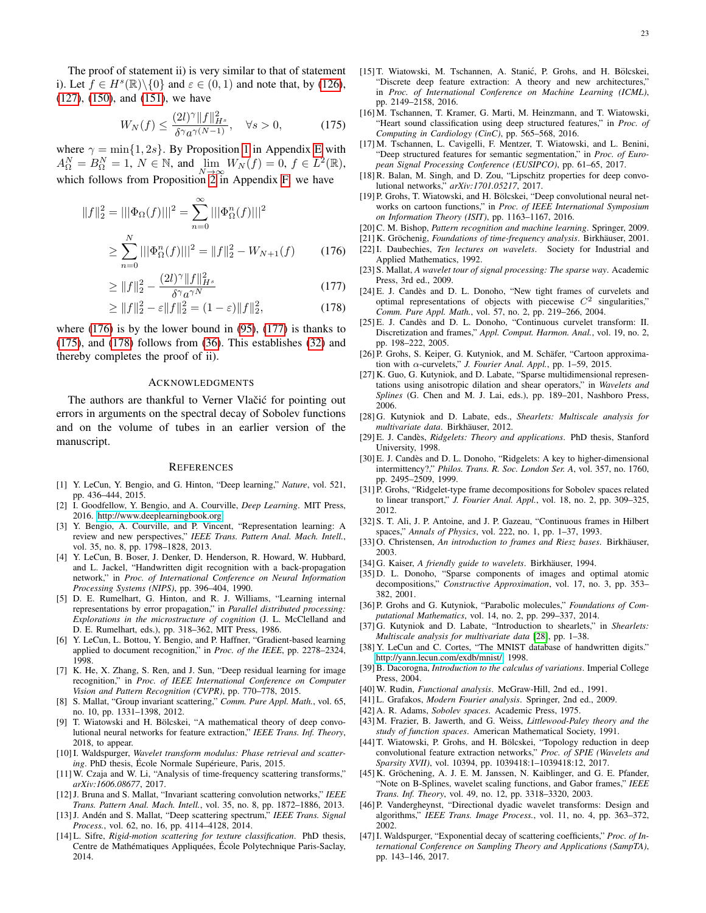The proof of statement ii) is very similar to that of statement i). Let  $f \in H^s(\mathbb{R}) \setminus \{0\}$  and  $\varepsilon \in (0,1)$  and note that, by [\(126\)](#page-18-4), [\(127\)](#page-18-11), [\(150\)](#page-20-2), and [\(151\)](#page-20-9), we have

<span id="page-22-39"></span>
$$
W_N(f) \le \frac{(2l)^{\gamma} \|f\|_{H^s}^2}{\delta^{\gamma} a^{\gamma(N-1)}}, \quad \forall s > 0,
$$
\n(175)

where  $\gamma = \min\{1, 2s\}$ . By Proposition [1](#page-15-0) in Appendix [E](#page-15-1) with  $A_{\Omega}^N = B_{\Omega}^N = 1$ ,  $N \in \mathbb{N}$ , and  $\lim_{N \to \infty} W_N(f) = 0$ ,  $f \in L^2(\mathbb{R})$ , which follows from Proposition [2](#page-16-0) in Appendix [F,](#page-16-1) we have

$$
||f||_2^2 = |||\Phi_{\Omega}(f)|||^2 = \sum_{n=0}^{\infty} |||\Phi_{\Omega}^n(f)|||^2
$$
  

$$
\geq \sum_{n=0}^N |||\Phi_{\Omega}^n(f)|||^2 = ||f||_2^2 - W_{N+1}(f) \qquad (176)
$$

$$
\geq \|f\|_{2}^{2} - \frac{(2l)^{\gamma} \|f\|_{H^{s}}^{2}}{\delta^{\gamma} a^{\gamma N}}
$$
\n(177)

$$
\geq \|f\|_2^2 - \varepsilon \|f\|_2^2 = (1 - \varepsilon) \|f\|_2^2, \tag{178}
$$

where  $(176)$  is by the lower bound in  $(95)$ ,  $(177)$  is thanks to [\(175\)](#page-22-39), and [\(178\)](#page-22-40) follows from [\(36\)](#page-8-5). This establishes [\(32\)](#page-8-0) and thereby completes the proof of ii).

### ACKNOWLEDGMENTS

The authors are thankful to Verner Vlačić for pointing out errors in arguments on the spectral decay of Sobolev functions and on the volume of tubes in an earlier version of the manuscript.

#### REFERENCES

- <span id="page-22-0"></span>[1] Y. LeCun, Y. Bengio, and G. Hinton, "Deep learning," *Nature*, vol. 521, pp. 436–444, 2015.
- [2] I. Goodfellow, Y. Bengio, and A. Courville, *Deep Learning*. MIT Press, 2016. [http://www.deeplearningbook.org.](http://www.deeplearningbook.org)
- [3] Y. Bengio, A. Courville, and P. Vincent, "Representation learning: A review and new perspectives," *IEEE Trans. Pattern Anal. Mach. Intell.*, vol. 35, no. 8, pp. 1798–1828, 2013.
- [4] Y. LeCun, B. Boser, J. Denker, D. Henderson, R. Howard, W. Hubbard, and L. Jackel, "Handwritten digit recognition with a back-propagation network," in *Proc. of International Conference on Neural Information Processing Systems (NIPS)*, pp. 396–404, 1990.
- [5] D. E. Rumelhart, G. Hinton, and R. J. Williams, "Learning internal representations by error propagation," in *Parallel distributed processing: Explorations in the microstructure of cognition* (J. L. McClelland and D. E. Rumelhart, eds.), pp. 318–362, MIT Press, 1986.
- <span id="page-22-1"></span>[6] Y. LeCun, L. Bottou, Y. Bengio, and P. Haffner, "Gradient-based learning applied to document recognition," in *Proc. of the IEEE*, pp. 2278–2324, 1998.
- <span id="page-22-2"></span>[7] K. He, X. Zhang, S. Ren, and J. Sun, "Deep residual learning for image recognition," in *Proc. of IEEE International Conference on Computer Vision and Pattern Recognition (CVPR)*, pp. 770–778, 2015.
- <span id="page-22-3"></span>[8] S. Mallat, "Group invariant scattering," *Comm. Pure Appl. Math.*, vol. 65, no. 10, pp. 1331–1398, 2012.
- <span id="page-22-4"></span>[9] T. Wiatowski and H. Bölcskei, "A mathematical theory of deep convolutional neural networks for feature extraction," *IEEE Trans. Inf. Theory*, 2018, to appear.
- <span id="page-22-5"></span>[10]I. Waldspurger, *Wavelet transform modulus: Phase retrieval and scattering*. PhD thesis, École Normale Supérieure, Paris, 2015.
- <span id="page-22-6"></span>[11] W. Czaja and W. Li, "Analysis of time-frequency scattering transforms," *arXiv:1606.08677*, 2017.
- <span id="page-22-7"></span>[12]J. Bruna and S. Mallat, "Invariant scattering convolution networks," *IEEE Trans. Pattern Anal. Mach. Intell.*, vol. 35, no. 8, pp. 1872–1886, 2013.
- [13] J. Andén and S. Mallat, "Deep scattering spectrum," *IEEE Trans. Signal Process.*, vol. 62, no. 16, pp. 4114–4128, 2014.
- [14] L. Sifre, *Rigid-motion scattering for texture classification*. PhD thesis, Centre de Mathématiques Appliquées, École Polytechnique Paris-Saclay, 2014.
- <span id="page-22-23"></span>[15] T. Wiatowski, M. Tschannen, A. Stanić, P. Grohs, and H. Bölcskei, "Discrete deep feature extraction: A theory and new architectures," in *Proc. of International Conference on Machine Learning (ICML)*, pp. 2149–2158, 2016.
- [16] M. Tschannen, T. Kramer, G. Marti, M. Heinzmann, and T. Wiatowski, "Heart sound classification using deep structured features," in *Proc. of Computing in Cardiology (CinC)*, pp. 565–568, 2016.
- <span id="page-22-8"></span>[17] M. Tschannen, L. Cavigelli, F. Mentzer, T. Wiatowski, and L. Benini, "Deep structured features for semantic segmentation," in *Proc. of European Signal Processing Conference (EUSIPCO)*, pp. 61–65, 2017.
- <span id="page-22-9"></span>[18] R. Balan, M. Singh, and D. Zou, "Lipschitz properties for deep convolutional networks," *arXiv:1701.05217*, 2017.
- <span id="page-22-10"></span>[19] P. Grohs, T. Wiatowski, and H. Bölcskei, "Deep convolutional neural networks on cartoon functions," in *Proc. of IEEE International Symposium on Information Theory (ISIT)*, pp. 1163–1167, 2016.
- <span id="page-22-29"></span>[20]C. M. Bishop, *Pattern recognition and machine learning*. Springer, 2009.
- <span id="page-22-37"></span><span id="page-22-11"></span>[21] K. Gröchenig, *Foundations of time-frequency analysis*. Birkhäuser, 2001.
- <span id="page-22-12"></span>[22]I. Daubechies, *Ten lectures on wavelets*. Society for Industrial and Applied Mathematics, 1992.
- <span id="page-22-38"></span><span id="page-22-13"></span>[23] S. Mallat, *A wavelet tour of signal processing: The sparse way*. Academic Press, 3rd ed., 2009.
- <span id="page-22-40"></span><span id="page-22-14"></span>[24] E. J. Candès and D. L. Donoho, "New tight frames of curvelets and optimal representations of objects with piecewise  $C<sup>2</sup>$  singularities," *Comm. Pure Appl. Math.*, vol. 57, no. 2, pp. 219–266, 2004.
- <span id="page-22-34"></span>[25] E. J. Candès and D. L. Donoho, "Continuous curvelet transform: II. Discretization and frames," *Appl. Comput. Harmon. Anal.*, vol. 19, no. 2, pp. 198–222, 2005.
- <span id="page-22-15"></span>[26] P. Grohs, S. Keiper, G. Kutyniok, and M. Schäfer, "Cartoon approximation with α-curvelets," *J. Fourier Anal. Appl.*, pp. 1–59, 2015.
- <span id="page-22-16"></span>[27] K. Guo, G. Kutyniok, and D. Labate, "Sparse multidimensional representations using anisotropic dilation and shear operators," in *Wavelets and Splines* (G. Chen and M. J. Lai, eds.), pp. 189–201, Nashboro Press, 2006.
- <span id="page-22-17"></span>[28] G. Kutyniok and D. Labate, eds., *Shearlets: Multiscale analysis for multivariate data*. Birkhauser, 2012. ¨
- <span id="page-22-18"></span>[29] E. J. Candes, ` *Ridgelets: Theory and applications*. PhD thesis, Stanford University, 1998.
- [30] E. J. Candès and D. L. Donoho, "Ridgelets: A key to higher-dimensional intermittency?," *Philos. Trans. R. Soc. London Ser. A*, vol. 357, no. 1760, pp. 2495–2509, 1999.
- <span id="page-22-19"></span>[31] P. Grohs, "Ridgelet-type frame decompositions for Sobolev spaces related to linear transport," *J. Fourier Anal. Appl.*, vol. 18, no. 2, pp. 309–325, 2012.
- <span id="page-22-20"></span>[32] S. T. Ali, J. P. Antoine, and J. P. Gazeau, "Continuous frames in Hilbert spaces," *Annals of Physics*, vol. 222, no. 1, pp. 1–37, 1993.
- [33] O. Christensen, *An introduction to frames and Riesz bases*. Birkhäuser, 2003.
- <span id="page-22-21"></span>[34] G. Kaiser, *A friendly guide to wavelets*. Birkhäuser, 1994.
- <span id="page-22-22"></span>[35] D. L. Donoho, "Sparse components of images and optimal atomic decompositions," *Constructive Approximation*, vol. 17, no. 3, pp. 353– 382, 2001.
- <span id="page-22-24"></span>[36] P. Grohs and G. Kutyniok, "Parabolic molecules," *Foundations of Computational Mathematics*, vol. 14, no. 2, pp. 299–337, 2014.
- <span id="page-22-25"></span>[37] G. Kutyniok and D. Labate, "Introduction to shearlets," in *Shearlets: Multiscale analysis for multivariate data* [\[28\]](#page-22-17), pp. 1–38.
- <span id="page-22-26"></span>[38] Y. LeCun and C. Cortes, "The MNIST database of handwritten digits." [http://yann.lecun.com/exdb/mnist/,](http://yann.lecun.com/exdb/mnist/) 1998.
- [39]B. Dacorogna, *Introduction to the calculus of variations*. Imperial College Press, 2004.
- <span id="page-22-27"></span>[40] W. Rudin, *Functional analysis*. McGraw-Hill, 2nd ed., 1991.
- <span id="page-22-28"></span>[41] L. Grafakos, *Modern Fourier analysis*. Springer, 2nd ed., 2009.
- <span id="page-22-30"></span>[42] A. R. Adams, *Sobolev spaces*. Academic Press, 1975.
- <span id="page-22-31"></span>[43] M. Frazier, B. Jawerth, and G. Weiss, *Littlewood-Paley theory and the study of function spaces*. American Mathematical Society, 1991.
- <span id="page-22-35"></span>[44] T. Wiatowski, P. Grohs, and H. Bölcskei, "Topology reduction in deep convolutional feature extraction networks," *Proc. of SPIE (Wavelets and Sparsity XVII)*, vol. 10394, pp. 1039418:1–1039418:12, 2017.
- <span id="page-22-32"></span>[45] K. Gröchening, A. J. E. M. Janssen, N. Kaiblinger, and G. E. Pfander, "Note on B-Splines, wavelet scaling functions, and Gabor frames," *IEEE Trans. Inf. Theory*, vol. 49, no. 12, pp. 3318–3320, 2003.
- <span id="page-22-33"></span>[46] P. Vandergheynst, "Directional dyadic wavelet transforms: Design and algorithms," *IEEE Trans. Image Process.*, vol. 11, no. 4, pp. 363–372, 2002.
- <span id="page-22-36"></span>[47]I. Waldspurger, "Exponential decay of scattering coefficients," *Proc. of International Conference on Sampling Theory and Applications (SampTA)*, pp. 143–146, 2017.